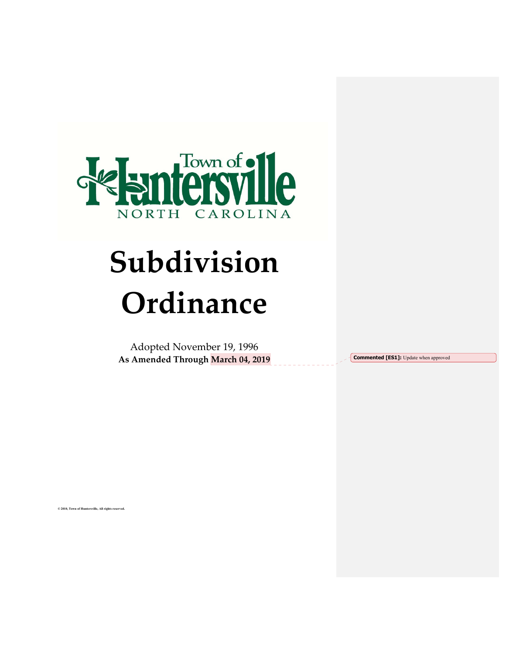

# **Subdivision Ordinance**

Adopted November 19, 1996 **As Amended Through March 04, 2019**

**Commented [ES1]:** Update when approved

**© 2010, Town of Huntersville, All rights reserved.**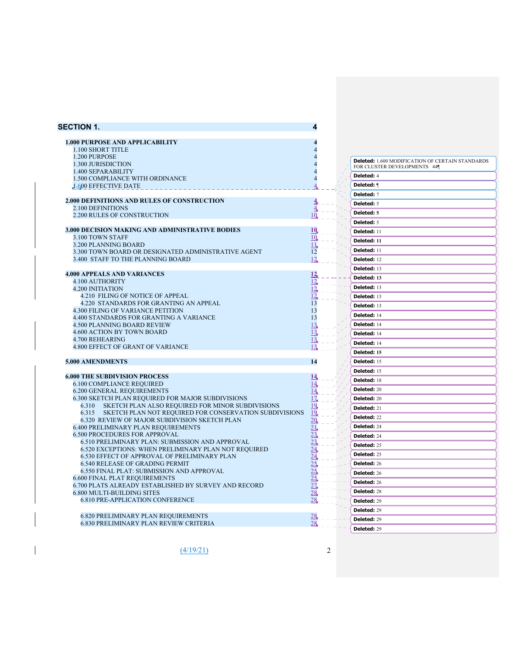| <b>SECTION 1.</b>                                                                            |          |                                                         |
|----------------------------------------------------------------------------------------------|----------|---------------------------------------------------------|
| <b>1.000 PURPOSE AND APPLICABILITY</b>                                                       |          |                                                         |
| 1.100 SHORT TITLE                                                                            |          |                                                         |
| 1.200 PURPOSE                                                                                |          |                                                         |
| 1.300 JURISDICTION                                                                           |          | <b>Deleted:</b> 1.600 MODIFICATION OF CERTAIN STANDARDS |
| 1.400 SEPARABILITY                                                                           |          | FOR CLUSTER DEVELOPMENTS 44¶                            |
| 1.500 COMPLIANCE WITH ORDINANCE                                                              |          | Deleted: 4                                              |
| 1.600 EFFECTIVE DATE                                                                         |          | Deleted: ¶                                              |
|                                                                                              |          | Deleted: 7                                              |
| 2.000 DEFINITIONS AND RULES OF CONSTRUCTION                                                  |          | Deleted: 5                                              |
| 2.100 DEFINITIONS<br>2.200 RULES OF CONSTRUCTION                                             | 10       | Deleted: 5                                              |
|                                                                                              |          | <b>Deleted: 5</b>                                       |
| 3.000 DECISION MAKING AND ADMINISTRATIVE BODIES                                              | 10       | Deleted: 11                                             |
| 3.100 TOWN STAFF                                                                             | 10       | Deleted: 11                                             |
| 3.200 PLANNING BOARD                                                                         | 11,      |                                                         |
| 3.300 TOWN BOARD OR DESIGNATED ADMINISTRATIVE AGENT                                          | 12       | Deleted: 11                                             |
| 3.400 STAFF TO THE PLANNING BOARD                                                            | 12       | Deleted: 12                                             |
| <b>4.000 APPEALS AND VARIANCES</b>                                                           | 12       | Deleted: 13                                             |
| 4.100 AUTHORITY                                                                              | 12       | Deleted: 13                                             |
| <b>4.200 INITIATION</b>                                                                      | 12       | Deleted: 13                                             |
| 4.210 FILING OF NOTICE OF APPEAL                                                             | 12       | Deleted: 13                                             |
| 4.220 STANDARDS FOR GRANTING AN APPEAL                                                       | 13       | Deleted: 13                                             |
| <b>4.300 FILING OF VARIANCE PETITION</b><br>4.400 STANDARDS FOR GRANTING A VARIANCE          | 13<br>13 | Deleted: 14                                             |
| <b>4.500 PLANNING BOARD REVIEW</b>                                                           | 13       | Deleted: 14                                             |
| 4.600 ACTION BY TOWN BOARD                                                                   | 13       | Deleted: 14                                             |
| 4.700 REHEARING                                                                              | 13       | Deleted: 14                                             |
| 4.800 EFFECT OF GRANT OF VARIANCE                                                            | 13       | Deleted: 15                                             |
| <b>5.000 AMENDMENTS</b>                                                                      | 14       | Deleted: 15                                             |
|                                                                                              |          | <b>Deleted: 15</b>                                      |
| <b>6.000 THE SUBDIVISION PROCESS</b>                                                         | 14       | Deleted: 18                                             |
| <b>6.100 COMPLIANCE REQUIRED</b>                                                             | 14       | Deleted: 20                                             |
| <b>6.200 GENERAL REQUIREMENTS</b><br>6.300 SKETCH PLAN REQUIRED FOR MAJOR SUBDIVISIONS       | 14<br>17 |                                                         |
| SKETCH PLAN ALSO REQUIRED FOR MINOR SUBDIVISIONS<br>6.310                                    | 19       | Deleted: 20                                             |
| 6.315 SKETCH PLAN NOT REQUIRED FOR CONSERVATION SUBDIVISIONS                                 | 19       | Deleted: 21                                             |
| 6.320 REVIEW OF MAJOR SUBDIVISION SKETCH PLAN                                                | 20       | Deleted: 22                                             |
| <b>6.400 PRELIMINARY PLAN REQUIREMENTS</b>                                                   | 21       | Deleted: 24                                             |
| <b>6.500 PROCEDURES FOR APPROVAL</b><br>6.510 PRELIMINARY PLAN: SUBMISSION AND APPROVAL      | 23<br>23 | Deleted: 24                                             |
| 6.520 EXCEPTIONS: WHEN PRELIMINARY PLAN NOT REQUIRED                                         | 24       | Deleted: 25                                             |
| <b>6.530 EFFECT OF APPROVAL OF PRELIMINARY PLAN</b>                                          | 24       | Deleted: 25                                             |
| <b>6.540 RELEASE OF GRADING PERMIT</b>                                                       | 25,      | Deleted: 26                                             |
| 6.550 FINAL PLAT: SUBMISSION AND APPROVAL                                                    | 25,      | Deleted: 26                                             |
| <b>6.600 FINAL PLAT REQUIREMENTS</b><br>6.700 PLATS ALREADY ESTABLISHED BY SURVEY AND RECORD |          | Deleted: 26                                             |
| 6.800 MULTI-BUILDING SITES                                                                   | 28,      | Deleted: 28                                             |
| <b>6.810 PRE-APPLICATION CONFERENCE</b>                                                      |          | Deleted: 29                                             |
|                                                                                              |          | Deleted: 29                                             |
| <b>6.820 PRELIMINARY PLAN REQUIREMENTS</b>                                                   | 28,      | Deleted: 29                                             |
| <b>6.830 PRELIMINARY PLAN REVIEW CRITERIA</b>                                                | 28       | Deleted: 29                                             |
|                                                                                              |          |                                                         |

 $(4/19/21)$  2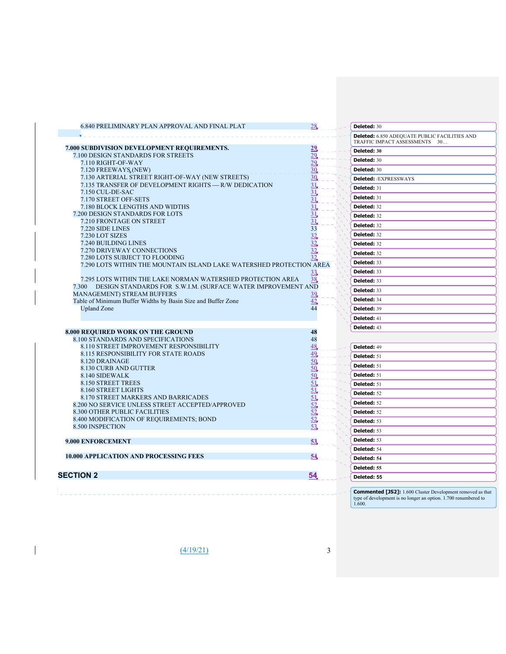| 6.840 PRELIMINARY PLAN APPROVAL AND FINAL PLAT                                     | 28        |  | Deleted: 30                                                                           |
|------------------------------------------------------------------------------------|-----------|--|---------------------------------------------------------------------------------------|
|                                                                                    |           |  | <b>Deleted:</b> 6.850 ADEQUATE PUBLIC FACILITIES AND<br>TRAFFIC IMPACT ASSESSMENTS 30 |
| 7.000 SUBDIVISION DEVELOPMENT REQUIREMENTS.                                        | 29        |  | Deleted: 30                                                                           |
| 7.100 DESIGN STANDARDS FOR STREETS                                                 | 29        |  |                                                                                       |
| 7.110 RIGHT-OF-WAY                                                                 | 29        |  | Deleted: 30                                                                           |
| 7.120 FREEWAYS (NEW)                                                               | 30        |  | Deleted: 30                                                                           |
| 7.130 ARTERIAL STREET RIGHT-OF-WAY (NEW STREETS)                                   | 30        |  | <b>Deleted:</b> /EXPRESSWAYS                                                          |
| 7.135 TRANSFER OF DEVELOPMENT RIGHTS - R/W DEDICATION                              | 31,       |  | Deleted: 31                                                                           |
| 7.150 CUL-DE-SAC<br>7.170 STREET OFF-SETS                                          | 31,<br>31 |  | Deleted: 31                                                                           |
| 7.180 BLOCK LENGTHS AND WIDTHS                                                     | 31        |  | Deleted: 32                                                                           |
| 7.200 DESIGN STANDARDS FOR LOTS                                                    | 31        |  |                                                                                       |
| 7.210 FRONTAGE ON STREET                                                           |           |  | Deleted: 32                                                                           |
| 7.220 SIDE LINES                                                                   | 33        |  | Deleted: 32                                                                           |
| 7.230 LOT SIZES                                                                    | 32        |  | Deleted: 32                                                                           |
| 7.240 BUILDING LINES                                                               | 32        |  | Deleted: 32                                                                           |
| 7.270 DRIVEWAY CONNECTIONS                                                         | 32        |  | Deleted: 32                                                                           |
| 7.280 LOTS SUBJECT TO FLOODING                                                     |           |  |                                                                                       |
| 7.290 LOTS WITHIN THE MOUNTAIN ISLAND LAKE WATERSHED PROTECTION AREA               |           |  | Deleted: 33                                                                           |
|                                                                                    | 33,       |  | Deleted: 33                                                                           |
| 7.295 LOTS WITHIN THE LAKE NORMAN WATERSHED PROTECTION AREA                        | 38        |  | Deleted: 33                                                                           |
| 7.300 DESIGN STANDARDS FOR S.W.I.M. (SURFACE WATER IMPROVEMENT AND                 |           |  | Deleted: 33                                                                           |
| <b>MANAGEMENT) STREAM BUFFERS</b>                                                  | 39        |  | Deleted: 34                                                                           |
| Table of Minimum Buffer Widths by Basin Size and Buffer Zone<br><b>Upland Zone</b> | 42<br>44  |  | Deleted: 39                                                                           |
|                                                                                    |           |  | Deleted: 41                                                                           |
|                                                                                    |           |  |                                                                                       |
| 8.000 REQUIRED WORK ON THE GROUND                                                  | 48        |  | Deleted: 43                                                                           |
| 8.100 STANDARDS AND SPECIFICATIONS                                                 | 48        |  |                                                                                       |
| <b>8.110 STREET IMPROVEMENT RESPONSIBILITY</b>                                     | 48        |  | Deleted: 49                                                                           |
| <b>8.115 RESPONSIBILITY FOR STATE ROADS</b>                                        | 49        |  | Deleted: 51                                                                           |
| 8.120 DRAINAGE                                                                     | 50        |  | Deleted: 51                                                                           |
| 8.130 CURB AND GUTTER                                                              | 50        |  |                                                                                       |
| 8.140 SIDEWALK                                                                     | 50        |  | Deleted: 51                                                                           |
| <b>8.150 STREET TREES</b>                                                          | 51.       |  | Deleted: 51                                                                           |
| 8.160 STREET LIGHTS<br>8.170 STREET MARKERS AND BARRICADES                         | 51<br>51  |  | Deleted: 52                                                                           |
| 8.200 NO SERVICE UNLESS STREET ACCEPTED/APPROVED                                   | 52        |  | Deleted: 52                                                                           |
| <b>8.300 OTHER PUBLIC FACILITIES</b>                                               | 52        |  | Deleted: 52                                                                           |
| 8.400 MODIFICATION OF REQUIREMENTS; BOND                                           | 52        |  | Deleted: 53                                                                           |
| 8.500 INSPECTION                                                                   | 53        |  |                                                                                       |
|                                                                                    |           |  | Deleted: 53                                                                           |
| 9.000 ENFORCEMENT                                                                  | 53        |  | Deleted: 53                                                                           |
|                                                                                    |           |  | Deleted: 54                                                                           |
| <b>10.000 APPLICATION AND PROCESSING FEES</b>                                      | 54        |  | Deleted: 54                                                                           |
|                                                                                    |           |  | Deleted: 55                                                                           |
|                                                                                    | <u>54</u> |  | Deleted: 55                                                                           |
| <b>SECTION 2</b>                                                                   |           |  |                                                                                       |

 $\frac{(4/19/21)}{2}$  3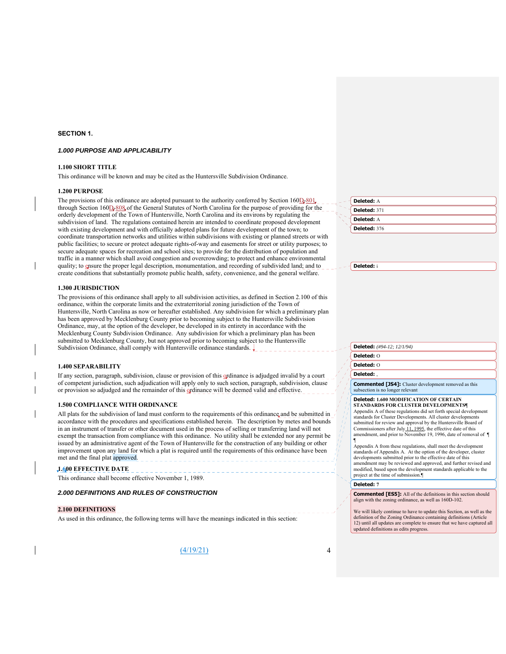#### **SECTION 1.**

#### *1.000 PURPOSE AND APPLICABILITY*

#### **1.100 SHORT TITLE**

This ordinance will be known and may be cited as the Huntersville Subdivision Ordinance.

#### **1.200 PURPOSE**

The provisions of this ordinance are adopted pursuant to the authority conferred by Section  $160\underline{D}_7801$ , through Section 160D-808 of the General Statutes of North Carolina for the purpose of providing for the orderly development of the Town of Huntersville, North Carolina and its environs by regulating the subdivision of land. The regulations contained herein are intended to coordinate proposed development with existing development and with officially adopted plans for future development of the town; to coordinate transportation networks and utilities within subdivisions with existing or planned streets or with public facilities; to secure or protect adequate rights-of-way and easements for street or utility purposes; to secure adequate spaces for recreation and school sites; to provide for the distribution of population and traffic in a manner which shall avoid congestion and overcrowding; to protect and enhance environmental quality; to ensure the proper legal description, monumentation, and recording of subdivided land; and to create conditions that substantially promote public health, safety, convenience, and the general welfare.

#### **1.300 JURISDICTION**

The provisions of this ordinance shall apply to all subdivision activities, as defined in Section 2.100 of this ordinance, within the corporate limits and the extraterritorial zoning jurisdiction of the Town of Huntersville, North Carolina as now or hereafter established. Any subdivision for which a preliminary plan has been approved by Mecklenburg County prior to becoming subject to the Huntersville Subdivision Ordinance, may, at the option of the developer, be developed in its entirety in accordance with the Mecklenburg County Subdivision Ordinance. Any subdivision for which a preliminary plan has been submitted to Mecklenburg County, but not approved prior to becoming subject to the Huntersville Subdivision Ordinance, shall comply with Huntersville ordinance standards.  $\downarrow$ 

#### **1.400 SEPARABILITY**

If any section, paragraph, subdivision, clause or provision of this ordinance is adjudged invalid by a court of competent jurisdiction, such adjudication will apply only to such section, paragraph, subdivision, clause or provision so adjudged and the remainder of this ordinance will be deemed valid and effective.

#### **1.500 COMPLIANCE WITH ORDINANCE**

All plats for the subdivision of land must conform to the requirements of this ordinance and be submitted in accordance with the procedures and specifications established herein. The description by metes and bounds in an instrument of transfer or other document used in the process of selling or transferring land will not exempt the transaction from compliance with this ordinance. No utility shall be extended nor any permit be issued by an administrative agent of the Town of Huntersville for the construction of any building or other improvement upon any land for which a plat is required until the requirements of this ordinance have been met and the final plat approved.

#### **1.600 EFFECTIVE DATE**

This ordinance shall become effective November 1, 1989.

#### *2.000 DEFINITIONS AND RULES OF CONSTRUCTION*

#### **2.100 DEFINITIONS**

As used in this ordinance, the following terms will have the meanings indicated in this section:

 $(4/19/21)$  4

| ÷      | Deleted: A   |
|--------|--------------|
|        | Deleted: 371 |
| $\sim$ | Deleted: A   |
|        | Deleted: 376 |

**Deleted:** i

**Deleted:** *(#94-12; 12/1/94)*

#### **Deleted:** O

#### **Deleted:** O

**Deleted:** ,

**Commented [JS4]:** Cluster development removed as this subsection is no longer relevant

#### **Deleted: 1.600 MODIFICATION OF CERTAIN STANDARDS FOR CLUSTER DEVELOPMENTS¶**

Appendix A of these regulations did set forth special development standards for Cluster Developments. All cluster developments submitted for review and approval by the Huntersville Board of Commissioners after July 11, 1995, the effective date of this amendment, and prior to November 19, 1996, date of removal of  $\P$ 

¶ Appendix A from these regulations, shall meet the development standards of Appendix A. At the option of the developer, cluster developments submitted prior to the effective date of this amendment may be reviewed and approved, and further revised and modified, based upon the development standards applicable to the project at the time of submission.¶

#### **Deleted: 7**

**Commented [ES5]:** All of the definitions in this section should align with the zoning ordinance, as well as 160D-102.

We will likely continue to have to update this Section, as well as the definition of the Zoning Ordinance containing definitions (Article 12) until all updates are complete to ensure that we have captured all updated definitions as edits progress.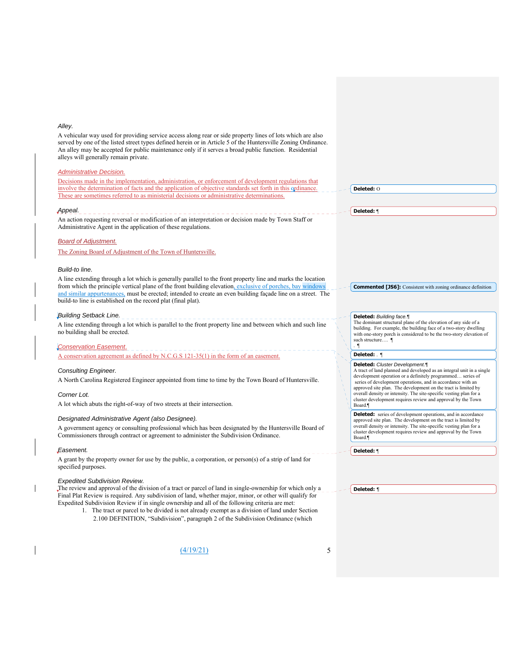#### *Alley.*

A vehicular way used for providing service access along rear or side property lines of lots which are also served by one of the listed street types defined herein or in Article 5 of the Huntersville Zoning Ordinance. An alley may be accepted for public maintenance only if it serves a broad public function. Residential alleys will generally remain private.

#### *Administrative Decision.*

Decisions made in the implementation, administration, or enforcement of development regulations that involve the determination of facts and the application of objective standards set forth in this ordinance. These are sometimes referred to as ministerial decisions or administrative determinations.

#### *Appeal.*

An action requesting reversal or modification of an interpretation or decision made by Town Staff or Administrative Agent in the application of these regulations.

#### *Board of Adjustment.*

The Zoning Board of Adjustment of the Town of Huntersville.

#### *Build-to line.*

A line extending through a lot which is generally parallel to the front property line and marks the location from which the principle vertical plane of the front building elevation, exclusive of porches, bay windows and similar appurtenances, must be erected; intended to create an even building façade line on a street. The build-to line is established on the record plat (final plat).

#### *Building Setback Line.*

A line extending through a lot which is parallel to the front property line and between which and such line no building shall be erected.

#### *Conservation Easement*.

A conservation agreement as defined by N.C.G.S 121-35(1) in the form of an easement.

#### *Consulting Engineer.*

A North Carolina Registered Engineer appointed from time to time by the Town Board of Huntersville.

#### *Corner Lot.*

A lot which abuts the right-of-way of two streets at their intersection.

#### *Designated Administrative Agent (also Designee).*

A government agency or consulting professional which has been designated by the Huntersville Board of Commissioners through contract or agreement to administer the Subdivision Ordinance.

#### *Easement.*

A grant by the property owner for use by the public, a corporation, or person(s) of a strip of land for specified purposes.

#### *Expedited Subdivision Review.*

The review and approval of the division of a tract or parcel of land in single-ownership for which only a Final Plat Review is required. Any subdivision of land, whether major, minor, or other will qualify for Expedited Subdivision Review if in single ownership and all of the following criteria are met:

1. The tract or parcel to be divided is not already exempt as a division of land under Section 2.100 DEFINITION, "Subdivision", paragraph 2 of the Subdivision Ordinance (which

 $(4/19/21)$  5

**Deleted:** O

**Deleted:** ¶

**Commented [JS6]:** Consistent with zoning ordinance definition

#### **Deleted:** *Building face.¶*

The dominant structural plane of the elevation of any side of a building. For example, the building face of a two-story dwelling with one-story porch is considered to be the two-story elevation of such structure…. ¶ . ¶

#### **Deleted:** . ¶

**Deleted:** *Cluster Development.¶* A tract of land planned and developed as an integral unit in a single development operation or a definitely programmed… series of

 series of development operations, and in accordance with an approved site plan. The development on the tract is limited by overall density or intensity. The site-specific vesting plan for a cluster development requires review and approval by the Town Board.¶

**Deleted:** series of development operations, and in accordance approved site plan. The development on the tract is limited by overall density or intensity. The site-specific vesting plan for a cluster development requires review and approval by the Town Board.¶

**Deleted:** ¶

**Deleted:** *¶*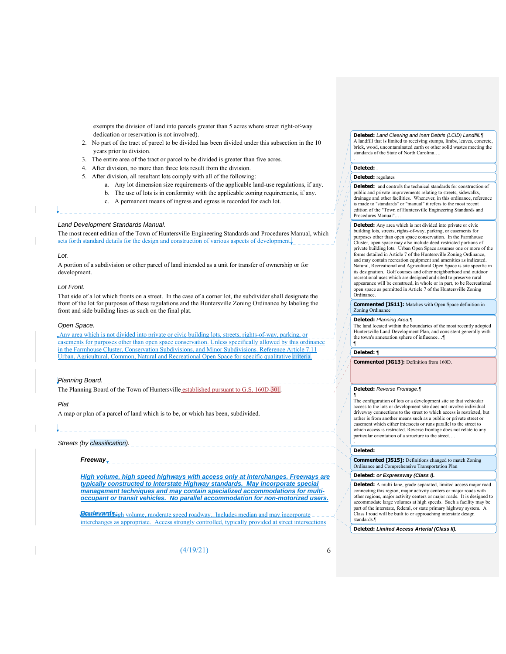exempts the division of land into parcels greater than 5 acres where street right-of-way dedication or reservation is not involved).

- 2. No part of the tract of parcel to be divided has been divided under this subsection in the 10 years prior to division.
- 3. The entire area of the tract or parcel to be divided is greater than five acres.
- 4. After division, no more than three lots result from the division.
- 5. After division, all resultant lots comply with all of the following:

- a. Any lot dimension size requirements of the applicable land-use regulations, if any.
- b. The use of lots is in conformity with the applicable zoning requirements, if any.
- c. A permanent means of ingress and egress is recorded for each lot.

#### *Land Development Standards Manual.*

The most recent edition of the Town of Huntersville Engineering Standards and Procedures Manual, which sets forth standard details for the design and construction of various aspects of development.

#### *Lot.*

ļ

A portion of a subdivision or other parcel of land intended as a unit for transfer of ownership or for development.

#### *Lot Front.*

That side of a lot which fronts on a street. In the case of a corner lot, the subdivider shall designate the front of the lot for purposes of these regulations and the Huntersville Zoning Ordinance by labeling the front and side building lines as such on the final plat.

#### *Open Space.*

Any area which is not divided into private or civic building lots, streets, rights-of-way, parking, or easements for purposes other than open space conservation. Unless specifically allowed by this ordinance in the Farmhouse Cluster, Conservation Subdivisions, and Minor Subdivisions. Reference Article 7.11 Urban, Agricultural, Common, Natural and Recreational Open Space for specific qualitative criteria.

#### *Planning Board.*

The Planning Board of the Town of Huntersville established pursuant to G.S. 160D-301.

#### *Plat*

A map or plan of a parcel of land which is to be, or which has been, subdivided.

#### 

# *Streets (by classification).*

*Freeway* 

*High volume, high speed highways with access only at interchanges. Freeways are typically constructed to Interstate Highway standards. May incorporate special management techniques and may contain specialized accommodations for multioccupant or transit vehicles. No parallel accommodation for non-motorized users.* 

**Boulevards** igh volume, moderate speed roadway. Includes median and may incorporate interchanges as appropriate. Access strongly controlled, typically provided at street intersections

 $(4/19/21)$  6

**Deleted:** *Land Clearing and Inert Debris (LCID) Landfill.¶* A landfill that is limited to receiving stumps, limbs, leaves, concrete, brick, wood, uncontaminated earth or other solid wastes meeting the standards of the State of North Carolina….

#### **Deleted:** .

.

#### **Deleted:** regulates

**Deleted:** and controls the technical standards for construction of public and private improvements relating to streets, sidewalks, drainage and other facilities. Whenever, in this ordinance, reference is made to "standards" or "manual" it refers to the most recent edition of the "Town of Huntersville Engineering Standards and Procedures Manual".…

# **Deleted:** Any area which is not divided into private or civic

building lots, streets, rights-of-way, parking, or easements for purposes other than open space conservation. In the Farmhouse Cluster, open space may also include deed-restricted portions of private building lots. Urban Open Space assumes one or more of the forms detailed in Article 7 of the Huntersville Zoning Ordinance and may contain recreation equipment and amenities as indicated. Natural, Recreational and Agricultural Open Space is site specific in its designation. Golf courses and other neighborhood and outdoor recreational uses which are designed and sited to preserve rural appearance will be construed, in whole or in part, to be Recreational open space as permitted in Article 7 of the Huntersville Zoning Ordinance.

**Commented [JS11]:** Matches with Open Space definition in Zoning Ordinance

#### **Deleted:** *Planning Area.¶*

The land located within the boundaries of the most recently adopted Huntersville Land Development Plan, and consistent generally with the town's annexation sphere of influence…¶ ¶

#### **Deleted:** ¶

**Commented [JG13]:** Definition from 160D.

#### **Deleted:** *Reverse Frontage.¶*

*¶* The configuration of lots or a development site so that vehicular access to the lots or development site does not involve individual driveway connections to the street to which access is restricted, but rather is from another means such as a public or private street or easement which either intersects or runs parallel to the street to which access is restricted. Reverse frontage does not relate to any particular orientation of a structure to the street.

#### **Deleted:** .

**Commented [JS15]:** Definitions changed to match Zoning Ordinance and Comprehensive Transportation Plan

#### **Deleted:** *or Expressway (Class I).*

**Deleted:** A multi-lane, grade-separated, limited access major road connecting this region, major activity centers or major roads with other regions, major activity centers or major roads. It is designed to accommodate large volumes at high speeds. Such a facility may be part of the interstate, federal, or state primary highway system. A Class I road will be built to or approaching interstate design standards.¶

**Deleted:** *Limited Access Arterial (Class II).*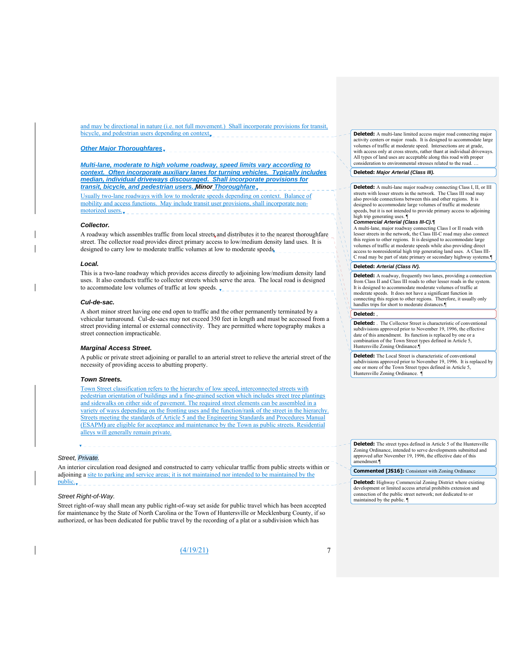and may be directional in nature (i.e. not full movement.) Shall incorporate provisions for transit, bicycle, and pedestrian users depending on context,

#### *Other Major Thoroughfares*

*Multi-lane, moderate to high volume roadway, speed limits vary according to context. Often incorporate auxiliary lanes for turning vehicles. Typically includes median, individual driveways discouraged. Shall incorporate provisions for transit, bicycle, and pedestrian users. Minor Thoroughfare* 

Usually two-lane roadways with low to moderate speeds depending on context. Balance of mobility and access functions. May include transit user provisions, shall incorporate nonmotorized users.

#### *Collector.*

A roadway which assembles traffic from local streets and distributes it to the nearest thoroughfare street. The collector road provides direct primary access to low/medium density land uses. It is designed to carry low to moderate traffic volumes at low to moderate speeds.

#### *Local.*

This is a two-lane roadway which provides access directly to adjoining low/medium density land uses. It also conducts traffic to collector streets which serve the area. The local road is designed to accommodate low volumes of traffic at low speeds.

#### *Cul-de-sac.*

A short minor street having one end open to traffic and the other permanently terminated by a vehicular turnaround. Cul-de-sacs may not exceed 350 feet in length and must be accessed from a street providing internal or external connectivity. They are permitted where topography makes a street connection impracticable.

#### *Marginal Access Street.*

A public or private street adjoining or parallel to an arterial street to relieve the arterial street of the necessity of providing access to abutting property.

#### *Town Streets.*

Town Street classification refers to the hierarchy of low speed, interconnected streets with pedestrian orientation of buildings and a fine-grained section which includes street tree plantings and sidewalks on either side of pavement. The required street elements can be assembled in a variety of ways depending on the fronting uses and the function/rank of the street in the hierarchy. Streets meeting the standards of Article 5 and the Engineering Standards and Procedures Manual (ESAPM**)** are eligible for acceptance and maintenance by the Town as public streets. Residential alleys will generally remain private.

#### *Street, Private.*

An interior circulation road designed and constructed to carry vehicular traffic from public streets within or adjoining a site to parking and service areas; it is not maintained nor intended to be maintained by the public.

#### *Street Right-of-Way.*

Street right-of-way shall mean any public right-of-way set aside for public travel which has been accepted for maintenance by the State of North Carolina or the Town of Huntersville or Mecklenburg County, if so authorized, or has been dedicated for public travel by the recording of a plat or a subdivision which has

 $(4/19/21)$  7

**Deleted:** A multi-lane limited access major road connecting major activity centers or major roads. It is designed to accommodate large volumes of traffic at moderate speed. Intersections are at grade, with access only at cross streets, rather thant at individual driveways. All types of land uses are acceptable along this road with proper consideration to environmental stresses related to the road. …

#### **Deleted:** *Major Arterial (Class III).*

**Deleted:** A multi-lane major roadway connecting Class I, II, or III streets with lesser streets in the network. The Class III road may also provide connections between this and other regions. It is designed to accommodate large volumes of traffic at moderate speeds, but it is not intended to provide primary access to adjoining high trip generating uses.  $\P$ 

#### *Commercial Arterial (Class III-C).¶*

A multi-lane, major roadway connecting Class I or II roads with lesser streets in the network, the Class III-C road may also connect this region to other regions. It is designed to accommodate large volumes of traffic at moderate speeds while also providing direct access to nonresidential high trip generating land uses. A Class III-C road may be part of state primary or secondary highway systems.¶

#### **Deleted:** *Arterial (Class IV).*

**Deleted:** A roadway, frequently two lanes, providing a connection from Class II and Class III roads to other lesser roads in the system. It is designed to accommodate moderate volumes of traffic at moderate speeds. It does not have a significant function in connecting this region to other regions. Therefore, it usually only handles trips for short to moderate distances.¶

# **Deleted:** ,

**Deleted:** . The Collector Street is characteristic of conventional subdivisions approved prior to November 19, 1996, the effective date of this amendment. Its function is replaced by one or a combination of the Town Street types defined in Article 5, Huntersville Zoning Ordinance.

**Deleted:** The Local Street is characteristic of conventional subdivisions approved prior to November 19, 1996. It is replaced by one or more of the Town Street types defined in Article 5, Huntersville Zoning Ordinance. ¶

**Deleted:** The street types defined in Article 5 of the Huntersville Zoning Ordinance, intended to serve developments submitted and approved after November 19, 1996, the effective date of this a<br>nendment.¶

**Commented [JS16]:** Consistent with Zoning Ordinance

**Deleted:** Highway Commercial Zoning District where existing development or limited access arterial prohibits extension and connection of the public street network; not dedicated to or maintained by the public. ¶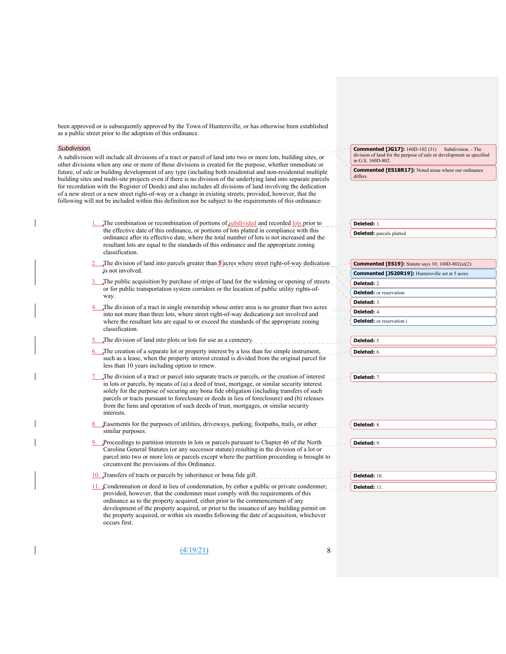been approved or is subsequently approved by the Town of Huntersville, or has otherwise been established as a public street prior to the adoption of this ordinance.

#### *Subdivision.*

A subdivision will include all divisions of a tract or parcel of land into two or more lots, building sites, or other divisions when any one or more of those divisions is created for the purpose, whether immediate or future, of sale or building development of any type (including both residential and non-residential multiple building sites and multi-site projects even if there is no division of the underlying land into separate parcels for recordation with the Register of Deeds) and also includes all divisions of land involving the dedication of a new street or a new street right-of-way or a change in existing streets; provided, however, that the following will not be included within this definition nor be subject to the requirements of this ordinance:

- The combination or recombination of portions of subdivided and recorded lots prior to the effective date of this ordinance, or portions of lots platted in compliance with this ordinance after its effective date, where the total number of lots is not increased and the resultant lots are equal to the standards of this ordinance and the appropriate zoning classification.
- The division of land into parcels greater than 5 acres where street right-of-way dedication is not involved.
- The public acquisition by purchase of strips of land for the widening or opening of streets or for public transportation system corridors or the location of public utility rights-ofway.
- The division of a tract in single ownership whose entire area is no greater than two acres into not more than three lots, where street right-of-way dedication s not involved and where the resultant lots are equal to or exceed the standards of the appropriate zoning classification.
- The division of land into plots or lots for use as a cemetery.
- The creation of a separate lot or property interest by a less than fee simple instrument, such as a lease, when the property interest created is divided from the original parcel for less than 10 years including option to renew.
- The division of a tract or parcel into separate tracts or parcels, or the creation of interest in lots or parcels, by means of (a) a deed of trust, mortgage, or similar security interest solely for the purpose of securing any bona fide obligation (including transfers of such parcels or tracts pursuant to foreclosure or deeds in lieu of foreclosure) and (b) releases from the liens and operation of such deeds of trust, mortgages, or similar security interests.
- Easements for the purposes of utilities, driveways, parking, footpaths, trails, or other similar purposes.
- Proceedings to partition interests in lots or parcels pursuant to Chapter 46 of the North Carolina General Statutes (or any successor statute) resulting in the division of a lot or parcel into two or more lots or parcels except where the partition proceeding is brought to circumvent the provisions of this Ordinance.
- 10. Transfers of tracts or parcels by inheritance or bona fide gift. 11. Condemnation or deed in lieu of condemnation, by either a public or private condemner; provided, however, that the condemner must comply with the requirements of this ordinance as to the property acquired, either prior to the commencement of any development of the property acquired, or prior to the issuance of any building permit on the property acquired, or within six months following the date of acquisition, whichever occurs first.

**Commented [JG17]:** 160D-102 (31) Subdivision. - The  $\frac{1}{2}$  division of land for the purpose of sale or development as specified in G.S. 160D-802.

**Commented [ES18R17]:** Noted areas where our ordinance differs

**Deleted:** 1. **Deleted:** parcels platted

| <b>Commented [ES19]:</b> Statute says 10; $160D-802(a)(2)$ |
|------------------------------------------------------------|
| <b>Commented [JS20R19]:</b> Huntersville set at 5 acres    |
| Deleted: 2.                                                |
| <b>Deleted:</b> or reservation                             |
| Deleted: 3.                                                |
| Deleted: 4.                                                |
| <b>Deleted:</b> or reservation i                           |
|                                                            |
| <b>Deleted:</b> 5.                                         |

**Deleted:** 7.

**Deleted:** 6.

| Deleted: 8. |  |  |  |
|-------------|--|--|--|
|             |  |  |  |

**Deleted:** 9.

**Deleted:** 10.

**Deleted:** 11.

(4/19/21) 8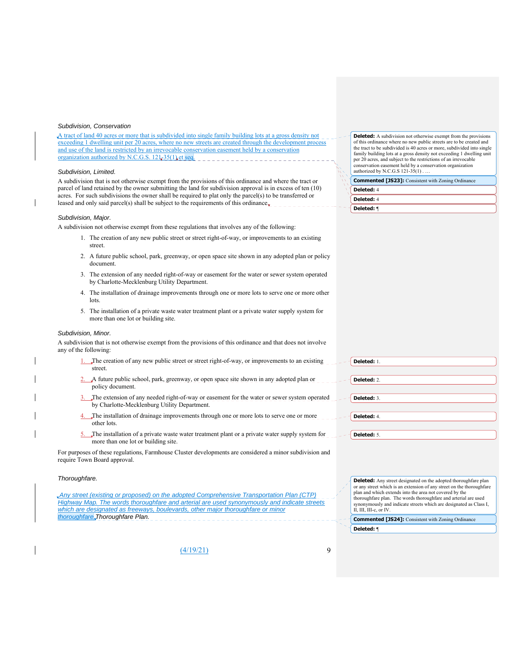#### *Subdivision, Conservation*

A tract of land 40 acres or more that is subdivided into single family building lots at a gross density not exceeding 1 dwelling unit per 20 acres, where no new streets are created through the development process and use of the land is restricted by an irrevocable conservation easement held by a conservation organization authorized by N.C.G.S.  $121-35(1)$  et seq.

#### *Subdivision, Limited.*

A subdivision that is not otherwise exempt from the provisions of this ordinance and where the tract or parcel of land retained by the owner submitting the land for subdivision approval is in excess of ten (10) acres. For such subdivisions the owner shall be required to plat only the parcel(s) to be transferred or leased and only said parcel(s) shall be subject to the requirements of this ordinance.

#### *Subdivision, Major.*

A subdivision not otherwise exempt from these regulations that involves any of the following:

- 1. The creation of any new public street or street right-of-way, or improvements to an existing street.
- 2. A future public school, park, greenway, or open space site shown in any adopted plan or policy document.
- 3. The extension of any needed right-of-way or easement for the water or sewer system operated by Charlotte-Mecklenburg Utility Department.
- 4. The installation of drainage improvements through one or more lots to serve one or more other **lots**
- 5. The installation of a private waste water treatment plant or a private water supply system for more than one lot or building site.

#### *Subdivision, Minor.*

A subdivision that is not otherwise exempt from the provisions of this ordinance and that does not involve any of the following:

- The creation of any new public street or street right-of-way, or improvements to an existing street.
- 2. A future public school, park, greenway, or open space site shown in any adopted plan or policy document.
- The extension of any needed right-of-way or easement for the water or sewer system operated by Charlotte-Mecklenburg Utility Department.
- 4. The installation of drainage improvements through one or more lots to serve one or more other lots.
- The installation of a private waste water treatment plant or a private water supply system for more than one lot or building site.

For purposes of these regulations, Farmhouse Cluster developments are considered a minor subdivision and require Town Board approval.

#### *Thoroughfare.*

| Any street (existing or proposed) on the adopted Comprehensive Transportation Plan (CTP)    |
|---------------------------------------------------------------------------------------------|
| Highway Map. The words thoroughfare and arterial are used synonymously and indicate streets |
| which are designated as freeways, boulevards, other major thoroughfare or minor             |
| thoroughfare Thoroughfare Plan.                                                             |

**Deleted:** Any street designated on the adopted thoroughfare plan or any street which is an extension of any street on the thoroughfare plan and which extends into the area not covered by the thoroughfare plan. The words thoroughfare and arterial are used synonymously and indicate streets which are designated as Class I, II, III, III-c, or IV.

**Commented [JS24]:** Consistent with Zoning Ordinance **Deleted:** ¶

| (4/19/21) |  |
|-----------|--|
|-----------|--|

**Deleted:** A subdivision not otherwise exempt from the provisions of this ordinance where no new public streets are to be created and the tract to be subdivided is 40 acres or more, subdivided into single family building lots at a gross density not exceeding 1 dwelling unit per 20 acres, and subject to the restrictions of an irrevocable conservation easement held by a conservation organization authorized by N.C.G.S 121-35(1) . …

| <b>Commented [JS23]:</b> Consistent with Zoning Ordinance |
|-----------------------------------------------------------|
| Deleted: 4                                                |
| Deleted: 4                                                |

**Deleted:** ¶

| Deleted: 1. |  |  |
|-------------|--|--|
|             |  |  |
| Deleted: 2. |  |  |
|             |  |  |
| Deleted: 3. |  |  |
|             |  |  |
| Deleted: 4. |  |  |
|             |  |  |
| Deleted: 5. |  |  |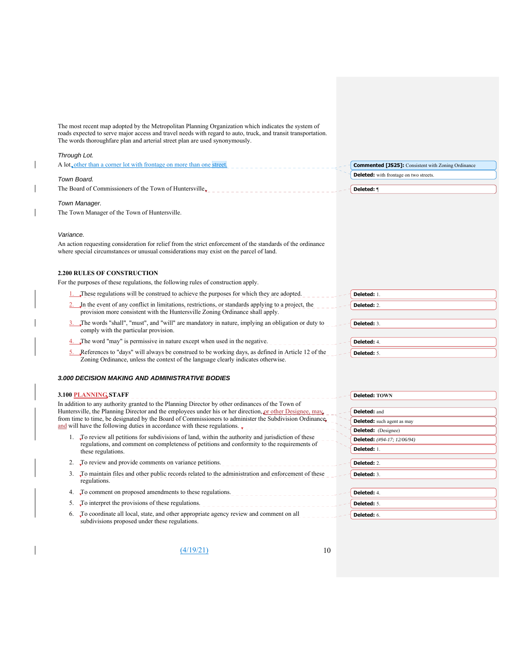| The most recent map adopted by the Metropolitan Planning Organization which indicates the system of<br>roads expected to serve major access and travel needs with regard to auto, truck, and transit transportation.<br>The words thoroughfare plan and arterial street plan are used synonymously. |                                                           |
|-----------------------------------------------------------------------------------------------------------------------------------------------------------------------------------------------------------------------------------------------------------------------------------------------------|-----------------------------------------------------------|
| Through Lot.                                                                                                                                                                                                                                                                                        |                                                           |
| A lot <sub>v</sub> other than a corner lot with frontage on more than one street.                                                                                                                                                                                                                   | <b>Commented [JS25]:</b> Consistent with Zoning Ordinance |
|                                                                                                                                                                                                                                                                                                     | <b>Deleted:</b> with frontage on two streets.             |
| Town Board.<br>The Board of Commissioners of the Town of Huntersville $_{\bullet}$                                                                                                                                                                                                                  | Deleted: ¶                                                |
|                                                                                                                                                                                                                                                                                                     |                                                           |
| Town Manager.                                                                                                                                                                                                                                                                                       |                                                           |
| The Town Manager of the Town of Huntersville.                                                                                                                                                                                                                                                       |                                                           |
| Variance.                                                                                                                                                                                                                                                                                           |                                                           |
| An action requesting consideration for relief from the strict enforcement of the standards of the ordinance<br>where special circumstances or unusual considerations may exist on the parcel of land.                                                                                               |                                                           |
| <b>2.200 RULES OF CONSTRUCTION</b>                                                                                                                                                                                                                                                                  |                                                           |
| For the purposes of these regulations, the following rules of construction apply.                                                                                                                                                                                                                   |                                                           |
| These regulations will be construed to achieve the purposes for which they are adopted.                                                                                                                                                                                                             | Deleted: 1.                                               |
| 2. In the event of any conflict in limitations, restrictions, or standards applying to a project, the<br>provision more consistent with the Huntersville Zoning Ordinance shall apply.                                                                                                              | Deleted: 2.                                               |
| The words "shall", "must", and "will" are mandatory in nature, implying an obligation or duty to                                                                                                                                                                                                    | Deleted: 3.                                               |
| comply with the particular provision.                                                                                                                                                                                                                                                               |                                                           |
| The word "may" is permissive in nature except when used in the negative.                                                                                                                                                                                                                            | Deleted: 4.                                               |
| 5. References to "days" will always be construed to be working days, as defined in Article 12 of the<br>Zoning Ordinance, unless the context of the language clearly indicates otherwise.                                                                                                           | Deleted: 5.                                               |
| <b>3.000 DECISION MAKING AND ADMINISTRATIVE BODIES</b>                                                                                                                                                                                                                                              |                                                           |
| 3.100 PLANNING STAFF                                                                                                                                                                                                                                                                                | Deleted: TOWN                                             |
| In addition to any authority granted to the Planning Director by other ordinances of the Town of                                                                                                                                                                                                    |                                                           |
| Huntersville, the Planning Director and the employees under his or her direction, $\rho r$ other Designee, may                                                                                                                                                                                      | Deleted: and                                              |
| from time to time, be designated by the Board of Commissioners to administer the Subdivision Ordinance.<br>and will have the following duties in accordance with these regulations.                                                                                                                 | <b>Deleted:</b> such agent as may                         |
| 1. To review all petitions for subdivisions of land, within the authority and jurisdiction of these                                                                                                                                                                                                 | <b>Deleted:</b> (Designee)                                |
| regulations, and comment on completeness of petitions and conformity to the requirements of                                                                                                                                                                                                         | Deleted: (#94-17; 12/06/94)                               |
| these regulations.                                                                                                                                                                                                                                                                                  | Deleted: 1.                                               |
| To review and provide comments on variance petitions.<br>2.                                                                                                                                                                                                                                         | Deleted: 2.                                               |
| To maintain files and other public records related to the administration and enforcement of these<br>3.<br>regulations.                                                                                                                                                                             | Deleted: 3.                                               |
| To comment on proposed amendments to these regulations.<br>4.                                                                                                                                                                                                                                       | Deleted: 4.                                               |
| To interpret the provisions of these regulations.<br>5.                                                                                                                                                                                                                                             | Deleted: 5.                                               |
| To coordinate all local, state, and other appropriate agency review and comment on all<br>6.                                                                                                                                                                                                        | Deleted: 6.                                               |
| subdivisions proposed under these regulations.                                                                                                                                                                                                                                                      |                                                           |

 $\mathbf{I}$ 

 $\overline{1}$ 

 $\begin{array}{c} \hline \end{array}$ 

 $\overline{\phantom{a}}$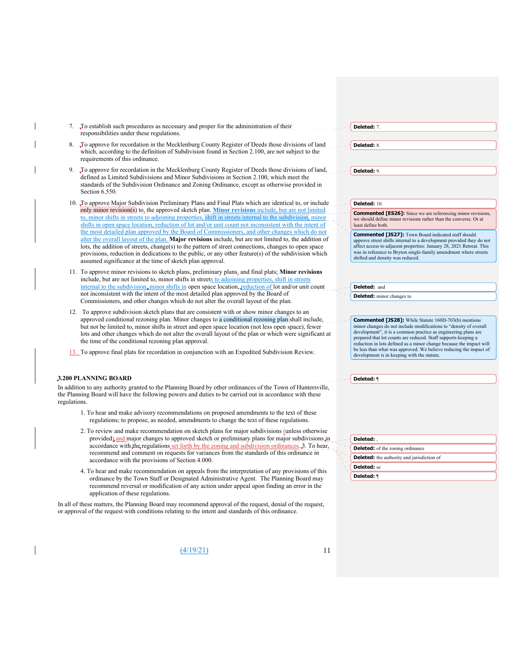| 7. To establish such procedures as necessary and proper for the administration of their |
|-----------------------------------------------------------------------------------------|
| responsibilities under these regulations.                                               |

- 8. To approve for recordation in the Mecklenburg County Register of Deeds those divisions of land which, according to the definition of Subdivision found in Section 2.100, are not subject to the requirements of this ordinance.
- 9. To approve for recordation in the Mecklenburg County Register of Deeds those divisions of land, defined as Limited Subdivisions and Minor Subdivisions in Section 2.100, which meet the standards of the Subdivision Ordinance and Zoning Ordinance, except as otherwise provided in Section 6.550.
- 10. To approve Major Subdivision Preliminary Plans and Final Plats which are identical to, or include only minor revision(s) to, the approved sketch plan. **Minor revisions** include, but are not limited to, minor shifts in streets to adjoining properties, shift in streets internal to the subdivision, minor shifts in open space location, reduction of lot and/or unit count not inconsistent with the intent of the most detailed plan approved by the Board of Commissioners, and other changes which do not alter the overall layout of the plan. **Major revisions** include, but are not limited to, the addition of lots, the addition of streets, change(s) to the pattern of street connections, changes to open space provisions, reduction in dedications to the public, or any other feature(s) of the subdivision which assumed significance at the time of sketch plan approval.
- 11. To approve minor revisions to sketch plans, preliminary plans, and final plats; **Minor revisions** include, but are not limited to, minor shifts in streets to adjoining properties, shift in streets internal to the subdivision, minor shifts in open space location, reduction of lot and/or unit count not inconsistent with the intent of the most detailed plan approved by the Board of Commissioners, and other changes which do not alter the overall layout of the plan.
- 12. To approve subdivision sketch plans that are consistent with or show minor changes to an approved conditional rezoning plan. Minor changes to a conditional rezoning plan shall include, but not be limited to, minor shifts in street and open space location (not less open space), fewer lots and other changes which do not alter the overall layout of the plan or which were significant at the time of the conditional rezoning plan approval.
- 13. To approve final plats for recordation in conjunction with an Expedited Subdivision Review.

#### **3.200 PLANNING BOARD**

In addition to any authority granted to the Planning Board by other ordinances of the Town of Huntersville, the Planning Board will have the following powers and duties to be carried out in accordance with these regulations.

- 1. To hear and make advisory recommendations on proposed amendments to the text of these regulations; to propose, as needed, amendments to change the text of these regulations.
- 2. To review and make recommendation on sketch plans for major subdivisions (unless otherwise provided) and major changes to approved sketch or preliminary plans for major subdivisions in accordance with the regulations set forth by the zoning and subdivision ordinances. 3. To hear, recommend and comment on requests for variances from the standards of this ordinance in accordance with the provisions of Section 4.000.
- 4. To hear and make recommendation on appeals from the interpretation of any provisions of this ordinance by the Town Staff or Designated Administrative Agent. The Planning Board may recommend reversal or modification of any action under appeal upon finding an error in the application of these regulations.

In all of these matters, the Planning Board may recommend approval of the request, denial of the request, or approval of the request with conditions relating to the intent and standards of this ordinance.

| . | . . |  |
|---|-----|--|

| elete.<br>л |
|-------------|
|             |

**Deleted:** 7.

**Deleted:** 8.

# **Deleted:** 10.

**Commented [ES26]:** Since we are referencing minor revisions, we should define minor revisions rather than the converse. Or at least define both.

**Commented [JS27]:** Town Board indicated staff should approve street shifts internal to a development provided they do not affect access to adjacent properties: January 28, 2021 Retreat. This was in reference to Bryton single-family amendment where streets shifted and density was reduced.

**Deleted:** and **Deleted:** minor changes to

**Commented [JS28]:** While Statute 160D-703(b) mentions minor changes do not include modifications to "density of overall development", it is a common practice as engineering plans are prepared that lot counts are reduced. Staff supports keeping a reduction in lots defined as a minor change because the impact will be less than what was approved. We believe reducing the impact of development is in keeping with the statute.

**Deleted:** ¶

|                                                   | Deleted:                                |  |  |  |
|---------------------------------------------------|-----------------------------------------|--|--|--|
|                                                   | <b>Deleted:</b> of the zoning ordinance |  |  |  |
| <b>Deleted:</b> the authority and jurisdiction of |                                         |  |  |  |
| Deleted: se                                       |                                         |  |  |  |
|                                                   | Deleted: <b>1</b>                       |  |  |  |

**Deleted:** 9.

 $\frac{(4/19/21)}{11}$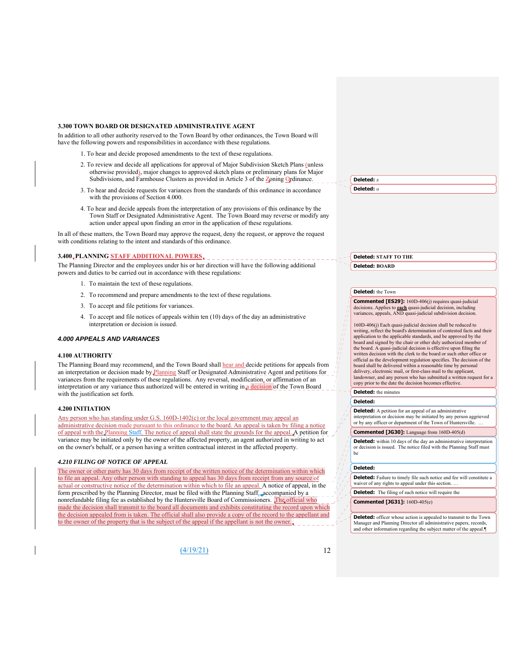#### **3.300 TOWN BOARD OR DESIGNATED ADMINISTRATIVE AGENT**

In addition to all other authority reserved to the Town Board by other ordinances, the Town Board will have the following powers and responsibilities in accordance with these regulations.

- 1. To hear and decide proposed amendments to the text of these regulations.
- 2. To review and decide all applications for approval of Major Subdivision Sketch Plans (unless otherwise provided), major changes to approved sketch plans or preliminary plans for Major Subdivisions, and Farmhouse Clusters as provided in Article 3 of the Zoning Ordinance.
- 3. To hear and decide requests for variances from the standards of this ordinance in accordance with the provisions of Section 4.000.
- 4. To hear and decide appeals from the interpretation of any provisions of this ordinance by the Town Staff or Designated Administrative Agent. The Town Board may reverse or modify any action under appeal upon finding an error in the application of these regulations.

In all of these matters, the Town Board may approve the request, deny the request, or approve the request with conditions relating to the intent and standards of this ordinance.

# **3.400 PLANNING STAFF ADDITIONAL POWERS**

The Planning Director and the employees under his or her direction will have the following additional powers and duties to be carried out in accordance with these regulations:

- 1. To maintain the text of these regulations.
- 2. To recommend and prepare amendments to the text of these regulations.
- 3. To accept and file petitions for variances.
- 4. To accept and file notices of appeals within ten (10) days of the day an administrative interpretation or decision is issued.

#### *4.000 APPEALS AND VARIANCES*

#### **4.100 AUTHORITY**

The Planning Board may recommend, and the Town Board shall hear and decide petitions for appeals from an interpretation or decision made by Planning Staff or Designated Administrative Agent and petitions for variances from the requirements of these regulations. Any reversal, modification, or affirmation of an interpretation or any variance thus authorized will be entered in writing in a decision of the Town Board with the justification set forth.

#### **4.200 INITIATION**

Any person who has standing under G.S. 160D-1402(c) or the local government may appeal an administrative decision made pursuant to this ordinance to the board. An appeal is taken by filing a notice of appeal with the Planning Staff. The notice of appeal shall state the grounds for the appeal. A petition for variance may be initiated only by the owner of the affected property, an agent authorized in writing to act on the owner's behalf, or a person having a written contractual interest in the affected property.

#### *4.210 FILING OF NOTICE OF APPEAL*

The owner or other party has 30 days from receipt of the written notice of the determination within which to file an appeal. Any other person with standing to appeal has 30 days from receipt from any source of actual or constructive notice of the determination within which to file an appeal. A notice of appeal, in the form prescribed by the Planning Director, must be filed with the Planning Staff, accompanied by a nonrefundable filing fee as established by the Huntersville Board of Commissioners. The official who made the decision shall transmit to the board all documents and exhibits constituting the record upon which the decision appealed from is taken. The official shall also provide a copy of the record to the appellant and to the owner of the property that is the subject of the appeal if the appellant is not the owner.

(4/19/21) 12

**Deleted:** z **Deleted:** o

**Deleted: STAFF TO THE Deleted: BOARD**

#### **Deleted:** the Town

**Commented [ES29]:** 160D-406(j) requires quasi-judicial decisions. Applies to **each** quasi-judicial decision, including variances, appeals, AND quasi-judicial subdivision decision.

160D-406(j) Each quasi-judicial decision shall be reduced to writing, reflect the board's determination of contested facts and their application to the applicable standards, and be approved by the board and signed by the chair or other duly authorized member of the board. A quasi-judicial decision is effective upon filing the written decision with the clerk to the board or such other office or official as the development regulation specifies. The decision of the board shall be delivered within a reasonable time by personal delivery, electronic mail, or first-class mail to the applicant, landowner, and any person who has submitted a written request for a copy prior to the date the decision becomes effective.

**Deleted:** the minutes

#### **Deleted:**

**Deleted:** A petition for an appeal of an administrative interpretation or decision may be initiated by any person aggrieved or by any officer or department of the Town of Huntersville

#### **Commented [JG30]:** Language from 160D-405(d)

**Deleted:** within 10 days of the day an administrative interpretation or decision is issued. The notice filed with the Planning Staff must be

#### **Deleted:**

**Deleted:** Failure to timely file such notice and fee will constitute a waiver of any rights to appeal under this section. …

**Deleted:** The filing of such notice will require the

**Commented [JG31]:** 160D-405(e)

**Deleted:** officer whose action is appealed to transmit to the Town Manager and Planning Director all administrative papers, record and other information regarding the subject matter of the appeal.¶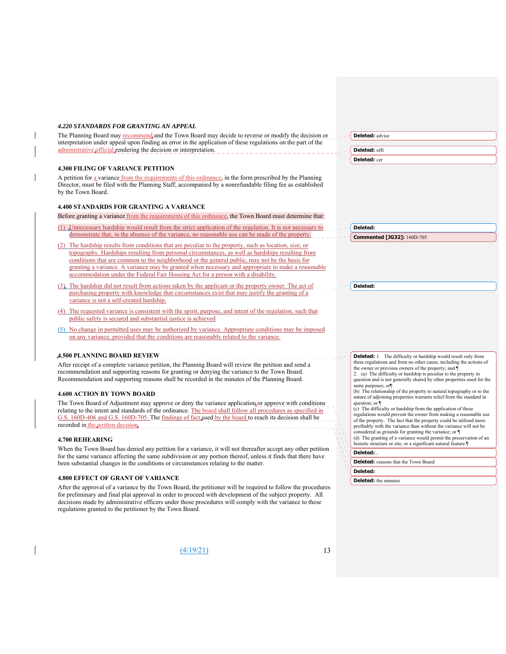#### *4.220 STANDARDS FOR GRANTING AN APPEAL*

| The Planning Board may recommend, and the Town Board may decide to reverse or modify the decision or         | $-$ - Deleted: advise |
|--------------------------------------------------------------------------------------------------------------|-----------------------|
| interpretation under appeal upon finding an error in the application of these regulations on the part of the |                       |
| administrative official rendering the decision or interpretation.                                            | deleted: offi         |
|                                                                                                              |                       |

# **4.300 FILING OF VARIANCE PETITION**

A petition for a variance from the requirements of this ordinance, in the form prescribed by the Planning Director, must be filed with the Planning Staff, accompanied by a nonrefundable filing fee as established by the Town Board.

#### **4.400 STANDARDS FOR GRANTING A VARIANCE**

Before granting a variance from the requirements of this ordinance, the Town Board must determine that:

- (1) Unnecessary hardship would result from the strict application of the regulation. It is not necessary to demonstrate that, in the absence of the variance, no reasonable use can be made of the property.
- (2) The hardship results from conditions that are peculiar to the property, such as location, size, or topography. Hardships resulting from personal circumstances, as well as hardships resulting from conditions that are common to the neighborhood or the general public, may not be the basis for granting a variance. A variance may be granted when necessary and appropriate to make a reasonable accommodation under the Federal Fair Housing Act for a person with a disability.
- (3) The hardship did not result from actions taken by the applicant or the property owner. The act of purchasing property with knowledge that circumstances exist that may justify the granting of a variance is not a self-created hardship.
- (4) The requested variance is consistent with the spirit, purpose, and intent of the regulation, such that public safety is secured and substantial justice is achieved
- (5) No change in permitted uses may be authorized by variance. Appropriate conditions may be imposed on any variance, provided that the conditions are reasonably related to the variance.

# **4.500 PLANNING BOARD REVIEW**

After receipt of a complete variance petition, the Planning Board will review the petition and send a recommendation and supporting reasons for granting or denying the variance to the Town Board. Recommendation and supporting reasons shall be recorded in the minutes of the Planning Board.

#### **4.600 ACTION BY TOWN BOARD**

The Town Board of Adjustment may approve or deny the variance application or approve with conditions relating to the intent and standards of the ordinance. The board shall follow all procedures as specified in G.S. 160D-406 and G.S. 160D-705. The findings of fact used by the board to reach its decision shall be recorded in <u>the written decision</u>.

#### **4.700 REHEARING**

When the Town Board has denied any petition for a variance, it will not thereafter accept any other petition for the same variance affecting the same subdivision or any portion thereof, unless it finds that there have been substantial changes in the conditions or circumstances relating to the matter.

#### **4.800 EFFECT OF GRANT OF VARIANCE**

After the approval of a variance by the Town Board, the petitioner will be required to follow the procedures for preliminary and final plat approval in order to proceed with development of the subject property. All decisions made by administrative officers under those procedures will comply with the variance to these regulations granted to the petitioner by the Town Board.

**Deleted:** cer

**Deleted:** 

**Commented [JG32]:** 160D-705

**Deleted:** 

**Deleted:** 1. The difficulty or hardship would result only from these regulations and from no other cause, including the actions of the owner or previous owners of the property; and 2. (a) The difficulty or hardship is peculiar to the property in question and is not generally shared by other properties used for the same purposes; or¶ (b) The relationship of the property to natural topography or to the nature of adjoining properties warrants relief from the standard in question; or ¶ (c) The difficulty or hardship from the application of these regulations would prevent the owner from making a reasonable use of the property. The fact that the property could be utilized more profitably with the variance than without the variance will not be considered as grounds for granting the variance; or ¶ (d) The granting of a variance would permit the preservation of an historic structure or site, or a significant natural feature.¶ **Deleted:** ,

**Deleted:** reasons that the Town Board

#### **Deleted:**

**Deleted:** the minutes

 $(4/19/21)$  13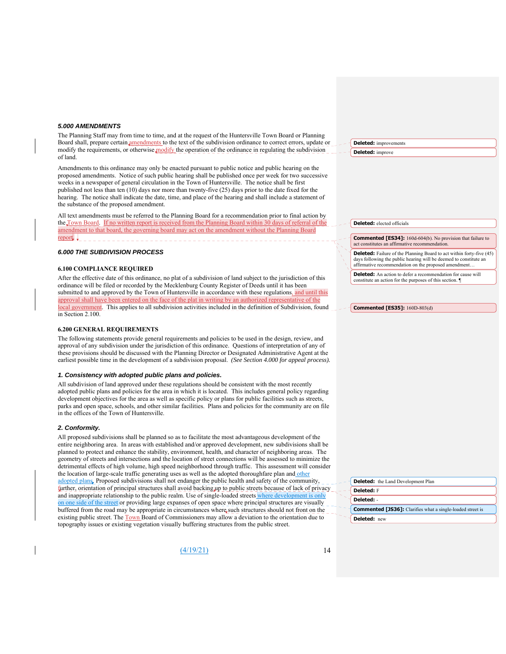#### *5.000 AMENDMENTS*

The Planning Staff may from time to time, and at the request of the Huntersville Town Board or Planning Board shall, prepare certain amendments to the text of the subdivision ordinance to correct errors, update or modify the requirements, or otherwise modify the operation of the ordinance in regulating the subdivision of land.

Amendments to this ordinance may only be enacted pursuant to public notice and public hearing on the proposed amendments. Notice of such public hearing shall be published once per week for two successive weeks in a newspaper of general circulation in the Town of Huntersville. The notice shall be first published not less than ten (10) days nor more than twenty-five (25) days prior to the date fixed for the hearing. The notice shall indicate the date, time, and place of the hearing and shall include a statement of the substance of the proposed amendment.

All text amendments must be referred to the Planning Board for a recommendation prior to final action by the Town Board. If no written report is received from the Planning Board within 30 days of referral of the amendment to that board, the governing board may act on the amendment without the Planning Board report.

#### *6.000 THE SUBDIVISION PROCESS*

#### **6.100 COMPLIANCE REQUIRED**

After the effective date of this ordinance, no plat of a subdivision of land subject to the jurisdiction of this ordinance will be filed or recorded by the Mecklenburg County Register of Deeds until it has been submitted to and approved by the Town of Huntersville in accordance with these regulations, and until this approval shall have been entered on the face of the plat in writing by an authorized representative of the local government. This applies to all subdivision activities included in the definition of Subdivision, found in Section 2.100.

#### **6.200 GENERAL REQUIREMENTS**

The following statements provide general requirements and policies to be used in the design, review, and approval of any subdivision under the jurisdiction of this ordinance. Questions of interpretation of any of these provisions should be discussed with the Planning Director or Designated Administrative Agent at the earliest possible time in the development of a subdivision proposal. *(See Section 4.000 for appeal process).*

#### *1. Consistency with adopted public plans and policies.*

All subdivision of land approved under these regulations should be consistent with the most recently adopted public plans and policies for the area in which it is located. This includes general policy regarding development objectives for the area as well as specific policy or plans for public facilities such as streets, parks and open space, schools, and other similar facilities. Plans and policies for the community are on file in the offices of the Town of Huntersville.

#### *2. Conformity.*

All proposed subdivisions shall be planned so as to facilitate the most advantageous development of the entire neighboring area. In areas with established and/or approved development, new subdivisions shall be planned to protect and enhance the stability, environment, health, and character of neighboring areas. The geometry of streets and intersections and the location of street connections will be assessed to minimize the detrimental effects of high volume, high speed neighborhood through traffic. This assessment will consider the location of large-scale traffic generating uses as well as the adopted thoroughfare plan and other adopted plans. Proposed subdivisions shall not endanger the public health and safety of the community, further, orientation of principal structures shall avoid backing up to public streets because of lack of privacy and inappropriate relationship to the public realm. Use of single-loaded streets where development is only on one side of the street or providing large expanses of open space where principal structures are visually buffered from the road may be appropriate in circumstances where such structures should not front on the existing public street. The Town Board of Commissioners may allow a deviation to the orientation due to topography issues or existing vegetation visually buffering structures from the public street.

(4/19/21) 14

|                         | <b>Deleted:</b> improvements |
|-------------------------|------------------------------|
| <b>Deleted:</b> improve |                              |

**Deleted:** elected officials

#### **Commented [ES34]:** 160d-604(b). No provision that failure to act constitutes an affirmative recommendation.

**Deleted:** Failure of the Planning Board to act within forty-five (45) days following the public hearing will be deemed to constitute an affirmative recommendation on the proposed amendment…

**Deleted:** An action to defer a recommendation for cause will constitute an action for the purposes of this section. ¶

|  | <b>Commented [ES35]:</b> 160D-803(d) |  |
|--|--------------------------------------|--|
|--|--------------------------------------|--|

| $\sim$ $\sim$ <b>Deleted:</b> the Land Development Plan           |
|-------------------------------------------------------------------|
| <b>Deleted:</b> F                                                 |
| Deleted: -                                                        |
| <b>Commented [JS36]:</b> Clarifies what a single-loaded street is |
| Deleted: new                                                      |
|                                                                   |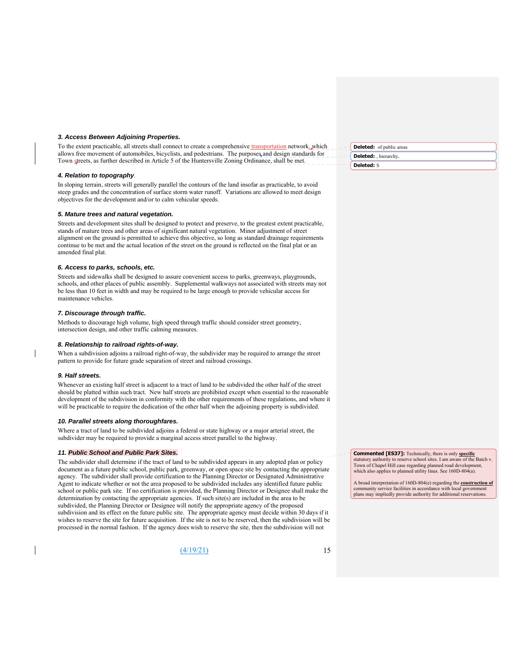#### *3. Access Between Adjoining Properties.*

To the extent practicable, all streets shall connect to create a comprehensive *transportation* network, which allows free movement of automobiles, bicyclists, and pedestrians. The purposes and design standards for Town streets, as further described in Article 5 of the Huntersville Zoning Ordinance, shall be met.

#### *4. Relation to topography*.

In sloping terrain, streets will generally parallel the contours of the land insofar as practicable, to avoid steep grades and the concentration of surface storm water runoff. Variations are allowed to meet design objectives for the development and/or to calm vehicular speeds.

#### *5. Mature trees and natural vegetation.*

Streets and development sites shall be designed to protect and preserve, to the greatest extent practicable, stands of mature trees and other areas of significant natural vegetation. Minor adjustment of street alignment on the ground is permitted to achieve this objective, so long as standard drainage requirements continue to be met and the actual location of the street on the ground is reflected on the final plat or an amended final plat.

#### *6. Access to parks, schools, etc.*

Streets and sidewalks shall be designed to assure convenient access to parks, greenways, playgrounds, schools, and other places of public assembly. Supplemental walkways not associated with streets may not be less than 10 feet in width and may be required to be large enough to provide vehicular access for maintenance vehicles.

#### *7. Discourage through traffic.*

Methods to discourage high volume, high speed through traffic should consider street geometry, intersection design, and other traffic calming measures.

#### *8. Relationship to railroad rights-of-way.*

When a subdivision adjoins a railroad right-of-way, the subdivider may be required to arrange the street pattern to provide for future grade separation of street and railroad crossings.

#### *9. Half streets.*

Whenever an existing half street is adjacent to a tract of land to be subdivided the other half of the street should be platted within such tract. New half streets are prohibited except when essential to the reasonable development of the subdivision in conformity with the other requirements of these regulations, and where it will be practicable to require the dedication of the other half when the adjoining property is subdivided.

#### *10. Parallel streets along thoroughfares.*

Where a tract of land to be subdivided adjoins a federal or state highway or a major arterial street, the subdivider may be required to provide a marginal access street parallel to the highway.

#### *11. Public School and Public Park Sites.*

The subdivider shall determine if the tract of land to be subdivided appears in any adopted plan or policy document as a future public school, public park, greenway, or open space site by contacting the appropriate agency. The subdivider shall provide certification to the Planning Director or Designated Administrative Agent to indicate whether or not the area proposed to be subdivided includes any identified future public school or public park site. If no certification is provided, the Planning Director or Designee shall make the determination by contacting the appropriate agencies. If such site(s) are included in the area to be subdivided, the Planning Director or Designee will notify the appropriate agency of the proposed subdivision and its effect on the future public site. The appropriate agency must decide within 30 days if it wishes to reserve the site for future acquisition. If the site is not to be reserved, then the subdivision will be processed in the normal fashion. If the agency does wish to reserve the site, then the subdivision will not

(4/19/21) 15

**Deleted:** of public areas **Deleted:** , hierarchy, **Deleted:** S

**Commented [ES37]:** Technically, there is only **specific**  statutory authority to reserve school sites. I am aware of the Batch v. Town of Chapel Hill case regarding planned road development, which also applies to planned utility lines. See  $160D-804(a)$ .

A broad interpretation of 160D-804(e) regarding the **construction of** community service facilities in accordance with local government plans may impliedly provide authority for additional reservations.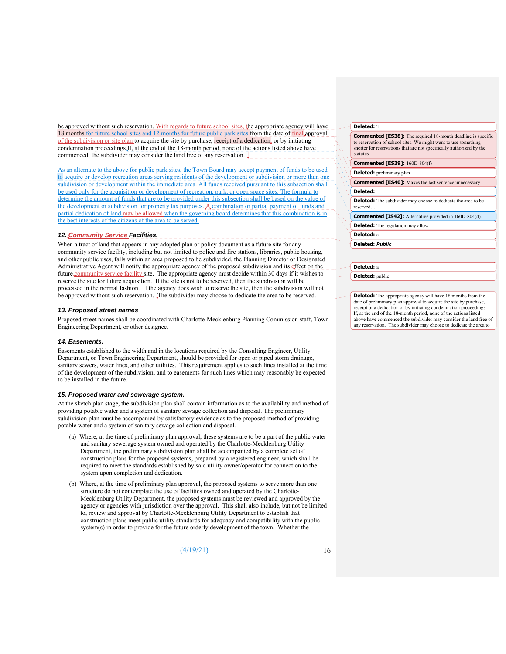be approved without such reservation. With regards to future school sites, the appropriate agency will have 18 months for future school sites and 12 months for future public park sites from the date of final approval of the subdivision or site plan to acquire the site by purchase, receipt of a dedication, or by initiating condemnation proceedings.If, at the end of the 18-month period, none of the actions listed above have commenced, the subdivider may consider the land free of any reservation.

an alternate to the above for public park sites, the Town Board may accept payment of funds to be used to acquire or develop recreation areas serving residents of the development or subdivision or more than one subdivision or development within the immediate area. All funds received pursuant to this subsection shall be used only for the acquisition or development of recreation, park, or open space sites. The formula to determine the amount of funds that are to be provided under this subsection shall be based on the value of the development or subdivision for property tax purposes. A combination or partial payment of funds and partial dedication of land may be allowed when the governing board determines that this combination is in the best interests of the citizens of the area to be served.

# *12. Community Service Facilities.*

When a tract of land that appears in any adopted plan or policy document as a future site for any community service facility, including but not limited to police and fire stations, libraries, public housing, and other public uses, falls within an area proposed to be subdivided, the Planning Director or Designated Administrative Agent will notify the appropriate agency of the proposed subdivision and its effect on the future community service facility site. The appropriate agency must decide within 30 days if it wishes to reserve the site for future acquisition. If the site is not to be reserved, then the subdivision will be processed in the normal fashion. If the agency does wish to reserve the site, then the subdivision will not be approved without such reservation. The subdivider may choose to dedicate the area to be reserved.

#### *13. Proposed street names*

Proposed street names shall be coordinated with Charlotte-Mecklenburg Planning Commission staff, Town Engineering Department, or other designee.

#### *14. Easements.*

Easements established to the width and in the locations required by the Consulting Engineer, Utility Department, or Town Engineering Department, should be provided for open or piped storm drainage, sanitary sewers, water lines, and other utilities. This requirement applies to such lines installed at the time of the development of the subdivision, and to easements for such lines which may reasonably be expected to be installed in the future.

#### *15. Proposed water and sewerage system.*

At the sketch plan stage, the subdivision plan shall contain information as to the availability and method of providing potable water and a system of sanitary sewage collection and disposal. The preliminary subdivision plan must be accompanied by satisfactory evidence as to the proposed method of providing potable water and a system of sanitary sewage collection and disposal.

- (a) Where, at the time of preliminary plan approval, these systems are to be a part of the public water and sanitary sewerage system owned and operated by the Charlotte-Mecklenburg Utility Department, the preliminary subdivision plan shall be accompanied by a complete set of construction plans for the proposed systems, prepared by a registered engineer, which shall be required to meet the standards established by said utility owner/operator for connection to the system upon completion and dedication.
- (b) Where, at the time of preliminary plan approval, the proposed systems to serve more than one structure do not contemplate the use of facilities owned and operated by the Charlotte-Mecklenburg Utility Department, the proposed systems must be reviewed and approved by the agency or agencies with jurisdiction over the approval. This shall also include, but not be limited to, review and approval by Charlotte-Mecklenburg Utility Department to establish that construction plans meet public utility standards for adequacy and compatibility with the public system(s) in order to provide for the future orderly development of the town. Whether the

 $(4/19/21)$  16

#### **Deleted:** T

| <b>Commented [ES38]:</b> The required 18-month deadline is specific<br>to reservation of school sites. We might want to use something<br>shorter for reservations that are not specifically authorized by the<br>statutes. |
|----------------------------------------------------------------------------------------------------------------------------------------------------------------------------------------------------------------------------|
| <b>Commented [ES39]: 160D-804(f)</b>                                                                                                                                                                                       |
| <b>Deleted:</b> preliminary plan                                                                                                                                                                                           |
| <b>Commented [ES40]:</b> Makes the last sentence unnecessary                                                                                                                                                               |
| Deleted:                                                                                                                                                                                                                   |
| <b>Deleted:</b> The subdivider may choose to dedicate the area to be<br>reserved                                                                                                                                           |
| <b>Commented [JS42]:</b> Alternative provided in 160D-804(d).                                                                                                                                                              |
| <b>Deleted:</b> The regulation may allow                                                                                                                                                                                   |
| Deleted: a                                                                                                                                                                                                                 |
| <b>Deleted: Public</b>                                                                                                                                                                                                     |
|                                                                                                                                                                                                                            |

#### **Deleted:** a

**Deleted:** public

**Deleted:** The appropriate agency will have 18 months from the date of preliminary plan approval to acquire the site by purchase, receipt of a dedication or by initiating condemnation proceedings. If, at the end of the 18-month period, none of the actions listed above have commenced the subdivider may consider the land free of any reservation. The subdivider may choose to dedicate the area to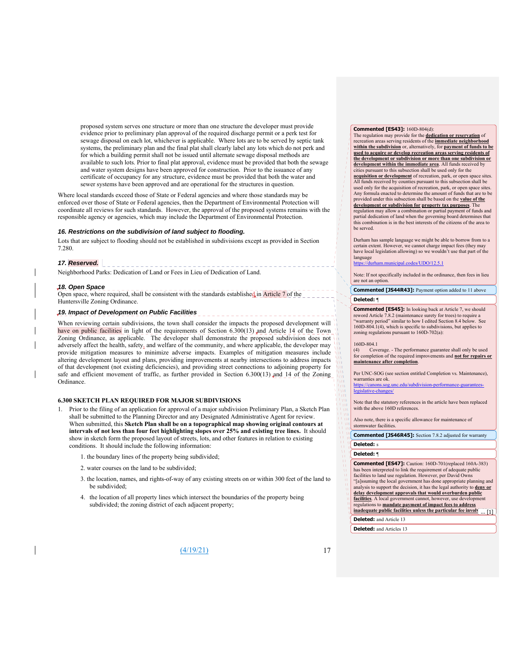proposed system serves one structure or more than one structure the developer must provide evidence prior to preliminary plan approval of the required discharge permit or a perk test for sewage disposal on each lot, whichever is applicable. Where lots are to be served by septic tank systems, the preliminary plan and the final plat shall clearly label any lots which do not perk and for which a building permit shall not be issued until alternate sewage disposal methods are available to such lots. Prior to final plat approval, evidence must be provided that both the sewage and water system designs have been approved for construction. Prior to the issuance of any certificate of occupancy for any structure, evidence must be provided that both the water and sewer systems have been approved and are operational for the structures in question.

Where local standards exceed those of State or Federal agencies and where those standards may be enforced over those of State or Federal agencies, then the Department of Environmental Protection will coordinate all reviews for such standards. However, the approval of the proposed systems remains with the responsible agency or agencies, which may include the Department of Environmental Protection.

#### *16. Restrictions on the subdivision of land subject to flooding.*

Lots that are subject to flooding should not be established in subdivisions except as provided in Section 7.280.

# *17. Reserved.*

Neighborhood Parks: Dedication of Land or Fees in Lieu of Dedication of Land.

#### *18. Open Space*

Open space, where required, shall be consistent with the standards established in Article 7 of the Huntersville Zoning Ordinance.

# *19. Impact of Development on Public Facilities*

When reviewing certain subdivisions, the town shall consider the impacts the proposed development will in have on public facilities in light of the requirements of Section 6.300(13) and Article 14 of the Town Zoning Ordinance, as applicable. The developer shall demonstrate the proposed subdivision does not adversely affect the health, safety, and welfare of the community, and where applicable, the developer may provide mitigation measures to minimize adverse impacts. Examples of mitigation measures include altering development layout and plans, providing improvements at nearby intersections to address impacts of that development (not existing deficiencies), and providing street connections to adjoining property for safe and efficient movement of traffic, as further provided in Section 6.300(13) and 14 of the Zoning Ordinance.

#### **6.300 SKETCH PLAN REQUIRED FOR MAJOR SUBDIVISIONS**

- 1. Prior to the filing of an application for approval of a major subdivision Preliminary Plan, a Sketch Plan shall be submitted to the Planning Director and any Designated Administrative Agent for review. When submitted, this **Sketch Plan shall be on a topographical map showing original contours at intervals of not less than four feet highlighting slopes over 25% and existing tree lines.** It should show in sketch form the proposed layout of streets, lots, and other features in relation to existing conditions. It should include the following information:
	- 1. the boundary lines of the property being subdivided;
	- 2. water courses on the land to be subdivided;
	- 3. the location, names, and rights-of-way of any existing streets on or within 300 feet of the land to be subdivided;
	- 4. the location of all property lines which intersect the boundaries of the property being subdivided; the zoning district of each adjacent property;

 $(4/19/21)$  17

#### **Commented [ES43]:** 160D-804(d):

The regulation may provide for the **dedication or reservation** of recreation areas serving residents of the **immediate neighborhood within the subdivision** or, alternatively, for **payment of funds to be used to acquire or develop recreation areas serving residents of the development or subdivision or more than one subdivision or development within the immediate area**. All funds received by cities pursuant to this subsection shall be used only for the **acquisition or development** of recreation, park, or open space sites. All funds received by counties pursuant to this subsection shall be used only for the acquisition of recreation, park, or open space sites. Any formula enacted to determine the amount of funds that are to be provided under this subsection shall be based on the **value of the development or subdivision for property tax purposes**. The

regulation may allow a combination or partial payment of funds and partial dedication of land when the governing board determines that this combination is in the best interests of the citizens of the area to be served.

Durham has sample language we might be able to borrow from to a certain extent. However, we cannot charge impact fees (they may have local legislation allowing) so we wouldn't use that part of the language

https://durham.codes/UDO/12.5.1

Note: If not specifically included in the ordinance, then fees in lieu are not an option.

**Commented [JS44R43]:** Payment option added to 11 above **Deleted:** ¶

**Commented [ES45]:** In looking back at Article 7, we should reword Article 7.8.2 (maintenance surety for trees) to require a "warranty period" similar to how I edited Section 8.4 below. See 160D-804.1(4), which is specific to subdivisions, but applies to zoning regulations pursuant to 160D-702(a):

#### 160D-804.1

 $\frac{1}{10}$ l y tu  $110$ 

(4) Coverage. - The performance guarantee shall only be used for completion of the required improvements and **not for repairs or maintenance after completion**.

Per UNC-SOG (see section entitled Completion vs. Maintenance), warranties are ok.

https://canons.sog.unc.edu/subdivision-performance-guaranteeslegislative-cha

Note that the statutory references in the article have been replaced with the above 160D references.

Also note, there is a specific allowance for maintenance of stormwater facilities.

**Deleted:** s **Commented [JS46R45]:** Section 7.8.2 adjusted for warranty

# **Deleted:** ¶

**Commented [ES47]:** Caution: 160D-701(replaced 160A-383) has been interpreted to link the requirement of adequate public facilities to land use regulation. However, per David Owns "[a]ssuming the local government has done appropriate planning and analysis to support the decision, it has the legal authority to **deny or delay development approvals that would overburden public** 

facilities. A local government cannot, however, use development

regulations to **mandate payment of impact fees to address inadequate public facilities unless the particular fee involved has also involved to the facilities** 

**Deleted:** and Article 13

**Deleted:** and Articles 13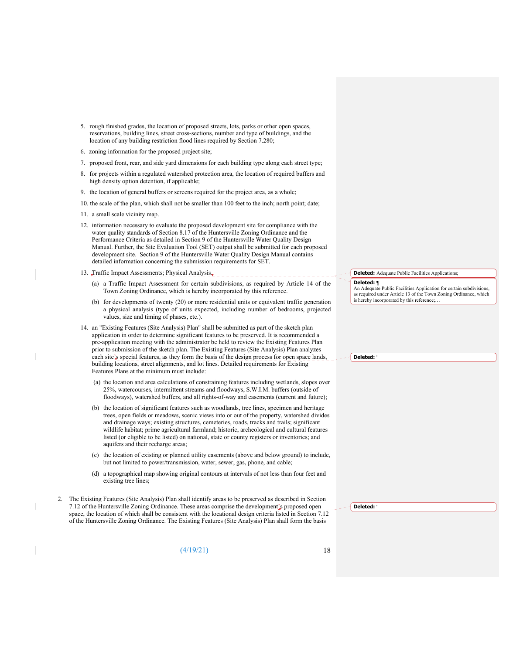- 5. rough finished grades, the location of proposed streets, lots, parks or other open spaces, reservations, building lines, street cross-sections, number and type of buildings, and the location of any building restriction flood lines required by Section 7.280;
- 6. zoning information for the proposed project site;
- 7. proposed front, rear, and side yard dimensions for each building type along each street type;
- 8. for projects within a regulated watershed protection area, the location of required buffers and high density option detention, if applicable;
- 9. the location of general buffers or screens required for the project area, as a whole;
- 10. the scale of the plan, which shall not be smaller than 100 feet to the inch; north point; date;
- 11. a small scale vicinity map.
- 12. information necessary to evaluate the proposed development site for compliance with the water quality standards of Section 8.17 of the Huntersville Zoning Ordinance and the Performance Criteria as detailed in Section 9 of the Huntersville Water Quality Design Manual. Further, the Site Evaluation Tool (SET) output shall be submitted for each proposed development site. Section 9 of the Huntersville Water Quality Design Manual contains detailed information concerning the submission requirements for SET.
- 13. Traffic Impact Assessments; Physical Analysis. \_\_\_\_\_\_\_\_\_\_\_\_\_\_\_\_
	- (a) a Traffic Impact Assessment for certain subdivisions, as required by Article 14 of the Town Zoning Ordinance, which is hereby incorporated by this reference.
	- (b) for developments of twenty (20) or more residential units or equivalent traffic generation a physical analysis (type of units expected, including number of bedrooms, projected values, size and timing of phases, etc.).
- 14. an "Existing Features (Site Analysis) Plan" shall be submitted as part of the sketch plan application in order to determine significant features to be preserved. It is recommended a pre-application meeting with the administrator be held to review the Existing Features Plan prior to submission of the sketch plan. The Existing Features (Site Analysis) Plan analyzes each site's special features, as they form the basis of the design process for open space lands, building locations, street alignments, and lot lines. Detailed requirements for Existing Features Plans at the minimum must include:
	- (a) the location and area calculations of constraining features including wetlands, slopes over 25%, watercourses, intermittent streams and floodways, S.W.I.M. buffers (outside of floodways), watershed buffers, and all rights-of-way and easements (current and future);
	- (b) the location of significant features such as woodlands, tree lines, specimen and heritage trees, open fields or meadows, scenic views into or out of the property, watershed divides and drainage ways; existing structures, cemeteries, roads, tracks and trails; significant wildlife habitat; prime agricultural farmland; historic, archeological and cultural features listed (or eligible to be listed) on national, state or county registers or inventories; and aquifers and their recharge areas;
	- (c) the location of existing or planned utility easements (above and below ground) to include, but not limited to power/transmission, water, sewer, gas, phone, and cable;
	- (d) a topographical map showing original contours at intervals of not less than four feet and existing tree lines;
- 2. The Existing Features (Site Analysis) Plan shall identify areas to be preserved as described in Section 7.12 of the Huntersville Zoning Ordinance. These areas comprise the development's proposed open space, the location of which shall be consistent with the locational design criteria listed in Section 7.12 of the Huntersville Zoning Ordinance. The Existing Features (Site Analysis) Plan shall form the basis
	- (4/19/21) 18

#### **Deleted:** Adequate Public Facilities Applications:

**Deleted:** ¶ An Adequate Public Facilities Application for certain subdivisions, as required under Article 13 of the Town Zoning Ordinance, which is hereby incorporated by this reference;.

**Deleted:** '

**Deleted:** '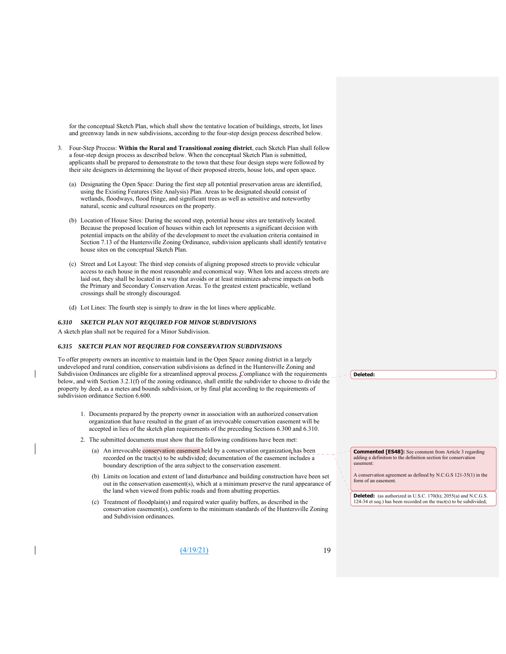for the conceptual Sketch Plan, which shall show the tentative location of buildings, streets, lot lines and greenway lands in new subdivisions, according to the four-step design process described below.

- 3. Four-Step Process: **Within the Rural and Transitional zoning district**, each Sketch Plan shall follow a four-step design process as described below. When the conceptual Sketch Plan is submitted, applicants shall be prepared to demonstrate to the town that these four design steps were followed by their site designers in determining the layout of their proposed streets, house lots, and open space.
	- (a) Designating the Open Space: During the first step all potential preservation areas are identified, using the Existing Features (Site Analysis) Plan. Areas to be designated should consist of wetlands, floodways, flood fringe, and significant trees as well as sensitive and noteworthy natural, scenic and cultural resources on the property.
	- (b) Location of House Sites: During the second step, potential house sites are tentatively located. Because the proposed location of houses within each lot represents a significant decision with potential impacts on the ability of the development to meet the evaluation criteria contained in Section 7.13 of the Huntersville Zoning Ordinance, subdivision applicants shall identify tentative house sites on the conceptual Sketch Plan.
	- (c) Street and Lot Layout: The third step consists of aligning proposed streets to provide vehicular access to each house in the most reasonable and economical way. When lots and access streets are laid out, they shall be located in a way that avoids or at least minimizes adverse impacts on both the Primary and Secondary Conservation Areas. To the greatest extent practicable, wetland crossings shall be strongly discouraged.
	- (d) Lot Lines: The fourth step is simply to draw in the lot lines where applicable.

#### *6.310 SKETCH PLAN NOT REQUIRED FOR MINOR SUBDIVISIONS*

A sketch plan shall not be required for a Minor Subdivision.

#### *6.315 SKETCH PLAN NOT REQUIRED FOR CONSERVATION SUBDIVISIONS*

To offer property owners an incentive to maintain land in the Open Space zoning district in a largely undeveloped and rural condition, conservation subdivisions as defined in the Huntersville Zoning and Subdivision Ordinances are eligible for a streamlined approval process. Compliance with the requirements below, and with Section 3.2.1(f) of the zoning ordinance, shall entitle the subdivider to choose to divide the property by deed, as a metes and bounds subdivision, or by final plat according to the requirements of subdivision ordinance Section 6.600.

- 1. Documents prepared by the property owner in association with an authorized conservation organization that have resulted in the grant of an irrevocable conservation easement will be accepted in lieu of the sketch plan requirements of the preceding Sections 6.300 and 6.310.
- 2. The submitted documents must show that the following conditions have been met:
	- (a) An irrevocable conservation easement held by a conservation organization has been recorded on the tract(s) to be subdivided; documentation of the easement includes a boundary description of the area subject to the conservation easement.
	- (b) Limits on location and extent of land disturbance and building construction have been set out in the conservation easement(s), which at a minimum preserve the rural appearance of the land when viewed from public roads and from abutting properties.
	- (c) Treatment of floodplain(s) and required water quality buffers, as described in the conservation easement(s), conform to the minimum standards of the Huntersville Zoning and Subdivision ordinances.

(4/19/21) 19

**Deleted:** 

**Commented [ES48]:** See comment from Article 3 regarding adding a definition to the definition section for conservation easement:

A conservation agreement as defined by N.C.G.S 121-35(1) in the form of an easement.

**Deleted:** (as authorized in U.S.C. 170(h); 2055(a) and N.C.G.S. 124-34 et seq.) has been recorded on the tract(s) to be subdivided;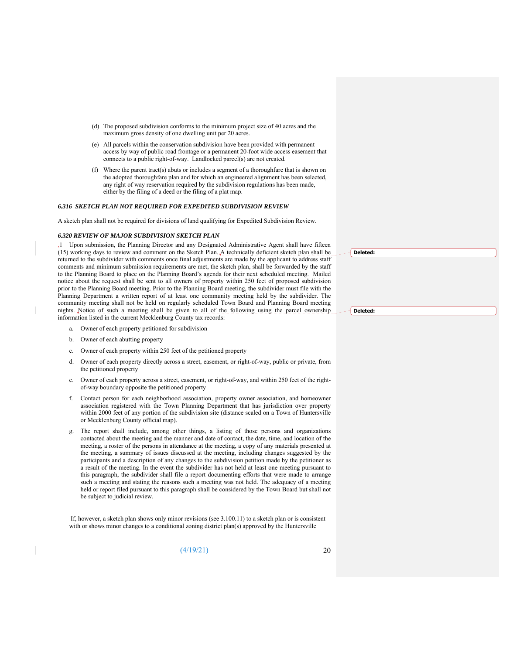- (d) The proposed subdivision conforms to the minimum project size of 40 acres and the maximum gross density of one dwelling unit per 20 acres.
- (e) All parcels within the conservation subdivision have been provided with permanent access by way of public road frontage or a permanent 20-foot wide access easement that connects to a public right-of-way. Landlocked parcel(s) are not created.
- (f) Where the parent tract(s) abuts or includes a segment of a thoroughfare that is shown on the adopted thoroughfare plan and for which an engineered alignment has been selected, any right of way reservation required by the subdivision regulations has been made, either by the filing of a deed or the filing of a plat map.

#### *6.316 SKETCH PLAN NOT REQUIRED FOR EXPEDITED SUBDIVISION REVIEW*

A sketch plan shall not be required for divisions of land qualifying for Expedited Subdivision Review.

#### *6.320 REVIEW OF MAJOR SUBDIVISION SKETCH PLAN*

.1 Upon submission, the Planning Director and any Designated Administrative Agent shall have fifteen (15) working days to review and comment on the Sketch Plan. A technically deficient sketch plan shall be returned to the subdivider with comments once final adjustments are made by the applicant to address staff comments and minimum submission requirements are met, the sketch plan, shall be forwarded by the staff to the Planning Board to place on the Planning Board's agenda for their next scheduled meeting. Mailed notice about the request shall be sent to all owners of property within 250 feet of proposed subdivision prior to the Planning Board meeting. Prior to the Planning Board meeting, the subdivider must file with the Planning Department a written report of at least one community meeting held by the subdivider. The community meeting shall not be held on regularly scheduled Town Board and Planning Board meeting nights. Notice of such a meeting shall be given to all of the following using the parcel ownership information listed in the current Mecklenburg County tax records:

- a. Owner of each property petitioned for subdivision
- b. Owner of each abutting property
- c. Owner of each property within 250 feet of the petitioned property
- d. Owner of each property directly across a street, easement, or right-of-way, public or private, from the petitioned property
- e. Owner of each property across a street, easement, or right-of-way, and within 250 feet of the rightof-way boundary opposite the petitioned property
- f. Contact person for each neighborhood association, property owner association, and homeowner association registered with the Town Planning Department that has jurisdiction over property within 2000 feet of any portion of the subdivision site (distance scaled on a Town of Huntersville or Mecklenburg County official map).
- g. The report shall include, among other things, a listing of those persons and organizations contacted about the meeting and the manner and date of contact, the date, time, and location of the meeting, a roster of the persons in attendance at the meeting, a copy of any materials presented at the meeting, a summary of issues discussed at the meeting, including changes suggested by the participants and a description of any changes to the subdivision petition made by the petitioner as a result of the meeting. In the event the subdivider has not held at least one meeting pursuant to this paragraph, the subdivider shall file a report documenting efforts that were made to arrange such a meeting and stating the reasons such a meeting was not held. The adequacy of a meeting held or report filed pursuant to this paragraph shall be considered by the Town Board but shall not be subject to judicial review.

 If, however, a sketch plan shows only minor revisions (see 3.100.11) to a sketch plan or is consistent with or shows minor changes to a conditional zoning district plan(s) approved by the Huntersville

 $(4/19/21)$  20

**Deleted:** 

**Deleted:**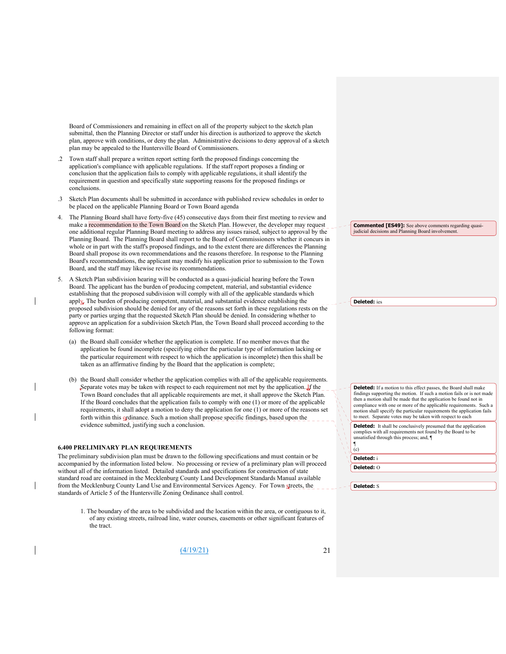Board of Commissioners and remaining in effect on all of the property subject to the sketch plan submittal, then the Planning Director or staff under his direction is authorized to approve the sketch plan, approve with conditions, or deny the plan. Administrative decisions to deny approval of a sketch plan may be appealed to the Huntersville Board of Commissioners.

- .2 Town staff shall prepare a written report setting forth the proposed findings concerning the application's compliance with applicable regulations. If the staff report proposes a finding or conclusion that the application fails to comply with applicable regulations, it shall identify the requirement in question and specifically state supporting reasons for the proposed findings or conclusions.
- .3 Sketch Plan documents shall be submitted in accordance with published review schedules in order to be placed on the applicable Planning Board or Town Board agenda
- The Planning Board shall have forty-five (45) consecutive days from their first meeting to review and make a recommendation to the Town Board on the Sketch Plan. However, the developer may request one additional regular Planning Board meeting to address any issues raised, subject to approval by the Planning Board. The Planning Board shall report to the Board of Commissioners whether it concurs in whole or in part with the staff's proposed findings, and to the extent there are differences the Planning Board shall propose its own recommendations and the reasons therefore. In response to the Planning Board's recommendations, the applicant may modify his application prior to submission to the Town Board, and the staff may likewise revise its recommendations.
- 5. A Sketch Plan subdivision hearing will be conducted as a quasi-judicial hearing before the Town Board. The applicant has the burden of producing competent, material, and substantial evidence establishing that the proposed subdivision will comply with all of the applicable standards which apply. The burden of producing competent, material, and substantial evidence establishing the proposed subdivision should be denied for any of the reasons set forth in these regulations rests on the party or parties urging that the requested Sketch Plan should be denied. In considering whether to approve an application for a subdivision Sketch Plan, the Town Board shall proceed according to the following format:
	- (a) the Board shall consider whether the application is complete. If no member moves that the application be found incomplete (specifying either the particular type of information lacking or the particular requirement with respect to which the application is incomplete) then this shall be taken as an affirmative finding by the Board that the application is complete;
	- (b) the Board shall consider whether the application complies with all of the applicable requirements. Separate votes may be taken with respect to each requirement not met by the application.  $\mathbf{J}$  the Town Board concludes that all applicable requirements are met, it shall approve the Sketch Plan. If the Board concludes that the application fails to comply with one (1) or more of the applicable requirements, it shall adopt a motion to deny the application for one (1) or more of the reasons set forth within this ordinance. Such a motion shall propose specific findings, based upon the evidence submitted, justifying such a conclusion.

#### **6.400 PRELIMINARY PLAN REQUIREMENTS**

The preliminary subdivision plan must be drawn to the following specifications and must contain or be accompanied by the information listed below. No processing or review of a preliminary plan will proceed without all of the information listed. Detailed standards and specifications for construction of state standard road are contained in the Mecklenburg County Land Development Standards Manual available from the Mecklenburg County Land Use and Environmental Services Agency. For Town streets, the standards of Article 5 of the Huntersville Zoning Ordinance shall control.

1. The boundary of the area to be subdivided and the location within the area, or contiguous to it, of any existing streets, railroad line, water courses, easements or other significant features of the tract.

 $(4/19/21)$  21

**Commented [ES49]:** See above comments regarding quasi-judicial decisions and Planning Board involvement.

**Deleted:** ies

**Deleted:** If a motion to this effect passes, the Board shall make findings supporting the motion. If such a motion fails or is not made then a motion shall be made that the application be found not in compliance with one or more of the applicable requirements. Such a motion shall specify the particular requirements the application fails to meet. Separate votes may be taken with respect to each

**Deleted:** It shall be conclusively presumed that the application complies with all requirements not found by the Board to be unsatisfied through this process; and, ¶ ¶ (c)

**Deleted:** i

**Deleted:** O

**Deleted:** S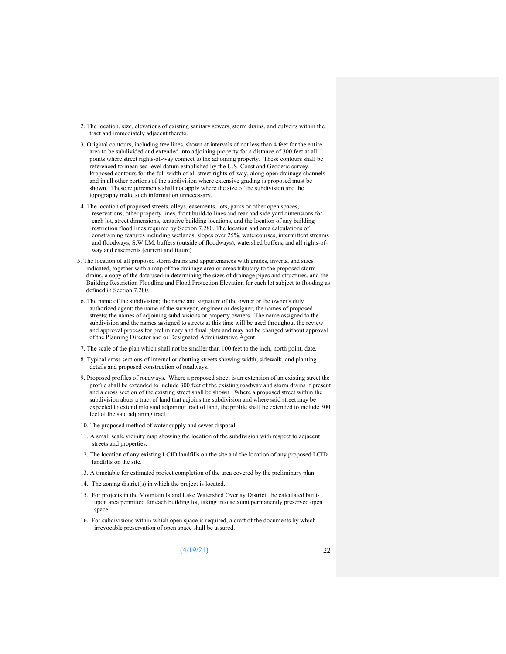- 2. The location, size, elevations of existing sanitary sewers, storm drains, and culverts within the tract and immediately adjacent thereto.
- 3. Original contours, including tree lines, shown at intervals of not less than 4 feet for the entire area to be subdivided and extended into adjoining property for a distance of 300 feet at all points where street rights-of-way connect to the adjoining property. These contours shall be referenced to mean sea level datum established by the U.S. Coast and Geodetic survey. Proposed contours for the full width of all street rights-of-way, along open drainage channels and in all other portions of the subdivision where extensive grading is proposed must be shown. These requirements shall not apply where the size of the subdivision and the topography make such information unnecessary.
- 4. The location of proposed streets, alleys, easements, lots, parks or other open spaces, reservations, other property lines, front build-to lines and rear and side yard dimensions for each lot, street dimensions, tentative building locations, and the location of any building restriction flood lines required by Section 7.280. The location and area calculations of constraining features including wetlands, slopes over 25%, watercourses, intermittent streams and floodways, S.W.I.M. buffers (outside of floodways), watershed buffers, and all rights-ofway and easements (current and future)
- 5. The location of all proposed storm drains and appurtenances with grades, inverts, and sizes indicated, together with a map of the drainage area or areas tributary to the proposed storm drains, a copy of the data used in determining the sizes of drainage pipes and structures, and the Building Restriction Floodline and Flood Protection Elevation for each lot subject to flooding as defined in Section 7.280.
- 6. The name of the subdivision; the name and signature of the owner or the owner's duly authorized agent; the name of the surveyor, engineer or designer; the names of proposed streets; the names of adjoining subdivisions or property owners. The name assigned to the subdivision and the names assigned to streets at this time will be used throughout the review and approval process for preliminary and final plats and may not be changed without approval of the Planning Director and or Designated Administrative Agent.
- 7. The scale of the plan which shall not be smaller than 100 feet to the inch, north point, date.
- 8. Typical cross sections of internal or abutting streets showing width, sidewalk, and planting details and proposed construction of roadways.
- 9. Proposed profiles of roadways. Where a proposed street is an extension of an existing street the profile shall be extended to include 300 feet of the existing roadway and storm drains if present and a cross section of the existing street shall be shown. Where a proposed street within the subdivision abuts a tract of land that adjoins the subdivision and where said street may be expected to extend into said adjoining tract of land, the profile shall be extended to include 300 feet of the said adjoining tract.
- 10. The proposed method of water supply and sewer disposal.
- 11. A small scale vicinity map showing the location of the subdivision with respect to adjacent streets and properties.
- 12. The location of any existing LCID landfills on the site and the location of any proposed LCID landfills on the site.
- 13. A timetable for estimated project completion of the area covered by the preliminary plan.
- 14. The zoning district(s) in which the project is located.
- 15. For projects in the Mountain Island Lake Watershed Overlay District, the calculated builtupon area permitted for each building lot, taking into account permanently preserved open space.
- 16. For subdivisions within which open space is required, a draft of the documents by which irrevocable preservation of open space shall be assured.

(4/19/21) 22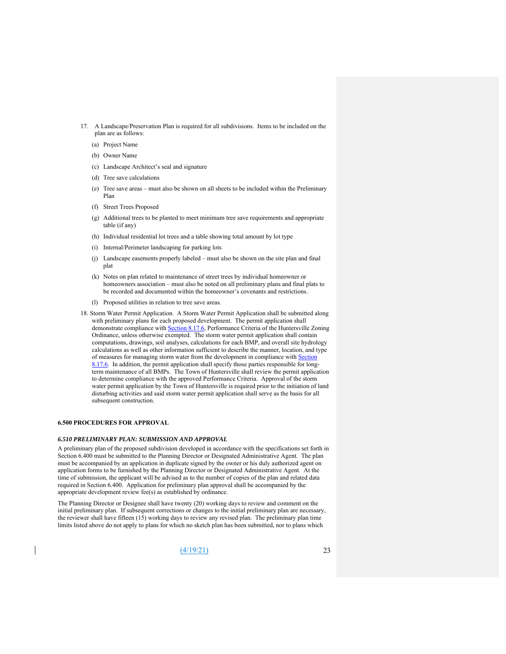- 17. A Landscape/Preservation Plan is required for all subdivisions. Items to be included on the plan are as follows:
	- (a) Project Name
	- (b) Owner Name
	- (c) Landscape Architect's seal and signature
	- (d) Tree save calculations
	- (e) Tree save areas must also be shown on all sheets to be included within the Preliminary Plan
	- (f) Street Trees Proposed
	- (g) Additional trees to be planted to meet minimum tree save requirements and appropriate table (if any)
	- (h) Individual residential lot trees and a table showing total amount by lot type
	- (i) Internal/Perimeter landscaping for parking lots
	- (j) Landscape easements properly labeled must also be shown on the site plan and final plat
	- (k) Notes on plan related to maintenance of street trees by individual homeowner or homeowners association – must also be noted on all preliminary plans and final plats to be recorded and documented within the homeowner's covenants and restrictions.
	- (l) Proposed utilities in relation to tree save areas.
- 18. Storm Water Permit Application. A Storm Water Permit Application shall be submitted along with preliminary plans for each proposed development. The permit application shall demonstrate compliance with **Section 8.17.6**, Performance Criteria of the Huntersville Zoning Ordinance, unless otherwise exempted. The storm water permit application shall contain computations, drawings, soil analyses, calculations for each BMP, and overall site hydrology calculations as well as other information sufficient to describe the manner, location, and type of measures for managing storm water from the development in compliance with Section  $8.17.6$ . In addition, the permit application shall specify those parties responsible for longterm maintenance of all BMPs. The Town of Huntersville shall review the permit application to determine compliance with the approved Performance Criteria. Approval of the storm water permit application by the Town of Huntersville is required prior to the initiation of land disturbing activities and said storm water permit application shall serve as the basis for all subsequent construction.

#### **6.500 PROCEDURES FOR APPROVAL**

#### *6.510 PRELIMINARY PLAN: SUBMISSION AND APPROVAL*

A preliminary plan of the proposed subdivision developed in accordance with the specifications set forth in Section 6.400 must be submitted to the Planning Director or Designated Administrative Agent. The plan must be accompanied by an application in duplicate signed by the owner or his duly authorized agent on application forms to be furnished by the Planning Director or Designated Administrative Agent. At the time of submission, the applicant will be advised as to the number of copies of the plan and related data required in Section 6.400. Application for preliminary plan approval shall be accompanied by the appropriate development review fee(s) as established by ordinance.

The Planning Director or Designee shall have twenty (20) working days to review and comment on the initial preliminary plan. If subsequent corrections or changes to the initial preliminary plan are necessary, the reviewer shall have fifteen (15) working days to review any revised plan. The preliminary plan time limits listed above do not apply to plans for which no sketch plan has been submitted, nor to plans which

(4/19/21) 23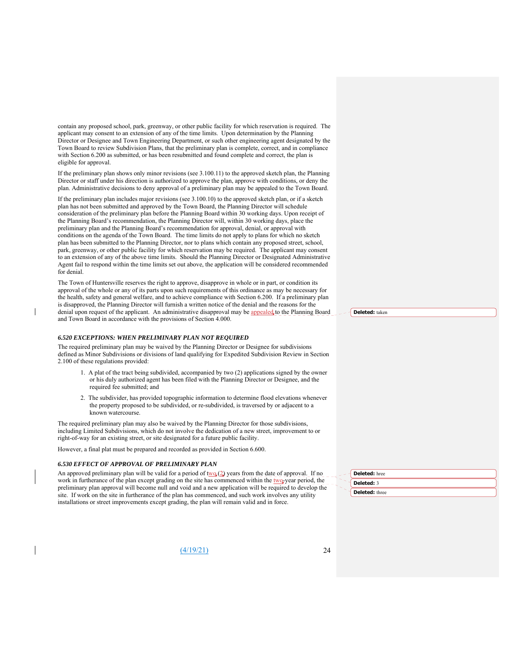contain any proposed school, park, greenway, or other public facility for which reservation is required. The applicant may consent to an extension of any of the time limits. Upon determination by the Planning Director or Designee and Town Engineering Department, or such other engineering agent designated by the Town Board to review Subdivision Plans, that the preliminary plan is complete, correct, and in compliance with Section 6.200 as submitted, or has been resubmitted and found complete and correct, the plan is eligible for approval.

If the preliminary plan shows only minor revisions (see 3.100.11) to the approved sketch plan, the Planning Director or staff under his direction is authorized to approve the plan, approve with conditions, or deny the plan. Administrative decisions to deny approval of a preliminary plan may be appealed to the Town Board.

If the preliminary plan includes major revisions (see 3.100.10) to the approved sketch plan, or if a sketch plan has not been submitted and approved by the Town Board, the Planning Director will schedule consideration of the preliminary plan before the Planning Board within 30 working days. Upon receipt of the Planning Board's recommendation, the Planning Director will, within 30 working days, place the preliminary plan and the Planning Board's recommendation for approval, denial, or approval with conditions on the agenda of the Town Board. The time limits do not apply to plans for which no sketch plan has been submitted to the Planning Director, nor to plans which contain any proposed street, school, park, greenway, or other public facility for which reservation may be required. The applicant may consent to an extension of any of the above time limits. Should the Planning Director or Designated Administrative Agent fail to respond within the time limits set out above, the application will be considered recommended for denial.

The Town of Huntersville reserves the right to approve, disapprove in whole or in part, or condition its approval of the whole or any of its parts upon such requirements of this ordinance as may be necessary for the health, safety and general welfare, and to achieve compliance with Section 6.200. If a preliminary plan is disapproved, the Planning Director will furnish a written notice of the denial and the reasons for the denial upon request of the applicant. An administrative disapproval may be appealed to the Planning Board and Town Board in accordance with the provisions of Section 4.000.

#### *6.520 EXCEPTIONS: WHEN PRELIMINARY PLAN NOT REQUIRED*

The required preliminary plan may be waived by the Planning Director or Designee for subdivisions defined as Minor Subdivisions or divisions of land qualifying for Expedited Subdivision Review in Section 2.100 of these regulations provided:

- 1. A plat of the tract being subdivided, accompanied by two (2) applications signed by the owner or his duly authorized agent has been filed with the Planning Director or Designee, and the required fee submitted; and
- 2. The subdivider, has provided topographic information to determine flood elevations whenever the property proposed to be subdivided, or re-subdivided, is traversed by or adjacent to a known watercourse.

The required preliminary plan may also be waived by the Planning Director for those subdivisions, including Limited Subdivisions, which do not involve the dedication of a new street, improvement to or right-of-way for an existing street, or site designated for a future public facility.

However, a final plat must be prepared and recorded as provided in Section 6.600.

#### *6.530 EFFECT OF APPROVAL OF PRELIMINARY PLAN*

An approved preliminary plan will be valid for a period of  $\frac{f(w_0)}{2}$  years from the date of approval. If no work in furtherance of the plan except grading on the site has commenced within the two-year period, the preliminary plan approval will become null and void and a new application will be required to develop the site. If work on the site in furtherance of the plan has commenced, and such work involves any utility installations or street improvements except grading, the plan will remain valid and in force.

 $(4/19/21)$  24

**Deleted:** taken

**Deleted:** hree **Deleted:** 3 **Deleted:** three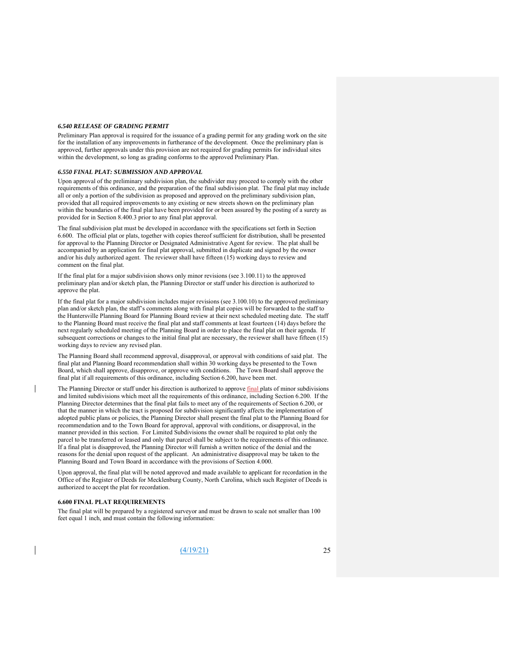#### *6.540 RELEASE OF GRADING PERMIT*

Preliminary Plan approval is required for the issuance of a grading permit for any grading work on the site for the installation of any improvements in furtherance of the development. Once the preliminary plan is approved, further approvals under this provision are not required for grading permits for individual sites within the development, so long as grading conforms to the approved Preliminary Plan.

#### *6.550 FINAL PLAT: SUBMISSION AND APPROVAL*

Upon approval of the preliminary subdivision plan, the subdivider may proceed to comply with the other requirements of this ordinance, and the preparation of the final subdivision plat. The final plat may include all or only a portion of the subdivision as proposed and approved on the preliminary subdivision plan, provided that all required improvements to any existing or new streets shown on the preliminary plan within the boundaries of the final plat have been provided for or been assured by the posting of a surety as provided for in Section 8.400.3 prior to any final plat approval.

The final subdivision plat must be developed in accordance with the specifications set forth in Section 6.600. The official plat or plats, together with copies thereof sufficient for distribution, shall be presented for approval to the Planning Director or Designated Administrative Agent for review. The plat shall be accompanied by an application for final plat approval, submitted in duplicate and signed by the owner and/or his duly authorized agent. The reviewer shall have fifteen (15) working days to review and comment on the final plat.

If the final plat for a major subdivision shows only minor revisions (see 3.100.11) to the approved preliminary plan and/or sketch plan, the Planning Director or staff under his direction is authorized to approve the plat.

If the final plat for a major subdivision includes major revisions (see 3.100.10) to the approved preliminary plan and/or sketch plan, the staff's comments along with final plat copies will be forwarded to the staff to the Huntersville Planning Board for Planning Board review at their next scheduled meeting date. The staff to the Planning Board must receive the final plat and staff comments at least fourteen (14) days before the next regularly scheduled meeting of the Planning Board in order to place the final plat on their agenda. If subsequent corrections or changes to the initial final plat are necessary, the reviewer shall have fifteen (15) working days to review any revised plan.

The Planning Board shall recommend approval, disapproval, or approval with conditions of said plat. The final plat and Planning Board recommendation shall within 30 working days be presented to the Town Board, which shall approve, disapprove, or approve with conditions. The Town Board shall approve the final plat if all requirements of this ordinance, including Section 6.200, have been met.

The Planning Director or staff under his direction is authorized to approve final plats of minor subdivisions and limited subdivisions which meet all the requirements of this ordinance, including Section 6.200. If the Planning Director determines that the final plat fails to meet any of the requirements of Section 6.200, or that the manner in which the tract is proposed for subdivision significantly affects the implementation of adopted public plans or policies, the Planning Director shall present the final plat to the Planning Board for recommendation and to the Town Board for approval, approval with conditions, or disapproval, in the manner provided in this section. For Limited Subdivisions the owner shall be required to plat only the parcel to be transferred or leased and only that parcel shall be subject to the requirements of this ordinance. If a final plat is disapproved, the Planning Director will furnish a written notice of the denial and the reasons for the denial upon request of the applicant. An administrative disapproval may be taken to the Planning Board and Town Board in accordance with the provisions of Section 4.000.

Upon approval, the final plat will be noted approved and made available to applicant for recordation in the Office of the Register of Deeds for Mecklenburg County, North Carolina, which such Register of Deeds is authorized to accept the plat for recordation.

#### **6.600 FINAL PLAT REQUIREMENTS**

The final plat will be prepared by a registered surveyor and must be drawn to scale not smaller than 100 feet equal 1 inch, and must contain the following information:

(4/19/21) 25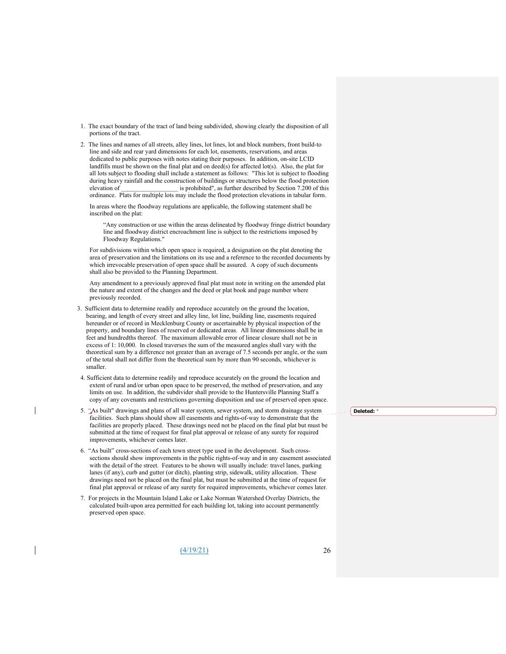- 1. The exact boundary of the tract of land being subdivided, showing clearly the disposition of all portions of the tract.
- 2. The lines and names of all streets, alley lines, lot lines, lot and block numbers, front build-to line and side and rear yard dimensions for each lot, easements, reservations, and areas dedicated to public purposes with notes stating their purposes. In addition, on-site LCID landfills must be shown on the final plat and on deed(s) for affected lot(s). Also, the plat for all lots subject to flooding shall include a statement as follows: "This lot is subject to flooding during heavy rainfall and the construction of buildings or structures below the flood protection elevation of is prohibited", as further described by Section 7.200 of this ordinance. Plats for multiple lots may include the flood protection elevations in tabular form.

In areas where the floodway regulations are applicable, the following statement shall be inscribed on the plat:

"Any construction or use within the areas delineated by floodway fringe district boundary line and floodway district encroachment line is subject to the restrictions imposed by Floodway Regulations."

For subdivisions within which open space is required, a designation on the plat denoting the area of preservation and the limitations on its use and a reference to the recorded documents by which irrevocable preservation of open space shall be assured. A copy of such documents shall also be provided to the Planning Department.

Any amendment to a previously approved final plat must note in writing on the amended plat the nature and extent of the changes and the deed or plat book and page number where previously recorded.

- 3. Sufficient data to determine readily and reproduce accurately on the ground the location, bearing, and length of every street and alley line, lot line, building line, easements required hereunder or of record in Mecklenburg County or ascertainable by physical inspection of the property, and boundary lines of reserved or dedicated areas. All linear dimensions shall be in feet and hundredths thereof. The maximum allowable error of linear closure shall not be in excess of 1: 10,000. In closed traverses the sum of the measured angles shall vary with the theoretical sum by a difference not greater than an average of 7.5 seconds per angle, or the sum of the total shall not differ from the theoretical sum by more than 90 seconds, whichever is smaller.
- 4. Sufficient data to determine readily and reproduce accurately on the ground the location and extent of rural and/or urban open space to be preserved, the method of preservation, and any limits on use. In addition, the subdivider shall provide to the Huntersville Planning Staff a copy of any covenants and restrictions governing disposition and use of preserved open space.
- 5. "As built" drawings and plans of all water system, sewer system, and storm drainage system facilities. Such plans should show all easements and rights-of-way to demonstrate that the facilities are properly placed. These drawings need not be placed on the final plat but must be submitted at the time of request for final plat approval or release of any surety for required improvements, whichever comes later.
- 6. "As built" cross-sections of each town street type used in the development. Such crosssections should show improvements in the public rights-of-way and in any easement associated with the detail of the street. Features to be shown will usually include: travel lanes, parking lanes (if any), curb and gutter (or ditch), planting strip, sidewalk, utility allocation. These drawings need not be placed on the final plat, but must be submitted at the time of request for final plat approval or release of any surety for required improvements, whichever comes later.
- 7. For projects in the Mountain Island Lake or Lake Norman Watershed Overlay Districts, the calculated built-upon area permitted for each building lot, taking into account permanently preserved open space.

 $(4/19/21)$  26

#### **Deleted:** "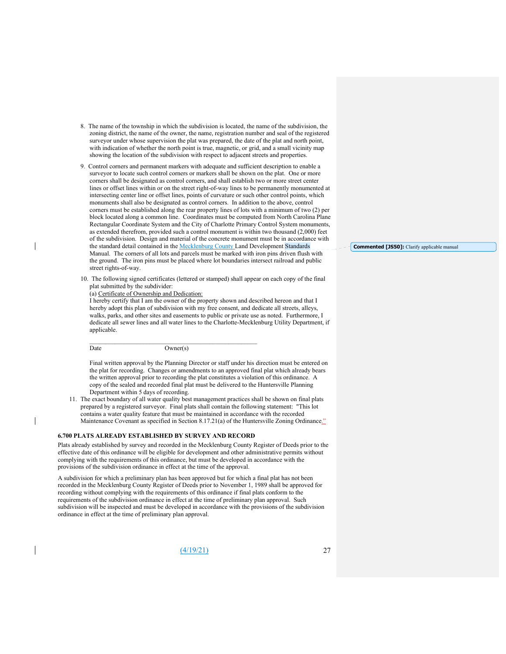- 8. The name of the township in which the subdivision is located, the name of the subdivision, the zoning district, the name of the owner, the name, registration number and seal of the registered surveyor under whose supervision the plat was prepared, the date of the plat and north point, with indication of whether the north point is true, magnetic, or grid, and a small vicinity map showing the location of the subdivision with respect to adjacent streets and properties.
- 9. Control corners and permanent markers with adequate and sufficient description to enable a surveyor to locate such control corners or markers shall be shown on the plat. One or more corners shall be designated as control corners, and shall establish two or more street center lines or offset lines within or on the street right-of-way lines to be permanently monumented at intersecting center line or offset lines, points of curvature or such other control points, which monuments shall also be designated as control corners. In addition to the above, control corners must be established along the rear property lines of lots with a minimum of two (2) per block located along a common line. Coordinates must be computed from North Carolina Plane Rectangular Coordinate System and the City of Charlotte Primary Control System monuments, as extended therefrom, provided such a control monument is within two thousand (2,000) feet of the subdivision. Design and material of the concrete monument must be in accordance with the standard detail contained in the Mecklenburg County Land Development Standards Manual. The corners of all lots and parcels must be marked with iron pins driven flush with the ground. The iron pins must be placed where lot boundaries intersect railroad and public street rights-of-way.
- 10. The following signed certificates (lettered or stamped) shall appear on each copy of the final plat submitted by the subdivider:

#### (a) Certificate of Ownership and Dedication:

I hereby certify that I am the owner of the property shown and described hereon and that I hereby adopt this plan of subdivision with my free consent, and dedicate all streets, alleys, walks, parks, and other sites and easements to public or private use as noted. Furthermore, I dedicate all sewer lines and all water lines to the Charlotte-Mecklenburg Utility Department, if applicable.

Date Owner(s)

Final written approval by the Planning Director or staff under his direction must be entered on the plat for recording. Changes or amendments to an approved final plat which already bears the written approval prior to recording the plat constitutes a violation of this ordinance. A copy of the sealed and recorded final plat must be delivered to the Huntersville Planning Department within 5 days of recording.

11. The exact boundary of all water quality best management practices shall be shown on final plats prepared by a registered surveyor. Final plats shall contain the following statement: "This lot contains a water quality feature that must be maintained in accordance with the recorded Maintenance Covenant as specified in Section 8.17.21(a) of the Huntersville Zoning Ordinance."

#### **6.700 PLATS ALREADY ESTABLISHED BY SURVEY AND RECORD**

Plats already established by survey and recorded in the Mecklenburg County Register of Deeds prior to the effective date of this ordinance will be eligible for development and other administrative permits without complying with the requirements of this ordinance, but must be developed in accordance with the provisions of the subdivision ordinance in effect at the time of the approval.

A subdivision for which a preliminary plan has been approved but for which a final plat has not been recorded in the Mecklenburg County Register of Deeds prior to November 1, 1989 shall be approved for recording without complying with the requirements of this ordinance if final plats conform to the requirements of the subdivision ordinance in effect at the time of preliminary plan approval. Such subdivision will be inspected and must be developed in accordance with the provisions of the subdivision ordinance in effect at the time of preliminary plan approval.

 $(4/19/21)$  27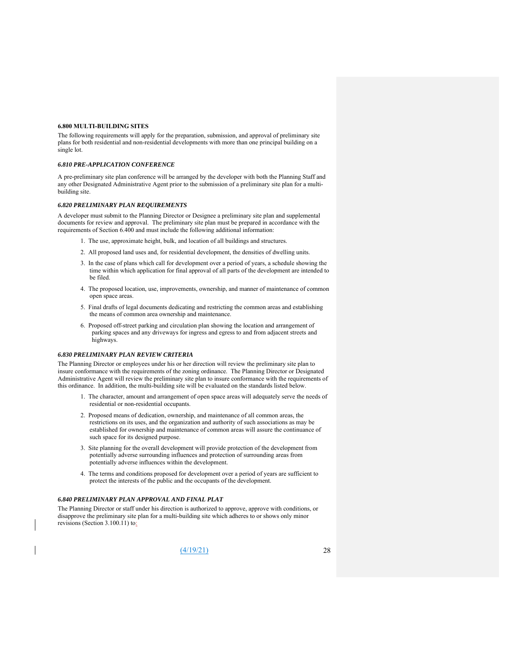#### **6.800 MULTI-BUILDING SITES**

The following requirements will apply for the preparation, submission, and approval of preliminary site plans for both residential and non-residential developments with more than one principal building on a single lot.

#### *6.810 PRE-APPLICATION CONFERENCE*

A pre-preliminary site plan conference will be arranged by the developer with both the Planning Staff and any other Designated Administrative Agent prior to the submission of a preliminary site plan for a multibuilding site.

#### *6.820 PRELIMINARY PLAN REQUIREMENTS*

A developer must submit to the Planning Director or Designee a preliminary site plan and supplemental documents for review and approval. The preliminary site plan must be prepared in accordance with the requirements of Section 6.400 and must include the following additional information:

- 1. The use, approximate height, bulk, and location of all buildings and structures.
- 2. All proposed land uses and, for residential development, the densities of dwelling units.
- 3. In the case of plans which call for development over a period of years, a schedule showing the time within which application for final approval of all parts of the development are intended to be filed.
- 4. The proposed location, use, improvements, ownership, and manner of maintenance of common open space areas.
- 5. Final drafts of legal documents dedicating and restricting the common areas and establishing the means of common area ownership and maintenance.
- 6. Proposed off-street parking and circulation plan showing the location and arrangement of parking spaces and any driveways for ingress and egress to and from adjacent streets and highways.

#### *6.830 PRELIMINARY PLAN REVIEW CRITERIA*

The Planning Director or employees under his or her direction will review the preliminary site plan to insure conformance with the requirements of the zoning ordinance. The Planning Director or Designated Administrative Agent will review the preliminary site plan to insure conformance with the requirements of this ordinance. In addition, the multi-building site will be evaluated on the standards listed below.

- 1. The character, amount and arrangement of open space areas will adequately serve the needs of residential or non-residential occupants.
- 2. Proposed means of dedication, ownership, and maintenance of all common areas, the restrictions on its uses, and the organization and authority of such associations as may be established for ownership and maintenance of common areas will assure the continuance of such space for its designed purpose.
- 3. Site planning for the overall development will provide protection of the development from potentially adverse surrounding influences and protection of surrounding areas from potentially adverse influences within the development.
- 4. The terms and conditions proposed for development over a period of years are sufficient to protect the interests of the public and the occupants of the development.

#### *6.840 PRELIMINARY PLAN APPROVAL AND FINAL PLAT*

The Planning Director or staff under his direction is authorized to approve, approve with conditions, or disapprove the preliminary site plan for a multi-building site which adheres to or shows only minor revisions (Section 3.100.11) to:

(4/19/21) 28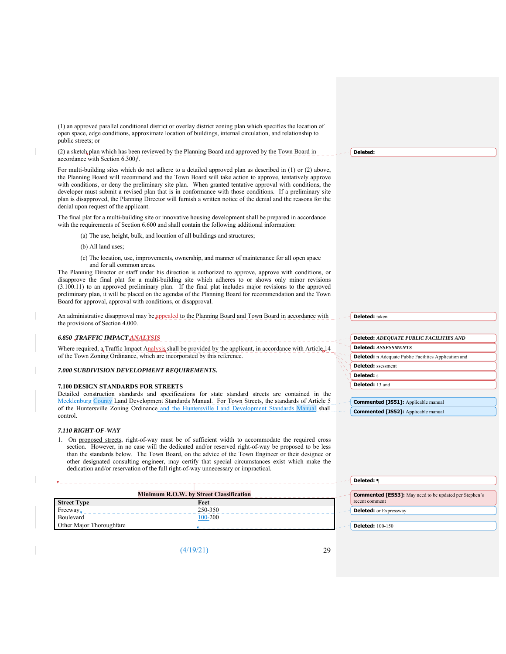(1) an approved parallel conditional district or overlay district zoning plan which specifies the location of open space, edge conditions, approximate location of buildings, internal circulation, and relationship to public streets; or

(2) a sketch plan which has been reviewed by the Planning Board and approved by the Town Board in accordance with Section 6.300ƒ.

For multi-building sites which do not adhere to a detailed approved plan as described in (1) or (2) above, the Planning Board will recommend and the Town Board will take action to approve, tentatively approve with conditions, or deny the preliminary site plan. When granted tentative approval with conditions, the developer must submit a revised plan that is in conformance with those conditions. If a preliminary site plan is disapproved, the Planning Director will furnish a written notice of the denial and the reasons for the denial upon request of the applicant.

The final plat for a multi-building site or innovative housing development shall be prepared in accordance with the requirements of Section 6.600 and shall contain the following additional information:

(a) The use, height, bulk, and location of all buildings and structures;

(b) All land uses;

(c) The location, use, improvements, ownership, and manner of maintenance for all open space and for all common areas.

The Planning Director or staff under his direction is authorized to approve, approve with conditions, or disapprove the final plat for a multi-building site which adheres to or shows only minor revisions (3.100.11) to an approved preliminary plan. If the final plat includes major revisions to the approved preliminary plan, it will be placed on the agendas of the Planning Board for recommendation and the Town Board for approval, approval with conditions, or disapproval.

An administrative disapproval may be appealed to the Planning Board and Town Board in accordance with the provisions of Section 4.000.

# *6.850 TRAFFIC IMPACT ANALYSIS*

Where required, a Traffic Impact Analysis shall be provided by the applicant, in accordance with Article 14 of the Town Zoning Ordinance, which are incorporated by this reference.

#### *7.000 SUBDIVISION DEVELOPMENT REQUIREMENTS.*

#### **7.100 DESIGN STANDARDS FOR STREETS**

Detailed construction standards and specifications for state standard streets are contained in the Mecklenburg County Land Development Standards Manual. For Town Streets, the standards of Article 5 of the Huntersville Zoning Ordinance and the Huntersville Land Development Standards Manual shall control.

#### *7.110 RIGHT-OF-WAY*

1. On proposed streets, right-of-way must be of sufficient width to accommodate the required cross section. However, in no case will the dedicated and/or reserved right-of-way be proposed to be less than the standards below. The Town Board, on the advice of the Town Engineer or their designee or other designated consulting engineer, may certify that special circumstances exist which make the dedication and/or reservation of the full right-of-way unnecessary or impractical.

|                          | <b>Minimum R.O.W. by Street Classification</b> | <b>Commented [ES53]:</b> May need to be updated per Stephen's |
|--------------------------|------------------------------------------------|---------------------------------------------------------------|
| <b>Street Type</b>       | Feet                                           | recent comment                                                |
| Freeway.                 | 250-350                                        | <b>Deleted:</b> or Expressway                                 |
| Boulevard                | 100-200                                        |                                                               |
| Other Major Thoroughfare |                                                | <b>Deleted:</b> 100-150                                       |

(4/19/21) 29

#### **Deleted:**

**Deleted:** taken

|                                                              | <b>Deleted:</b> ADEOUATE PUBLIC FACILITIES AND |  |  |
|--------------------------------------------------------------|------------------------------------------------|--|--|
|                                                              | <b>Deleted:</b> ASSESSMENTS                    |  |  |
| <b>Deleted:</b> n Adequate Public Facilities Application and |                                                |  |  |
|                                                              | <b>Deleted:</b> ssessment                      |  |  |
|                                                              | <b>Deleted:</b> s                              |  |  |
|                                                              | Deleted: 13 and                                |  |  |
|                                                              |                                                |  |  |
|                                                              | <b>Commented [JS51]:</b> Applicable manual     |  |  |

**Commented [JS52]:** Applicable manual

**Deleted: ¶**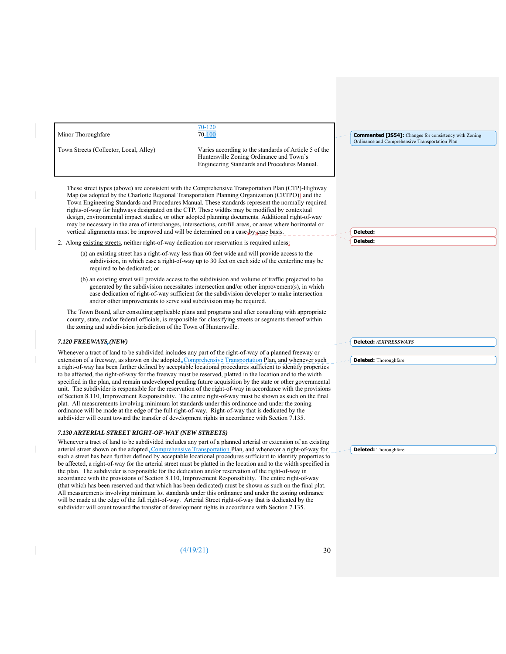| Minor Thoroughfare                                                                                                                                                                                      | 70-120<br>$70 - 100$                                                                                                                                                                                                                                                                                                                                                                                                                                                                                                                                                                                                                                                                                                                                                                                                                                                                                                                                                                                              | <b>Commented [JS54]:</b> Changes for consistency with Zoning |
|---------------------------------------------------------------------------------------------------------------------------------------------------------------------------------------------------------|-------------------------------------------------------------------------------------------------------------------------------------------------------------------------------------------------------------------------------------------------------------------------------------------------------------------------------------------------------------------------------------------------------------------------------------------------------------------------------------------------------------------------------------------------------------------------------------------------------------------------------------------------------------------------------------------------------------------------------------------------------------------------------------------------------------------------------------------------------------------------------------------------------------------------------------------------------------------------------------------------------------------|--------------------------------------------------------------|
| Town Streets (Collector, Local, Alley)                                                                                                                                                                  | Varies according to the standards of Article 5 of the<br>Huntersville Zoning Ordinance and Town's<br>Engineering Standards and Procedures Manual.                                                                                                                                                                                                                                                                                                                                                                                                                                                                                                                                                                                                                                                                                                                                                                                                                                                                 | Ordinance and Comprehensive Transportation Plan              |
| vertical alignments must be improved and will be determined on a case-by-case basis.                                                                                                                    | These street types (above) are consistent with the Comprehensive Transportation Plan (CTP)-Highway<br>Map (as adopted by the Charlotte Regional Transportation Planning Organization (CRTPO)) and the<br>Town Engineering Standards and Procedures Manual. These standards represent the normally required<br>rights-of-way for highways designated on the CTP. These widths may be modified by contextual<br>design, environmental impact studies, or other adopted planning documents. Additional right-of-way<br>may be necessary in the area of interchanges, intersections, cut/fill areas, or areas where horizontal or                                                                                                                                                                                                                                                                                                                                                                                     | Deleted:                                                     |
| 2. Along existing streets, neither right-of-way dedication nor reservation is required unless:                                                                                                          |                                                                                                                                                                                                                                                                                                                                                                                                                                                                                                                                                                                                                                                                                                                                                                                                                                                                                                                                                                                                                   | Deleted:                                                     |
| required to be dedicated; or                                                                                                                                                                            | (a) an existing street has a right-of-way less than 60 feet wide and will provide access to the<br>subdivision, in which case a right-of-way up to 30 feet on each side of the centerline may be                                                                                                                                                                                                                                                                                                                                                                                                                                                                                                                                                                                                                                                                                                                                                                                                                  |                                                              |
| and/or other improvements to serve said subdivision may be required.                                                                                                                                    | (b) an existing street will provide access to the subdivision and volume of traffic projected to be<br>generated by the subdivision necessitates intersection and/or other improvement(s), in which<br>case dedication of right-of-way sufficient for the subdivision developer to make intersection                                                                                                                                                                                                                                                                                                                                                                                                                                                                                                                                                                                                                                                                                                              |                                                              |
| the zoning and subdivision jurisdiction of the Town of Huntersville.                                                                                                                                    | The Town Board, after consulting applicable plans and programs and after consulting with appropriate<br>county, state, and/or federal officials, is responsible for classifying streets or segments thereof within                                                                                                                                                                                                                                                                                                                                                                                                                                                                                                                                                                                                                                                                                                                                                                                                |                                                              |
| 7.120 FREEWAYS (NEW)                                                                                                                                                                                    |                                                                                                                                                                                                                                                                                                                                                                                                                                                                                                                                                                                                                                                                                                                                                                                                                                                                                                                                                                                                                   | Deleted: /EXPRESSWAYS                                        |
| ordinance will be made at the edge of the full right-of-way. Right-of-way that is dedicated by the<br>subdivider will count toward the transfer of development rights in accordance with Section 7.135. | Whenever a tract of land to be subdivided includes any part of the right-of-way of a planned freeway or<br>extension of a freeway, as shown on the adopted Comprehensive Transportation Plan, and whenever such<br>a right-of-way has been further defined by acceptable locational procedures sufficient to identify properties<br>to be affected, the right-of-way for the freeway must be reserved, platted in the location and to the width<br>specified in the plan, and remain undeveloped pending future acquisition by the state or other governmental<br>unit. The subdivider is responsible for the reservation of the right-of-way in accordance with the provisions<br>of Section 8.110, Improvement Responsibility. The entire right-of-way must be shown as such on the final<br>plat. All measurements involving minimum lot standards under this ordinance and under the zoning                                                                                                                   | <b>Deleted:</b> Thoroughfare                                 |
| 7.130 ARTERIAL STREET RIGHT-OF-WAY (NEW STREETS)                                                                                                                                                        |                                                                                                                                                                                                                                                                                                                                                                                                                                                                                                                                                                                                                                                                                                                                                                                                                                                                                                                                                                                                                   |                                                              |
| subdivider will count toward the transfer of development rights in accordance with Section 7.135.                                                                                                       | Whenever a tract of land to be subdivided includes any part of a planned arterial or extension of an existing<br>arterial street shown on the adopted Comprehensive Transportation Plan, and whenever a right-of-way for<br>such a street has been further defined by acceptable locational procedures sufficient to identify properties to<br>be affected, a right-of-way for the arterial street must be platted in the location and to the width specified in<br>the plan. The subdivider is responsible for the dedication and/or reservation of the right-of-way in<br>accordance with the provisions of Section 8.110, Improvement Responsibility. The entire right-of-way<br>(that which has been reserved and that which has been dedicated) must be shown as such on the final plat.<br>All measurements involving minimum lot standards under this ordinance and under the zoning ordinance<br>will be made at the edge of the full right-of-way. Arterial Street right-of-way that is dedicated by the | <b>Deleted:</b> Thoroughfare                                 |
|                                                                                                                                                                                                         |                                                                                                                                                                                                                                                                                                                                                                                                                                                                                                                                                                                                                                                                                                                                                                                                                                                                                                                                                                                                                   |                                                              |
|                                                                                                                                                                                                         |                                                                                                                                                                                                                                                                                                                                                                                                                                                                                                                                                                                                                                                                                                                                                                                                                                                                                                                                                                                                                   |                                                              |
|                                                                                                                                                                                                         |                                                                                                                                                                                                                                                                                                                                                                                                                                                                                                                                                                                                                                                                                                                                                                                                                                                                                                                                                                                                                   |                                                              |

 $\begin{array}{c} \rule{0pt}{2ex} \rule{0pt}{2ex} \rule{0pt}{2ex} \rule{0pt}{2ex} \rule{0pt}{2ex} \rule{0pt}{2ex} \rule{0pt}{2ex} \rule{0pt}{2ex} \rule{0pt}{2ex} \rule{0pt}{2ex} \rule{0pt}{2ex} \rule{0pt}{2ex} \rule{0pt}{2ex} \rule{0pt}{2ex} \rule{0pt}{2ex} \rule{0pt}{2ex} \rule{0pt}{2ex} \rule{0pt}{2ex} \rule{0pt}{2ex} \rule{0pt}{2ex} \rule{0pt}{2ex} \rule{0pt}{2ex} \rule{0pt}{2ex} \rule{0pt}{$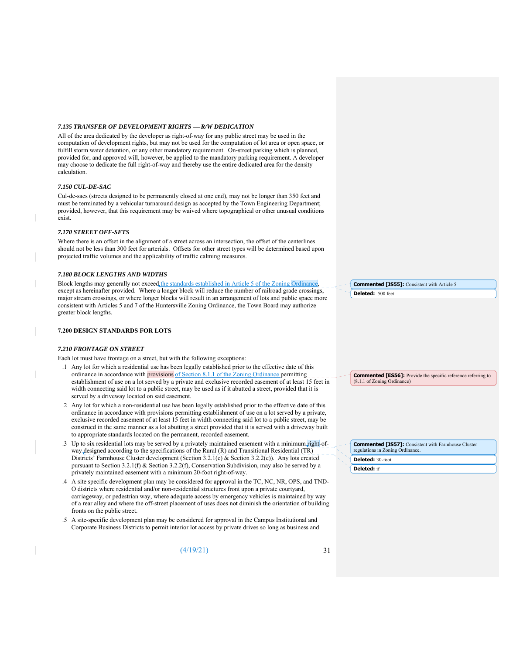#### *7.135 TRANSFER OF DEVELOPMENT RIGHTS R/W DEDICATION*

All of the area dedicated by the developer as right-of-way for any public street may be used in the computation of development rights, but may not be used for the computation of lot area or open space, or fulfill storm water detention, or any other mandatory requirement. On-street parking which is planned, provided for, and approved will, however, be applied to the mandatory parking requirement. A developer may choose to dedicate the full right-of-way and thereby use the entire dedicated area for the density calculation.

#### *7.150 CUL-DE-SAC*

Cul-de-sacs (streets designed to be permanently closed at one end), may not be longer than 350 feet and must be terminated by a vehicular turnaround design as accepted by the Town Engineering Department; provided, however, that this requirement may be waived where topographical or other unusual conditions exist.

#### *7.170 STREET OFF-SETS*

Where there is an offset in the alignment of a street across an intersection, the offset of the centerlines should not be less than 300 feet for arterials. Offsets for other street types will be determined based upon projected traffic volumes and the applicability of traffic calming measures.

#### *7.180 BLOCK LENGTHS AND WIDTHS*

Block lengths may generally not exceed the standards established in Article 5 of the Zoning Ordinance except as hereinafter provided. Where a longer block will reduce the number of railroad grade crossings, major stream crossings, or where longer blocks will result in an arrangement of lots and public space more consistent with Articles 5 and 7 of the Huntersville Zoning Ordinance, the Town Board may authorize greater block lengths.

#### **7.200 DESIGN STANDARDS FOR LOTS**

#### *7.210 FRONTAGE ON STREET*

Each lot must have frontage on a street, but with the following exceptions:

- .1 Any lot for which a residential use has been legally established prior to the effective date of this ordinance in accordance with provisions of Section 8.1.1 of the Zoning Ordinance permitting establishment of use on a lot served by a private and exclusive recorded easement of at least 15 feet in width connecting said lot to a public street, may be used as if it abutted a street, provided that it is served by a driveway located on said easement.
- .2 Any lot for which a non-residential use has been legally established prior to the effective date of this ordinance in accordance with provisions permitting establishment of use on a lot served by a private, exclusive recorded easement of at least 15 feet in width connecting said lot to a public street, may be construed in the same manner as a lot abutting a street provided that it is served with a driveway built to appropriate standards located on the permanent, recorded easement.
- .3 Up to six residential lots may be served by a privately maintained easement with a minimum right-ofway designed according to the specifications of the Rural (R) and Transitional Residential (TR) Districts' Farmhouse Cluster development (Section 3.2.1(e) & Section 3.2.2(e)). Any lots created pursuant to Section 3.2.1(f) & Section 3.2.2(f), Conservation Subdivision, may also be served by a privately maintained easement with a minimum 20-foot right-of-way.
- .4 A site specific development plan may be considered for approval in the TC, NC, NR, OPS, and TND-O districts where residential and/or non-residential structures front upon a private courtyard, carriageway, or pedestrian way, where adequate access by emergency vehicles is maintained by way of a rear alley and where the off-street placement of uses does not diminish the orientation of building fronts on the public street.
- .5 A site-specific development plan may be considered for approval in the Campus Institutional and Corporate Business Districts to permit interior lot access by private drives so long as business and

 $(4/19/21)$  31

**Deleted:** 500 feet **Commented [JS55]:** Consistent with Article 5

**Commented [ES56]:** Provide the specific reference referring to (8.1.1 of Zoning Ordinance)

**Deleted:** 30-foot **Commented [JS57]:** Consistent with Farmhouse Cluster regulations in Zoning Ordinance. **Deleted:** if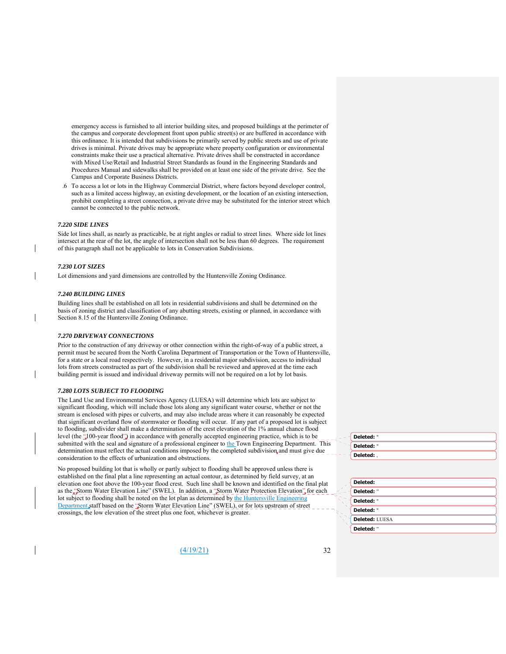emergency access is furnished to all interior building sites, and proposed buildings at the perimeter of the campus and corporate development front upon public street(s) or are buffered in accordance with this ordinance. It is intended that subdivisions be primarily served by public streets and use of private drives is minimal. Private drives may be appropriate where property configuration or environmental constraints make their use a practical alternative. Private drives shall be constructed in accordance with Mixed Use/Retail and Industrial Street Standards as found in the Engineering Standards and Procedures Manual and sidewalks shall be provided on at least one side of the private drive. See the Campus and Corporate Business Districts.

.6 To access a lot or lots in the Highway Commercial District, where factors beyond developer control, such as a limited access highway, an existing development, or the location of an existing intersection, prohibit completing a street connection, a private drive may be substituted for the interior street which cannot be connected to the public network.

#### *7.220 SIDE LINES*

Side lot lines shall, as nearly as practicable, be at right angles or radial to street lines. Where side lot lines intersect at the rear of the lot, the angle of intersection shall not be less than 60 degrees. The requirement of this paragraph shall not be applicable to lots in Conservation Subdivisions.

#### *7.230 LOT SIZES*

Lot dimensions and yard dimensions are controlled by the Huntersville Zoning Ordinance.

#### *7.240 BUILDING LINES*

Building lines shall be established on all lots in residential subdivisions and shall be determined on the basis of zoning district and classification of any abutting streets, existing or planned, in accordance with Section 8.15 of the Huntersville Zoning Ordinance.

#### *7.270 DRIVEWAY CONNECTIONS*

Prior to the construction of any driveway or other connection within the right-of-way of a public street, a permit must be secured from the North Carolina Department of Transportation or the Town of Huntersville, for a state or a local road respectively. However, in a residential major subdivision, access to individual lots from streets constructed as part of the subdivision shall be reviewed and approved at the time each building permit is issued and individual driveway permits will not be required on a lot by lot basis.

#### *7.280 LOTS SUBJECT TO FLOODING*

The Land Use and Environmental Services Agency (LUESA) will determine which lots are subject to significant flooding, which will include those lots along any significant water course, whether or not the stream is enclosed with pipes or culverts, and may also include areas where it can reasonably be expected that significant overland flow of stormwater or flooding will occur. If any part of a proposed lot is subject to flooding, subdivider shall make a determination of the crest elevation of the 1% annual chance flood level (the "100-year flood") in accordance with generally accepted engineering practice, which is to be submitted with the seal and signature of a professional engineer to the Town Engineering Department. This determination must reflect the actual conditions imposed by the completed subdivision and must give due consideration to the effects of urbanization and obstructions.

No proposed building lot that is wholly or partly subject to flooding shall be approved unless there is established on the final plat a line representing an actual contour, as determined by field survey, at an elevation one foot above the 100-year flood crest. Such line shall be known and identified on the final plat as the "Storm Water Elevation Line" (SWEL). In addition, a "Storm Water Protection Elevation" for each lot subject to flooding shall be noted on the lot plan as determined by the Huntersville Engineering Department staff based on the "Storm Water Elevation Line" (SWEL), or for lots upstream of street crossings, the low elevation of the street plus one foot, whichever is greater.

(4/19/21) 32

|    | Deleted: " |
|----|------------|
| ÷. | Deleted: " |
|    | Deleted: . |

| Deleted:       |  |
|----------------|--|
| Deleted: "     |  |
| Deleted: "     |  |
| Deleted: "     |  |
| Deleted: LUESA |  |
| Deleted: "     |  |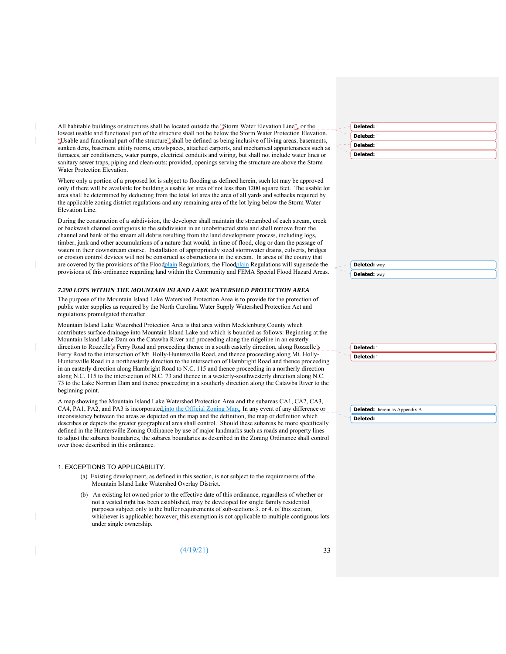All habitable buildings or structures shall be located outside the "Storm Water Elevation Line", or the lowest usable and functional part of the structure shall not be below the Storm Water Protection Elevation. "Usable and functional part of the structure" shall be defined as being inclusive of living areas, basements, sunken dens, basement utility rooms, crawlspaces, attached carports, and mechanical appurtenances such as furnaces, air conditioners, water pumps, electrical conduits and wiring, but shall not include water lines or sanitary sewer traps, piping and clean-outs; provided, openings serving the structure are above the Storm Water Protection Elevation.

Where only a portion of a proposed lot is subject to flooding as defined herein, such lot may be approved only if there will be available for building a usable lot area of not less than 1200 square feet. The usable lot area shall be determined by deducting from the total lot area the area of all yards and setbacks required by the applicable zoning district regulations and any remaining area of the lot lying below the Storm Water Elevation Line.

During the construction of a subdivision, the developer shall maintain the streambed of each stream, creek or backwash channel contiguous to the subdivision in an unobstructed state and shall remove from the channel and bank of the stream all debris resulting from the land development process, including logs, timber, junk and other accumulations of a nature that would, in time of flood, clog or dam the passage of waters in their downstream course. Installation of appropriately sized stormwater drains, culverts, bridges or erosion control devices will not be construed as obstructions in the stream. In areas of the county that are covered by the provisions of the Floodplain Regulations, the Floodplain Regulations will supersede the provisions of this ordinance regarding land within the Community and FEMA Special Flood Hazard Areas.

#### *7.290 LOTS WITHIN THE MOUNTAIN ISLAND LAKE WATERSHED PROTECTION AREA*

The purpose of the Mountain Island Lake Watershed Protection Area is to provide for the protection of public water supplies as required by the North Carolina Water Supply Watershed Protection Act and regulations promulgated thereafter.

Mountain Island Lake Watershed Protection Area is that area within Mecklenburg County which contributes surface drainage into Mountain Island Lake and which is bounded as follows: Beginning at the Mountain Island Lake Dam on the Catawba River and proceeding along the ridgeline in an easterly direction to Rozzelle's Ferry Road and proceeding thence in a south easterly direction, along Rozzelle's Ferry Road to the intersection of Mt. Holly-Huntersville Road, and thence proceeding along Mt. Holly-Huntersville Road in a northeasterly direction to the intersection of Hambright Road and thence proceeding in an easterly direction along Hambright Road to N.C. 115 and thence proceeding in a northerly direction along N.C. 115 to the intersection of N.C. 73 and thence in a westerly-southwesterly direction along N.C. 73 to the Lake Norman Dam and thence proceeding in a southerly direction along the Catawba River to the beginning point.

A map showing the Mountain Island Lake Watershed Protection Area and the subareas CA1, CA2, CA3, CA4, PA1, PA2, and PA3 is incorporated into the Official Zoning Map, In any event of any difference or inconsistency between the areas as depicted on the map and the definition, the map or definition which describes or depicts the greater geographical area shall control. Should these subareas be more specifically defined in the Huntersville Zoning Ordinance by use of major landmarks such as roads and property lines to adjust the subarea boundaries, the subarea boundaries as described in the Zoning Ordinance shall control over those described in this ordinance.

#### 1. EXCEPTIONS TO APPLICABILITY.

- (a) Existing development, as defined in this section, is not subject to the requirements of the Mountain Island Lake Watershed Overlay District.
- (b) An existing lot owned prior to the effective date of this ordinance, regardless of whether or not a vested right has been established, may be developed for single family residential purposes subject only to the buffer requirements of sub-sections 3. or 4. of this section, whichever is applicable; however, this exemption is not applicable to multiple contiguous lots under single ownership.

 $(4/19/21)$  33

| Deleted: "      |  |
|-----------------|--|
| Deleted: "      |  |
| Deleted: "      |  |
| ◟<br>Deleted: " |  |

| <b>Deleted:</b> Way |
|---------------------|
| Deleted: way        |
|                     |

**Deleted:** way

**Deleted:** '

| veicteu.   |  |  |
|------------|--|--|
| Deleted: ' |  |  |
|            |  |  |

**Deleted:** herein as Appendix A **Deleted:** .

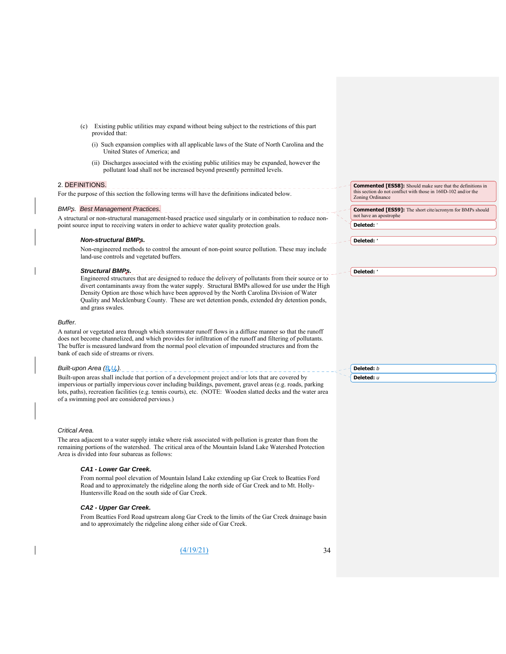- (c) Existing public utilities may expand without being subject to the restrictions of this part provided that:
	- (i) Such expansion complies with all applicable laws of the State of North Carolina and the United States of America; and
	- (ii) Discharges associated with the existing public utilities may be expanded, however the pollutant load shall not be increased beyond presently permitted levels.

#### 2. DEFINITIONS.

For the purpose of this section the following terms will have the definitions indicated below.

# *BMPs. Best Management Practices.*

A structural or non-structural management-based practice used singularly or in combination to reduce nonpoint source input to receiving waters in order to achieve water quality protection goals.

--------------------------------

*Non-structural BMPs.*  Non-engineered methods to control the amount of non-point source pollution. These may include land-use controls and vegetated buffers.

#### *Structural BMPs.*

Engineered structures that are designed to reduce the delivery of pollutants from their source or to divert contaminants away from the water supply. Structural BMPs allowed for use under the High Density Option are those which have been approved by the North Carolina Division of Water Quality and Mecklenburg County. These are wet detention ponds, extended dry detention ponds, and grass swales.

#### *Buffer.*

A natural or vegetated area through which stormwater runoff flows in a diffuse manner so that the runoff does not become channelized, and which provides for infiltration of the runoff and filtering of pollutants. The buffer is measured landward from the normal pool elevation of impounded structures and from the bank of each side of streams or rivers.

# *Built-upon Area (B.U.).*

Built-upon areas shall include that portion of a development project and/or lots that are covered by impervious or partially impervious cover including buildings, pavement, gravel areas (e.g. roads, parking lots, paths), recreation facilities (e.g. tennis courts), etc. (NOTE: Wooden slatted decks and the water area of a swimming pool are considered pervious.)

#### *Critical Area.*

The area adjacent to a water supply intake where risk associated with pollution is greater than from the remaining portions of the watershed. The critical area of the Mountain Island Lake Watershed Protection Area is divided into four subareas as follows:

#### *CA1 - Lower Gar Creek.*

From normal pool elevation of Mountain Island Lake extending up Gar Creek to Beatties Ford Road and to approximately the ridgeline along the north side of Gar Creek and to Mt. Holly-Huntersville Road on the south side of Gar Creek.

#### *CA2 - Upper Gar Creek.*

From Beatties Ford Road upstream along Gar Creek to the limits of the Gar Creek drainage basin and to approximately the ridgeline along either side of Gar Creek.

 $(4/19/21)$  34

**Commented [ES58]:** Should make sure that the definitions in this section do not conflict with those in 160D-102 and/or the Zoning Ordinance

**Deleted:** *'* **Commented [ES59]:** The short cite/acronym for BMPs should not have an apostrophe

**Deleted:** *'*

**Deleted:** *'*

**Deleted:** *b* **Deleted:** *u*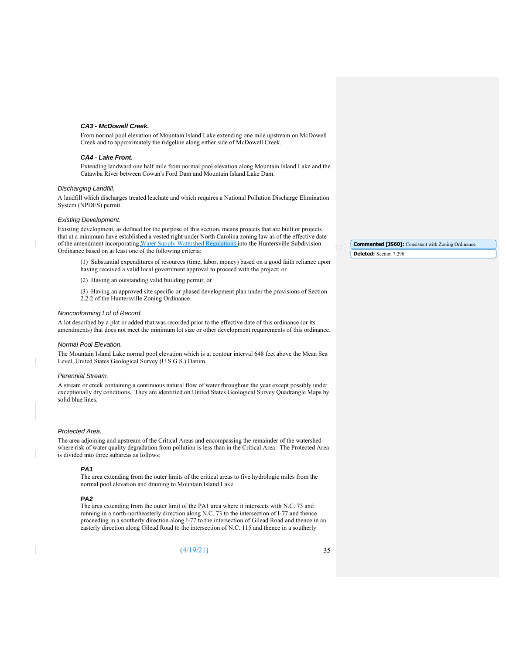#### *CA3 - McDowell Creek.*

From normal pool elevation of Mountain Island Lake extending one mile upstream on McDowell Creek and to approximately the ridgeline along either side of McDowell Creek.

#### *CA4 - Lake Front.*

Extending landward one half mile from normal pool elevation along Mountain Island Lake and the Catawba River between Cowan's Ford Dam and Mountain Island Lake Dam.

#### *Discharging Landfill.*

A landfill which discharges treated leachate and which requires a National Pollution Discharge Elimination System (NPDES) permit.

#### *Existing Development.*

Existing development, as defined for the purpose of this section, means projects that are built or projects that at a minimum have established a vested right under North Carolina zoning law as of the effective date of the amendment incorporating Water Supply Watershed Regulations into the Huntersville Subdivision Ordinance based on at least one of the following criteria:

(1) Substantial expenditures of resources (time, labor, money) based on a good faith reliance upon having received a valid local government approval to proceed with the project; or

(2) Having an outstanding valid building permit; or

(3) Having an approved site specific or phased development plan under the provisions of Section 2.2.2 of the Huntersville Zoning Ordinance.

#### *Nonconforming Lot of Record.*

A lot described by a plat or added that was recorded prior to the effective date of this ordinance (or its amendments) that does not meet the minimum lot size or other development requirements of this ordinance.

#### *Normal Pool Elevation.*

The Mountain Island Lake normal pool elevation which is at contour interval 648 feet above the Mean Sea Level, United States Geological Survey (U.S.G.S.) Datum.

#### *Perennial Stream.*

A stream or creek containing a continuous natural flow of water throughout the year except possibly under exceptionally dry conditions. They are identified on United States Geological Survey Quadrangle Maps by solid blue lines.

#### *Protected Area.*

The area adjoining and upstream of the Critical Areas and encompassing the remainder of the watershed where risk of water quality degradation from pollution is less than in the Critical Area. The Protected Area is divided into three subareas as follows:

#### *PA1*

The area extending from the outer limits of the critical areas to five hydrologic miles from the normal pool elevation and draining to Mountain Island Lake.

#### *PA2*

The area extending from the outer limit of the PA1 area where it intersects with N.C. 73 and running in a north-northeasterly direction along N.C. 73 to the intersection of I-77 and thence proceeding in a southerly direction along I-77 to the intersection of Gilead Road and thence in an easterly direction along Gilead Road to the intersection of N.C. 115 and thence in a southerly

(4/19/21) 35

**Deleted:** Section 7.290 **Commented [JS60]:** Consistent with Zoning Ordinance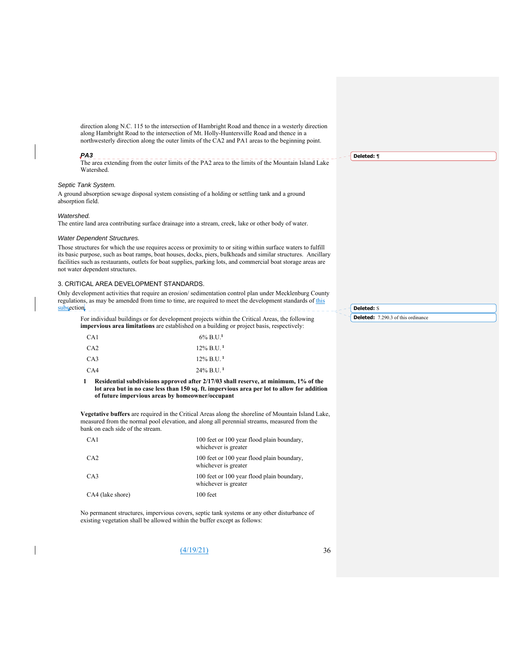direction along N.C. 115 to the intersection of Hambright Road and thence in a westerly direction along Hambright Road to the intersection of Mt. Holly-Huntersville Road and thence in a northwesterly direction along the outer limits of the CA2 and PA1 areas to the beginning point.

#### *PA3*

The area extending from the outer limits of the PA2 area to the limits of the Mountain Island Lake Watershed.

# *Septic Tank System.*

A ground absorption sewage disposal system consisting of a holding or settling tank and a ground absorption field.

#### *Watershed.*

The entire land area contributing surface drainage into a stream, creek, lake or other body of water.

#### *Water Dependent Structures.*

Those structures for which the use requires access or proximity to or siting within surface waters to fulfill its basic purpose, such as boat ramps, boat houses, docks, piers, bulkheads and similar structures. Ancillary facilities such as restaurants, outlets for boat supplies, parking lots, and commercial boat storage areas are not water dependent structures.

#### 3. CRITICAL AREA DEVELOPMENT STANDARDS.

Only development activities that require an erosion/ sedimentation control plan under Mecklenburg County regulations, as may be amended from time to time, are required to meet the development standards of this subsection.

For individual buildings or for development projects within the Critical Areas, the following **impervious area limitations** are established on a building or project basis, respectively:

| CA1             | $6\%$ B.U. <sup>1</sup>  |
|-----------------|--------------------------|
| CA <sub>2</sub> | $12\%$ B.U. <sup>1</sup> |
| CA3             | $12\%$ B.U. <sup>1</sup> |
| CA4             | $24\%$ B.U. <sup>1</sup> |

**1 Residential subdivisions approved after 2/17/03 shall reserve, at minimum, 1% of the lot area but in no case less than 150 sq. ft. impervious area per lot to allow for addition of future impervious areas by homeowner/occupant** 

**Vegetative buffers** are required in the Critical Areas along the shoreline of Mountain Island Lake, measured from the normal pool elevation, and along all perennial streams, measured from the bank on each side of the stream.

| CA <sub>1</sub>  | 100 feet or 100 year flood plain boundary,<br>whichever is greater |
|------------------|--------------------------------------------------------------------|
| CA2              | 100 feet or 100 year flood plain boundary,<br>whichever is greater |
| CA3              | 100 feet or 100 year flood plain boundary,<br>whichever is greater |
| CA4 (lake shore) | $100$ feet                                                         |

No permanent structures, impervious covers, septic tank systems or any other disturbance of existing vegetation shall be allowed within the buffer except as follows:

**Deleted:** *¶*

**Deleted:** S **Deleted:** 7.290.3 of this ordinance

(4/19/21) 36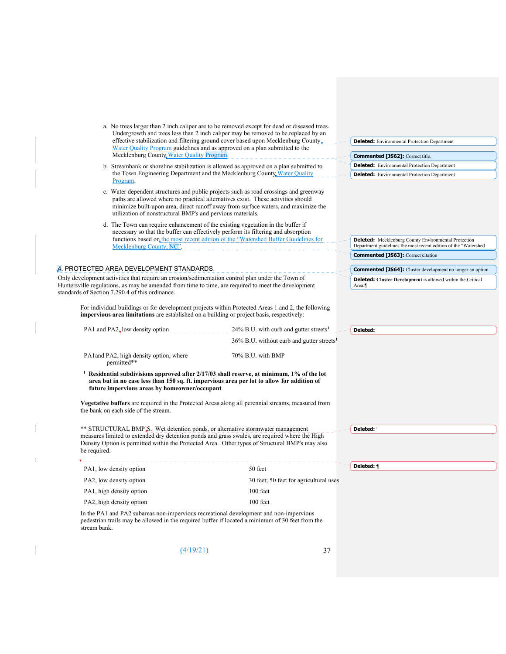| Water Quality Program guidelines and as approved on a plan submitted to the<br>Mecklenburg County, Water Quality Program                                                                                                                                                                                                                                    | a. No trees larger than 2 inch caliper are to be removed except for dead or diseased trees.<br>Undergrowth and trees less than 2 inch caliper may be removed to be replaced by an<br>effective stabilization and filtering ground cover based upon Mecklenburg County, | <b>Deleted:</b> Environmental Protection Department<br><b>Commented [JS62]: Correct title.</b>                                 |
|-------------------------------------------------------------------------------------------------------------------------------------------------------------------------------------------------------------------------------------------------------------------------------------------------------------------------------------------------------------|------------------------------------------------------------------------------------------------------------------------------------------------------------------------------------------------------------------------------------------------------------------------|--------------------------------------------------------------------------------------------------------------------------------|
| b. Streambank or shoreline stabilization is allowed as approved on a plan submitted to                                                                                                                                                                                                                                                                      |                                                                                                                                                                                                                                                                        | <b>Deleted:</b> Environmental Protection Department                                                                            |
| the Town Engineering Department and the Mecklenburg County, Water Quality<br>Program.                                                                                                                                                                                                                                                                       |                                                                                                                                                                                                                                                                        | <b>Deleted:</b> Environmental Protection Department                                                                            |
| c. Water dependent structures and public projects such as road crossings and greenway<br>paths are allowed where no practical alternatives exist. These activities should<br>utilization of nonstructural BMP's and pervious materials.                                                                                                                     | minimize built-upon area, direct runoff away from surface waters, and maximize the                                                                                                                                                                                     |                                                                                                                                |
| d. The Town can require enhancement of the existing vegetation in the buffer if                                                                                                                                                                                                                                                                             |                                                                                                                                                                                                                                                                        |                                                                                                                                |
| necessary so that the buffer can effectively perform its filtering and absorption<br>Mecklenburg County, NC <sup>"</sup> .                                                                                                                                                                                                                                  | functions based on the most recent edition of the "Watershed Buffer Guidelines for                                                                                                                                                                                     | <b>Deleted:</b> Mecklenburg County Environmental Protection<br>Department guidelines the most recent edition of the "Watershed |
|                                                                                                                                                                                                                                                                                                                                                             |                                                                                                                                                                                                                                                                        | <b>Commented [JS63]:</b> Correct citation                                                                                      |
| 4. PROTECTED AREA DEVELOPMENT STANDARDS.                                                                                                                                                                                                                                                                                                                    |                                                                                                                                                                                                                                                                        | <b>Commented [JS64]:</b> Cluster development no longer an option                                                               |
| Only development activities that require an erosion/sedimentation control plan under the Town of                                                                                                                                                                                                                                                            |                                                                                                                                                                                                                                                                        | <b>Deleted:</b> Cluster Development is allowed within the Critical                                                             |
| Huntersville regulations, as may be amended from time to time, are required to meet the development<br>standards of Section 7.290.4 of this ordinance.                                                                                                                                                                                                      |                                                                                                                                                                                                                                                                        | Area.                                                                                                                          |
| For individual buildings or for development projects within Protected Areas 1 and 2, the following<br>impervious area limitations are established on a building or project basis, respectively:                                                                                                                                                             |                                                                                                                                                                                                                                                                        |                                                                                                                                |
| PA1 and PA2 <sub>rl</sub> ow density option                                                                                                                                                                                                                                                                                                                 | $24\%$ B.U. with curb and gutter streets <sup>1</sup>                                                                                                                                                                                                                  | Deleted:                                                                                                                       |
|                                                                                                                                                                                                                                                                                                                                                             | $36\%$ B.U. without curb and gutter streets <sup>1</sup>                                                                                                                                                                                                               |                                                                                                                                |
| PA1 and PA2, high density option, where<br>permitted**                                                                                                                                                                                                                                                                                                      | 70% B.U. with BMP                                                                                                                                                                                                                                                      |                                                                                                                                |
| <sup>1</sup> Residential subdivisions approved after $2/17/03$ shall reserve, at minimum, 1% of the lot<br>area but in no case less than 150 sq. ft. impervious area per lot to allow for addition of<br>future impervious areas by homeowner/occupant<br>Vegetative buffers are required in the Protected Areas along all perennial streams, measured from |                                                                                                                                                                                                                                                                        |                                                                                                                                |
| the bank on each side of the stream.                                                                                                                                                                                                                                                                                                                        |                                                                                                                                                                                                                                                                        |                                                                                                                                |
| ** STRUCTURAL BMP'S. Wet detention ponds, or alternative stormwater management<br>measures limited to extended dry detention ponds and grass swales, are required where the High<br>Density Option is permitted within the Protected Area. Other types of Structural BMP's may also<br>be required.                                                         |                                                                                                                                                                                                                                                                        | Deleted:                                                                                                                       |
|                                                                                                                                                                                                                                                                                                                                                             |                                                                                                                                                                                                                                                                        |                                                                                                                                |
| PA1, low density option                                                                                                                                                                                                                                                                                                                                     | 50 feet                                                                                                                                                                                                                                                                | Deleted: ¶                                                                                                                     |
| PA2, low density option                                                                                                                                                                                                                                                                                                                                     | 30 feet; 50 feet for agricultural uses                                                                                                                                                                                                                                 |                                                                                                                                |
| PA1, high density option                                                                                                                                                                                                                                                                                                                                    | 100 feet                                                                                                                                                                                                                                                               |                                                                                                                                |
| PA2, high density option                                                                                                                                                                                                                                                                                                                                    | 100 feet                                                                                                                                                                                                                                                               |                                                                                                                                |
| In the PA1 and PA2 subareas non-impervious recreational development and non-impervious<br>pedestrian trails may be allowed in the required buffer if located a minimum of 30 feet from the<br>stream bank.                                                                                                                                                  |                                                                                                                                                                                                                                                                        |                                                                                                                                |

(4/19/21) 37

 $\begin{array}{c} \hline \end{array}$ 

 $\bar{\rm I}$ 

 $\overline{\phantom{a}}$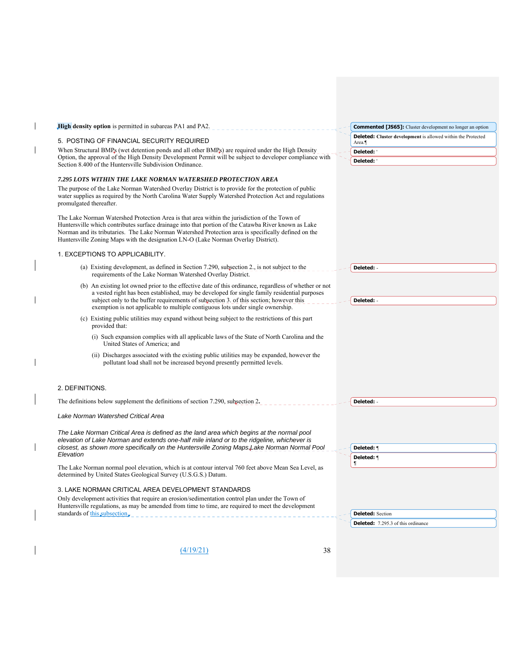| <b>High density option</b> is permitted in subareas PA1 and PA2.                                                                                                                                                                                                                                                                                                                                    |  | <b>Commented [JS65]:</b> Cluster development no longer an option             |
|-----------------------------------------------------------------------------------------------------------------------------------------------------------------------------------------------------------------------------------------------------------------------------------------------------------------------------------------------------------------------------------------------------|--|------------------------------------------------------------------------------|
| 5. POSTING OF FINANCIAL SECURITY REQUIRED                                                                                                                                                                                                                                                                                                                                                           |  | <b>Deleted:</b> Cluster development is allowed within the Protected<br>Area. |
| When Structural BMPs (wet detention ponds and all other BMPs) are required under the High Density                                                                                                                                                                                                                                                                                                   |  | Deleted:                                                                     |
| Option, the approval of the High Density Development Permit will be subject to developer compliance with<br>Section 8.400 of the Huntersville Subdivision Ordinance.                                                                                                                                                                                                                                |  | Deleted:                                                                     |
|                                                                                                                                                                                                                                                                                                                                                                                                     |  |                                                                              |
| 7.295 LOTS WITHIN THE LAKE NORMAN WATERSHED PROTECTION AREA                                                                                                                                                                                                                                                                                                                                         |  |                                                                              |
| The purpose of the Lake Norman Watershed Overlay District is to provide for the protection of public<br>water supplies as required by the North Carolina Water Supply Watershed Protection Act and regulations<br>promulgated thereafter.                                                                                                                                                           |  |                                                                              |
| The Lake Norman Watershed Protection Area is that area within the jurisdiction of the Town of<br>Huntersville which contributes surface drainage into that portion of the Catawba River known as Lake<br>Norman and its tributaries. The Lake Norman Watershed Protection area is specifically defined on the<br>Huntersville Zoning Maps with the designation LN-O (Lake Norman Overlay District). |  |                                                                              |
| 1. EXCEPTIONS TO APPLICABILITY.                                                                                                                                                                                                                                                                                                                                                                     |  |                                                                              |
| (a) Existing development, as defined in Section 7.290, subsection 2., is not subject to the<br>requirements of the Lake Norman Watershed Overlay District.                                                                                                                                                                                                                                          |  | Deleted: -                                                                   |
| (b) An existing lot owned prior to the effective date of this ordinance, regardless of whether or not<br>a vested right has been established, may be developed for single family residential purposes<br>subject only to the buffer requirements of subsection 3. of this section; however this                                                                                                     |  | Deleted: -                                                                   |
| exemption is not applicable to multiple contiguous lots under single ownership.                                                                                                                                                                                                                                                                                                                     |  |                                                                              |
| (c) Existing public utilities may expand without being subject to the restrictions of this part<br>provided that:                                                                                                                                                                                                                                                                                   |  |                                                                              |
| (i) Such expansion complies with all applicable laws of the State of North Carolina and the<br>United States of America: and                                                                                                                                                                                                                                                                        |  |                                                                              |
| (ii) Discharges associated with the existing public utilities may be expanded, however the<br>pollutant load shall not be increased beyond presently permitted levels.                                                                                                                                                                                                                              |  |                                                                              |
| 2. DEFINITIONS.                                                                                                                                                                                                                                                                                                                                                                                     |  |                                                                              |
| The definitions below supplement the definitions of section 7.290, subsection 2.                                                                                                                                                                                                                                                                                                                    |  | Deleted: -                                                                   |
| Lake Norman Watershed Critical Area                                                                                                                                                                                                                                                                                                                                                                 |  |                                                                              |
| The Lake Norman Critical Area is defined as the land area which begins at the normal pool<br>elevation of Lake Norman and extends one-half mile inland or to the ridgeline, whichever is                                                                                                                                                                                                            |  |                                                                              |
| closest, as shown more specifically on the Huntersville Zoning Maps Lake Norman Normal Pool<br>Elevation                                                                                                                                                                                                                                                                                            |  | Deleted: ¶                                                                   |
|                                                                                                                                                                                                                                                                                                                                                                                                     |  | Deleted: ¶<br>¶                                                              |
| The Lake Norman normal pool elevation, which is at contour interval 760 feet above Mean Sea Level, as<br>determined by United States Geological Survey (U.S.G.S.) Datum.                                                                                                                                                                                                                            |  |                                                                              |
| 3. LAKE NORMAN CRITICAL AREA DEVELOPMENT STANDARDS                                                                                                                                                                                                                                                                                                                                                  |  |                                                                              |
| Only development activities that require an erosion/sedimentation control plan under the Town of<br>Huntersville regulations, as may be amended from time to time, are required to meet the development<br>standards of this subsection.                                                                                                                                                            |  |                                                                              |
|                                                                                                                                                                                                                                                                                                                                                                                                     |  | <b>Deleted:</b> Section<br><b>Deleted:</b> 7.295.3 of this ordinance         |
|                                                                                                                                                                                                                                                                                                                                                                                                     |  |                                                                              |
|                                                                                                                                                                                                                                                                                                                                                                                                     |  |                                                                              |
| 38<br>(4/19/21)                                                                                                                                                                                                                                                                                                                                                                                     |  |                                                                              |

 $\overline{1}$ 

 $\begin{array}{c} \hline \end{array}$ 

 $\mathbf{I}$ 

 $\overline{1}$ 

 $\overline{1}$ 

 $\mathsf{l}$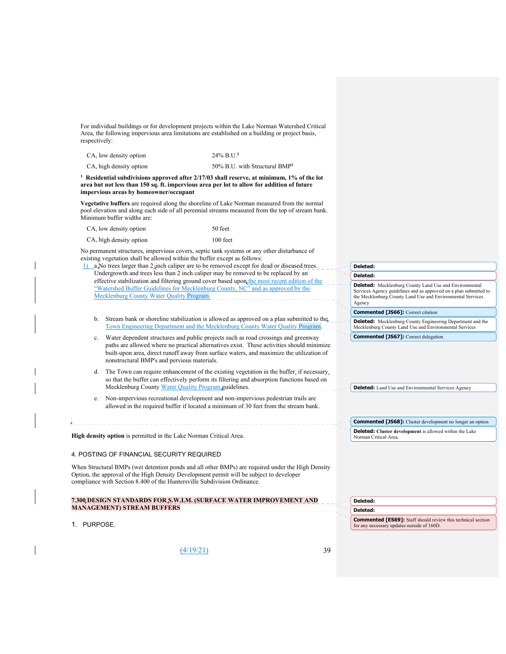For individual buildings or for development projects within the Lake Norman Watershed Critical Area, the following impervious area limitations are established on a building or project basis, respectively:

| CA, low density option  | $24\%$ B.U. <sup>1</sup>                  |
|-------------------------|-------------------------------------------|
| CA, high density option | 50% B.U. with Structural BMP <sup>1</sup> |

<sup>1</sup> Residential subdivisions approved after 2/17/03 shall reserve, at minimum, 1% of the lot **area but not less than 150 sq. ft. impervious area per lot to allow for addition of future impervious areas by homeowner/occupant** 

**Vegetative buffers** are required along the shoreline of Lake Norman measured from the normal pool elevation and along each side of all perennial streams measured from the top of stream bank. Minimum buffer widths are:

| CA, low density option |   |  |  |  | 50 feet |  |  |
|------------------------|---|--|--|--|---------|--|--|
|                        | . |  |  |  |         |  |  |

CA, high density option 100 feet

No permanent structures, impervious covers, septic tank systems or any other disturbance of existing vegetation shall be allowed within the buffer except as follows:

1) a.No trees larger than 2-inch caliper are to be removed except for dead or diseased trees. Undergrowth and trees less than 2 inch caliper may be removed to be replaced by an effective stabilization and filtering ground cover based upon the most recent edition of the "Watershed Buffer Guidelines for Mecklenburg County, NC" and as approved by the Mecklenburg County Water Quality Progra

- b. Stream bank or shoreline stabilization is allowed as approved on a plan submitted to the Town Engineering Department and the Mecklenburg County Water Quality Program.
- c. Water dependent structures and public projects such as road crossings and greenway paths are allowed where no practical alternatives exist. These activities should minimize built-upon area, direct runoff away from surface waters, and maximize the utilization of nonstructural BMP's and pervious materials.
- d. The Town can require enhancement of the existing vegetation in the buffer, if necessary, so that the buffer can effectively perform its filtering and absorption functions based on Mecklenburg County Water Quality Program guidelines.
- Non-impervious recreational development and non-impervious pedestrian trails are allowed in the required buffer if located a minimum of 30 feet from the stream bank.

**High density option** is permitted in the Lake Norman Critical Area.

#### 4. POSTING OF FINANCIAL SECURITY REQUIRED

When Structural BMPs (wet detention ponds and all other BMPs) are required under the High Density Option, the approval of the High Density Development permit will be subject to developer compliance with Section 8.400 of the Huntersville Subdivision Ordinance.

|                                   | 7.300 DESIGN STANDARDS FOR S.W.I.M. (SURFACE WATER IMPROVEMENT AND |
|-----------------------------------|--------------------------------------------------------------------|
| <b>MANAGEMENT) STREAM BUFFERS</b> |                                                                    |

1. PURPOSE.

(4/19/21) 39

#### **Deleted: Deleted:**

**Deleted:** Mecklenburg County Land Use and Environmental Services Agency guidelines and as approved on a plan submitted to the Mecklenburg County Land Use and Environmental Services Agency

**Commented [JS66]:** Correct citation

**Deleted:** Mecklenburg County Engineering Department and the Mecklenburg County Land Use and Environmental Services

**Commented [JS67]:** Correct delegation

**Deleted:** Land Use and Environmental Services Agency

**Deleted: Cluster development** is allowed within the Lake Norman Critical Area. **Commented [JS68]:** Cluster development no longer an option

**Deleted: Deleted:** 

**Commented [ES69]:** Staff should review this technical section for any necessary updates outside of 160D.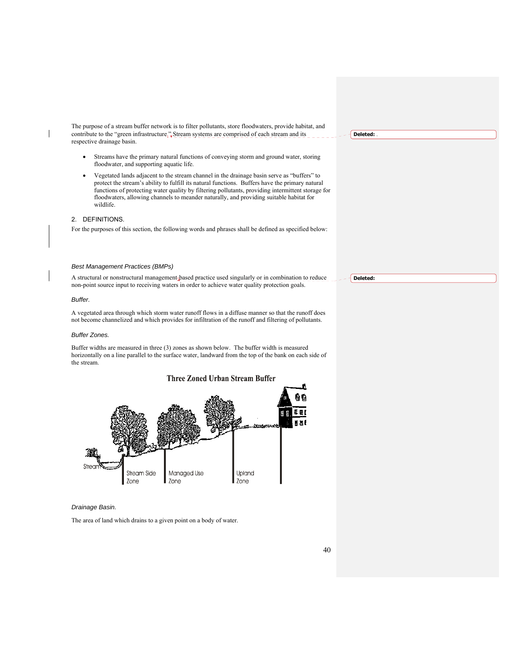The purpose of a stream buffer network is to filter pollutants, store floodwaters, provide habitat, and contribute to the "green infrastructure." Stream systems are comprised of each stream and its respective drainage basin.

- Streams have the primary natural functions of conveying storm and ground water, storing floodwater, and supporting aquatic life.
- Vegetated lands adjacent to the stream channel in the drainage basin serve as "buffers" to protect the stream's ability to fulfill its natural functions. Buffers have the primary natural functions of protecting water quality by filtering pollutants, providing intermittent storage for floodwaters, allowing channels to meander naturally, and providing suitable habitat for wildlife.

# 2. DEFINITIONS.

For the purposes of this section, the following words and phrases shall be defined as specified below:

#### *Best Management Practices (BMPs)*

A structural or nonstructural management-based practice used singularly or in combination to reduce non-point source input to receiving waters in order to achieve water quality protection goals.

#### *Buffer.*

A vegetated area through which storm water runoff flows in a diffuse manner so that the runoff does not become channelized and which provides for infiltration of the runoff and filtering of pollutants.

#### *Buffer Zones.*

Buffer widths are measured in three (3) zones as shown below. The buffer width is measured horizontally on a line parallel to the surface water, landward from the top of the bank on each side of the stream.



#### *Drainage Basin.*

The area of land which drains to a given point on a body of water.

**Deleted:** .

**Deleted:**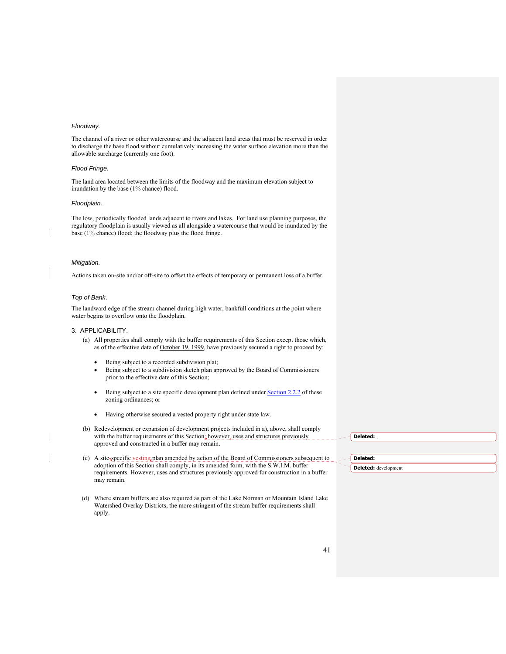#### *Floodway.*

The channel of a river or other watercourse and the adjacent land areas that must be reserved in order to discharge the base flood without cumulatively increasing the water surface elevation more than the allowable surcharge (currently one foot).

#### *Flood Fringe.*

The land area located between the limits of the floodway and the maximum elevation subject to inundation by the base (1% chance) flood.

#### *Floodplain.*

The low, periodically flooded lands adjacent to rivers and lakes. For land use planning purposes, the regulatory floodplain is usually viewed as all alongside a watercourse that would be inundated by the base (1% chance) flood; the floodway plus the flood fringe.

#### *Mitigation.*

Actions taken on-site and/or off-site to offset the effects of temporary or permanent loss of a buffer.

#### *Top of Bank*.

The landward edge of the stream channel during high water, bankfull conditions at the point where water begins to overflow onto the floodplain.

#### 3. APPLICABILITY.

- (a) All properties shall comply with the buffer requirements of this Section except those which, as of the effective date of October 19, 1999, have previously secured a right to proceed by:
	- Being subject to a recorded subdivision plat;
	- Being subject to a subdivision sketch plan approved by the Board of Commissioners prior to the effective date of this Section;
	- Being subject to a site specific development plan defined under Section 2.2.2 of these zoning ordinances; or
	- Having otherwise secured a vested property right under state law.
- (b) Redevelopment or expansion of development projects included in a), above, shall comply with the buffer requirements of this Section; however, uses and structures previously approved and constructed in a buffer may remain.
- (c) A site-specific vesting plan amended by action of the Board of Commissioners subsequent to adoption of this Section shall comply, in its amended form, with the S.W.I.M. buffer requirements. However, uses and structures previously approved for construction in a buffer may remain.
- (d) Where stream buffers are also required as part of the Lake Norman or Mountain Island Lake Watershed Overlay Districts, the more stringent of the stream buffer requirements shall apply.

**Deleted:** ,

# **Deleted: Deleted:** development

41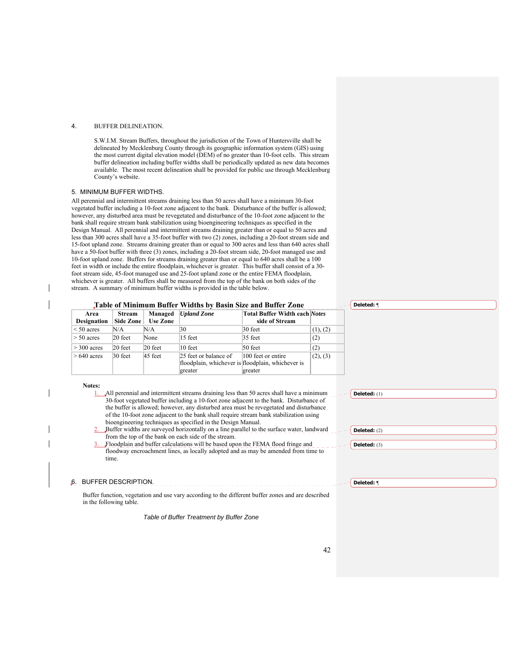#### 4. BUFFER DELINEATION.

S.W.I.M. Stream Buffers, throughout the jurisdiction of the Town of Huntersville shall be delineated by Mecklenburg County through its geographic information system (GIS) using the most current digital elevation model (DEM) of no greater than 10-foot cells. This stream buffer delineation including buffer widths shall be periodically updated as new data becomes available. The most recent delineation shall be provided for public use through Mecklenburg County's website.

#### 5. MINIMUM BUFFER WIDTHS.

All perennial and intermittent streams draining less than 50 acres shall have a minimum 30-foot vegetated buffer including a 10-foot zone adjacent to the bank. Disturbance of the buffer is allowed; however, any disturbed area must be revegetated and disturbance of the 10-foot zone adjacent to the bank shall require stream bank stabilization using bioengineering techniques as specified in the Design Manual. All perennial and intermittent streams draining greater than or equal to 50 acres and less than 300 acres shall have a 35-foot buffer with two (2) zones, including a 20-foot stream side and 15-foot upland zone. Streams draining greater than or equal to 300 acres and less than 640 acres shall have a 50-foot buffer with three (3) zones, including a 20-foot stream side, 20-foot managed use and 10-foot upland zone. Buffers for streams draining greater than or equal to 640 acres shall be a 100 feet in width or include the entire floodplain, whichever is greater. This buffer shall consist of a 30 foot stream side, 45-foot managed use and 25-foot upland zone or the entire FEMA floodplain, whichever is greater. All buffers shall be measured from the top of the bank on both sides of the stream. A summary of minimum buffer widths is provided in the table below.

#### **Table of Minimum Buffer Widths by Basin Size and Buffer Zone**

| Area               | <b>Stream</b> | Managed             | <b>Upland Zone</b>    | <b>Total Buffer Width each Notes</b>              |          |
|--------------------|---------------|---------------------|-----------------------|---------------------------------------------------|----------|
| <b>Designation</b> | Side Zone     | <b>Use Zone</b>     |                       | side of Stream                                    |          |
| $\leq 50$ acres    | N/A           | N/A                 | 30                    | 30 feet                                           | (1), (2) |
| $> 50$ acres       | $20$ feet     | None                | 15 feet               | 35 feet                                           | (2)      |
| $>$ 300 acres      | $20$ feet     | $ 20 \text{ feet} $ | $10$ feet             | 50 feet                                           | (2)      |
| $>640$ acres       | $30$ feet     | $45$ feet           | 25 feet or balance of | 100 feet or entire                                | (2), (3) |
|                    |               |                     |                       | floodplain, whichever is floodplain, whichever is |          |
|                    |               |                     | greater               | greater                                           |          |

#### **Notes:**

| Notes: |                                                                                                    |                       |
|--------|----------------------------------------------------------------------------------------------------|-----------------------|
|        | 1. All perennial and intermittent streams draining less than 50 acres shall have a minimum         | Deleted: $(1)$        |
|        | 30-foot vegetated buffer including a 10-foot zone adjacent to the bank. Disturbance of             |                       |
|        | the buffer is allowed; however, any disturbed area must be revegetated and disturbance             |                       |
|        | of the 10-foot zone adjacent to the bank shall require stream bank stabilization using             |                       |
|        | bioengineering techniques as specified in the Design Manual.                                       |                       |
|        | 2. Buffer widths are surveyed horizontally on a line parallel to the surface water, landward       | <b>Deleted:</b> $(2)$ |
|        | from the top of the bank on each side of the stream.                                               |                       |
|        | 3. Floodplain and buffer calculations will be based upon the FEMA flood fringe and                 | <b>Deleted:</b> $(3)$ |
|        | floodway encroachment lines, as locally adopted and as may be amended from time to                 |                       |
|        | time.                                                                                              |                       |
|        |                                                                                                    |                       |
|        |                                                                                                    |                       |
| .6.    | BUFFER DESCRIPTION.                                                                                | Deleted: ¶            |
|        |                                                                                                    |                       |
|        | Buffer function, vegetation and use vary according to the different buffer zones and are described |                       |
|        | in the following table.                                                                            |                       |
|        |                                                                                                    |                       |

*Table of Buffer Treatment by Buffer Zone* 

**Deleted:** ¶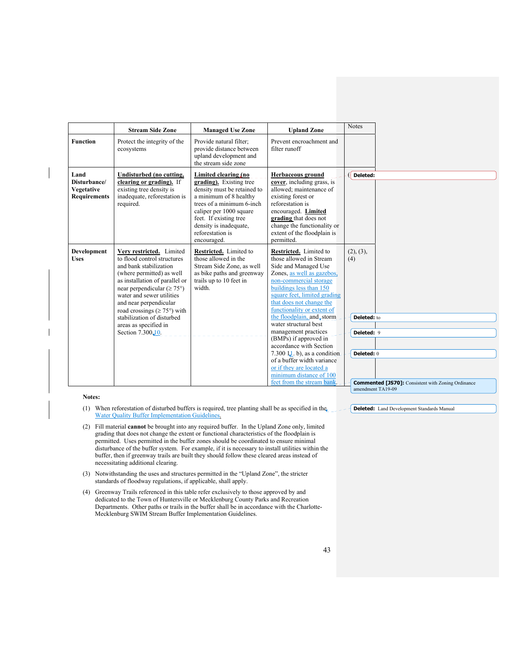|                                                           | <b>Stream Side Zone</b>                                                                                                                                                                                                                                                                                                                                               | <b>Managed Use Zone</b>                                                                                                                                                                                                                                 | <b>Upland Zone</b>                                                                                                                                                                                                                                                                                                                                                                                                                                                                                                                                          | <b>Notes</b>                                                                                                             |
|-----------------------------------------------------------|-----------------------------------------------------------------------------------------------------------------------------------------------------------------------------------------------------------------------------------------------------------------------------------------------------------------------------------------------------------------------|---------------------------------------------------------------------------------------------------------------------------------------------------------------------------------------------------------------------------------------------------------|-------------------------------------------------------------------------------------------------------------------------------------------------------------------------------------------------------------------------------------------------------------------------------------------------------------------------------------------------------------------------------------------------------------------------------------------------------------------------------------------------------------------------------------------------------------|--------------------------------------------------------------------------------------------------------------------------|
| <b>Function</b>                                           | Protect the integrity of the<br>ecosystems                                                                                                                                                                                                                                                                                                                            | Provide natural filter;<br>provide distance between<br>upland development and<br>the stream side zone                                                                                                                                                   | Prevent encroachment and<br>filter runoff                                                                                                                                                                                                                                                                                                                                                                                                                                                                                                                   |                                                                                                                          |
| Land<br>Disturbance/<br>Vegetative<br><b>Requirements</b> | Undisturbed (no cutting,<br>clearing or grading). If<br>existing tree density is<br>inadequate, reforestation is<br>required.                                                                                                                                                                                                                                         | Limited clearing (no<br>grading). Existing tree<br>density must be retained to<br>a minimum of 8 healthy<br>trees of a minimum 6-inch<br>caliper per 1000 square<br>feet. If existing tree<br>density is inadequate,<br>reforestation is<br>encouraged. | <b>Herbaceous</b> ground<br>cover, including grass, is<br>allowed: maintenance of<br>existing forest or<br>reforestation is<br>encouraged. Limited<br>grading that does not<br>change the functionality or<br>extent of the floodplain is<br>permitted.                                                                                                                                                                                                                                                                                                     | Deleted:                                                                                                                 |
| <b>Development</b><br><b>Uses</b>                         | Very restricted. Limited<br>to flood control structures<br>and bank stabilization<br>(where permitted) as well<br>as installation of parallel or<br>near perpendicular ( $\geq 75^{\circ}$ )<br>water and sewer utilities<br>and near perpendicular<br>road crossings ( $\geq$ 75°) with<br>stabilization of disturbed<br>areas as specified in<br>Section 7.300, 10. | Restricted. Limited to<br>those allowed in the<br>Stream Side Zone, as well<br>as bike paths and greenway<br>trails up to 10 feet in<br>width.                                                                                                          | Restricted. Limited to<br>those allowed in Stream<br>Side and Managed Use<br>Zones, as well as gazebos,<br>non-commercial storage<br>buildings less than 150<br>square feet, limited grading<br>that does not change the<br>functionality or extent of<br>the floodplain, and, storm<br>water structural best<br>management practices<br>$(B\overline{MPs})$ if approved in<br>accordance with Section<br>7.300 $11$ . b), as a condition<br>of a buffer width variance<br>or if they are located a<br>minimum distance of 100<br>feet from the stream bank | (2), (3),<br>(4)<br>Deleted: to<br>Deleted: 9<br>Deleted: 0<br><b>Commented [JS70]:</b> Consistent with Zoning Ordinance |

- (1) When reforestation of disturbed buffers is required, tree planting shall be as specified in the  $\sim$  **Deleted:** Land Development Standards Manual Water Quality Buffer Implementation Guidelines.
- (2) Fill material **cannot** be brought into any required buffer. In the Upland Zone only, limited grading that does not change the extent or functional characteristics of the floodplain is permitted. Uses permitted in the buffer zones should be coordinated to ensure minimal disturbance of the buffer system. For example, if it is necessary to install utilities within the buffer, then if greenway trails are built they should follow these cleared areas instead of necessitating additional clearing.
- (3) Notwithstanding the uses and structures permitted in the "Upland Zone", the stricter standards of floodway regulations, if applicable, shall apply.
- (4) Greenway Trails referenced in this table refer exclusively to those approved by and dedicated to the Town of Huntersville or Mecklenburg County Parks and Recreation Departments. Other paths or trails in the buffer shall be in accordance with the Charlotte-Mecklenburg SWIM Stream Buffer Implementation Guidelines.

43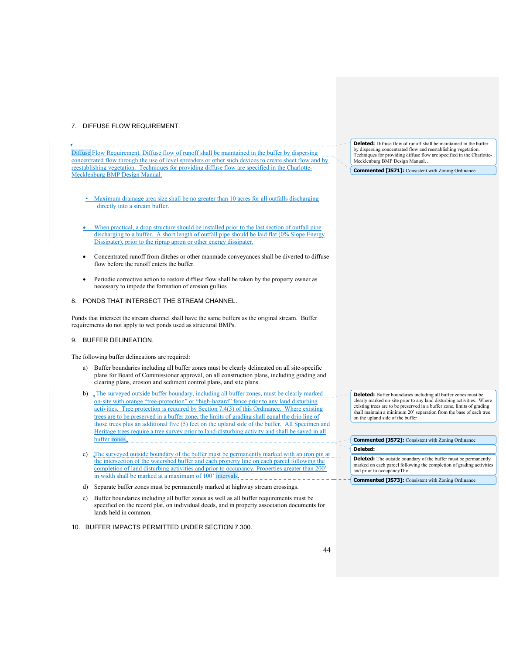# 7. DIFFUSE FLOW REQUIREMENT.

. Diffuse Flow Requirement. Diffuse flow of runoff shall be maintained in the buffer by dispersing concentrated flow through the use of level spreaders or other such devices to create sheet flow and by reestablishing vegetation. Techniques for providing diffuse flow are specified in the Charlotte-Mecklenburg BMP Design Manual.

- Maximum drainage area size shall be no greater than 10 acres for all outfalls discharging directly into a stream buffer.
- When practical, a drop structure should be installed prior to the last section of outfall pipe discharging to a buffer. A short length of outfall pipe should be laid flat (0% Slope Energy Dissipater), prior to the riprap apron or other energy dissipater.
- Concentrated runoff from ditches or other manmade conveyances shall be diverted to diffuse flow before the runoff enters the buffer.
- Periodic corrective action to restore diffuse flow shall be taken by the property owner as necessary to impede the formation of erosion gullies

# 8. PONDS THAT INTERSECT THE STREAM CHANNEL.

Ponds that intersect the stream channel shall have the same buffers as the original stream. Buffer requirements do not apply to wet ponds used as structural BMPs.

## 9. BUFFER DELINEATION.

The following buffer delineations are required:

- a) Buffer boundaries including all buffer zones must be clearly delineated on all site-specific plans for Board of Commissioner approval, on all construction plans, including grading and clearing plans, erosion and sediment control plans, and site plans.
- b) The surveyed outside buffer boundary, including all buffer zones, must be clearly marked on-site with orange "tree-protection" or "high-hazard" fence prior to any land disturbing activities. Tree protection is required by Section 7.4(3) of this Ordinance. Where existing trees are to be preserved in a buffer zone, the limits of grading shall equal the drip line of those trees plus an additional five (5) feet on the upland side of the buffer. All Specimen and Heritage trees require a tree survey prior to land-disturbing activity and shall be saved in all buffer zones.
- c) The surveyed outside boundary of the buffer must be permanently marked with an iron pin at the intersection of the watershed buffer and each property line on each parcel following the completion of land disturbing activities and prior to occupancy. Properties greater than 200' in width shall be marked at a maximum of  $100'$  intervals.
- d) Separate buffer zones must be permanently marked at highway stream crossings.
- e) Buffer boundaries including all buffer zones as well as all buffer requirements must be specified on the record plat, on individual deeds, and in property association documents for lands held in common.
- 10. BUFFER IMPACTS PERMITTED UNDER SECTION 7.300.

**Deleted:** Diffuse flow of runoff shall be maintained in the buffer by dispersing concentrated flow and reestablishing vegetation. Techniques for providing diffuse flow are specified in the Charlotte-Mecklenburg BMP Design Manual…

**Commented [JS71]:** Consistent with Zoning Ordinance

**Deleted:** Buffer boundaries including all buffer zones must be clearly marked on-site prior to any land disturbing activities. Where existing trees are to be preserved in a buffer zone, limits of grading shall maintain a minimum 20' separation from the base of each tree on the upland side of the buffer

| <b>Commented [JS72]:</b> Consistent with Zoning Ordinance                                                                                                                   |  |
|-----------------------------------------------------------------------------------------------------------------------------------------------------------------------------|--|
| Deleted:                                                                                                                                                                    |  |
| <b>Deleted:</b> The outside boundary of the buffer must be permanently<br>marked on each parcel following the completion of grading activities<br>and prior to occupancyThe |  |
|                                                                                                                                                                             |  |

**Commented [JS73]:** Consistent with Zoning Ordinance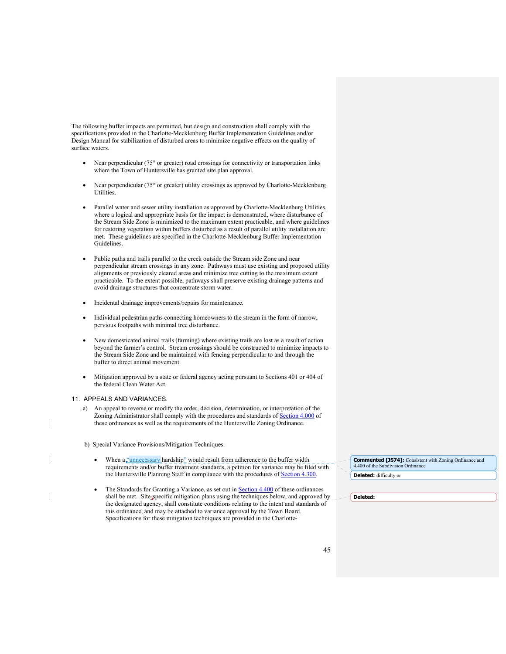The following buffer impacts are permitted, but design and construction shall comply with the specifications provided in the Charlotte-Mecklenburg Buffer Implementation Guidelines and/or Design Manual for stabilization of disturbed areas to minimize negative effects on the quality of surface waters.

- Near perpendicular (75° or greater) road crossings for connectivity or transportation links where the Town of Huntersville has granted site plan approval.
- Near perpendicular (75° or greater) utility crossings as approved by Charlotte-Mecklenburg Utilities.
- Parallel water and sewer utility installation as approved by Charlotte-Mecklenburg Utilities, where a logical and appropriate basis for the impact is demonstrated, where disturbance of the Stream Side Zone is minimized to the maximum extent practicable, and where guidelines for restoring vegetation within buffers disturbed as a result of parallel utility installation are met. These guidelines are specified in the Charlotte-Mecklenburg Buffer Implementation Guidelines.
- Public paths and trails parallel to the creek outside the Stream side Zone and near perpendicular stream crossings in any zone. Pathways must use existing and proposed utility alignments or previously cleared areas and minimize tree cutting to the maximum extent practicable. To the extent possible, pathways shall preserve existing drainage patterns and avoid drainage structures that concentrate storm water.
- Incidental drainage improvements/repairs for maintenance.
- Individual pedestrian paths connecting homeowners to the stream in the form of narrow, pervious footpaths with minimal tree disturbance.
- New domesticated animal trails (farming) where existing trails are lost as a result of action beyond the farmer's control. Stream crossings should be constructed to minimize impacts to the Stream Side Zone and be maintained with fencing perpendicular to and through the buffer to direct animal movement.
- Mitigation approved by a state or federal agency acting pursuant to Sections 401 or 404 of the federal Clean Water Act.

## 11. APPEALS AND VARIANCES.

a) An appeal to reverse or modify the order, decision, determination, or interpretation of the Zoning Administrator shall comply with the procedures and standards of **Section 4.000** of these ordinances as well as the requirements of the Huntersville Zoning Ordinance.

b) Special Variance Provisions/Mitigation Techniques.

- When a "unnecessary hardship" would result from adherence to the buffer width requirements and/or buffer treatment standards, a petition for variance may be filed with the Huntersville Planning Staff in compliance with the procedures of **Section 4.300**.
- The Standards for Granting a Variance, as set out in Section 4.400 of these ordinances shall be met. Site-specific mitigation plans using the techniques below, and approved by the designated agency, shall constitute conditions relating to the intent and standards of this ordinance, and may be attached to variance approval by the Town Board. Specifications for these mitigation techniques are provided in the Charlotte-

**Deleted:** difficulty or **Commented [JS74]:** Consistent with Zoning Ordinance and 4.400 of the Subdivision Ordinance

**Deleted:**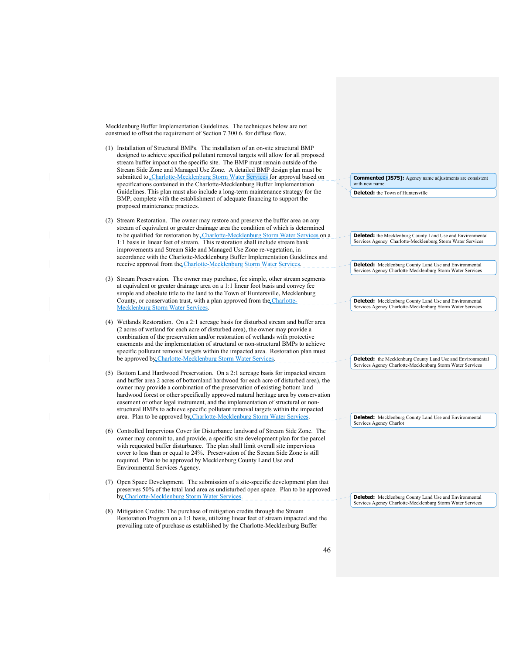Mecklenburg Buffer Implementation Guidelines. The techniques below are not construed to offset the requirement of Section 7.300 6. for diffuse flow.

- (1) Installation of Structural BMPs. The installation of an on-site structural BMP designed to achieve specified pollutant removal targets will allow for all proposed stream buffer impact on the specific site. The BMP must remain outside of the Stream Side Zone and Managed Use Zone. A detailed BMP design plan must be submitted to Charlotte-Mecklenburg Storm Water Services for approval based on specifications contained in the Charlotte-Mecklenburg Buffer Implementation Guidelines. This plan must also include a long-term maintenance strategy for the BMP, complete with the establishment of adequate financing to support the proposed maintenance practices.
- (2) Stream Restoration. The owner may restore and preserve the buffer area on any stream of equivalent or greater drainage area the condition of which is determined to be qualified for restoration by Charlotte-Mecklenburg Storm Water Services on a 1:1 basis in linear feet of stream. This restoration shall include stream bank improvements and Stream Side and Managed Use Zone re-vegetation, in accordance with the Charlotte-Mecklenburg Buffer Implementation Guidelines and receive approval from the Charlotte-Mecklenburg Storm Water Services.
- (3) Stream Preservation. The owner may purchase, fee simple, other stream segments at equivalent or greater drainage area on a 1:1 linear foot basis and convey fee simple and absolute title to the land to the Town of Huntersville, Mecklenburg County, or conservation trust, with a plan approved from the Charlotte-Mecklenburg Storm Water Services.
- (4) Wetlands Restoration. On a 2:1 acreage basis for disturbed stream and buffer area (2 acres of wetland for each acre of disturbed area), the owner may provide a combination of the preservation and/or restoration of wetlands with protective easements and the implementation of structural or non-structural BMPs to achieve specific pollutant removal targets within the impacted area. Restoration plan must be approved by Charlotte-Mecklenburg Storm Water Services.
- (5) Bottom Land Hardwood Preservation. On a 2:1 acreage basis for impacted stream and buffer area 2 acres of bottomland hardwood for each acre of disturbed area), the owner may provide a combination of the preservation of existing bottom land hardwood forest or other specifically approved natural heritage area by conservation easement or other legal instrument, and the implementation of structural or nonstructural BMPs to achieve specific pollutant removal targets within the impacted area. Plan to be approved by Charlotte-Mecklenburg Storm Water Service
- (6) Controlled Impervious Cover for Disturbance landward of Stream Side Zone. The owner may commit to, and provide, a specific site development plan for the parcel with requested buffer disturbance. The plan shall limit overall site impervious cover to less than or equal to 24%. Preservation of the Stream Side Zone is still required. Plan to be approved by Mecklenburg County Land Use and Environmental Services Agency.
- (7) Open Space Development. The submission of a site-specific development plan that preserves 50% of the total land area as undisturbed open space. Plan to be approved by Charlotte-Mecklenburg Storm Water Services.
- (8) Mitigation Credits: The purchase of mitigation credits through the Stream Restoration Program on a 1:1 basis, utilizing linear feet of stream impacted and the prevailing rate of purchase as established by the Charlotte-Mecklenburg Buffer

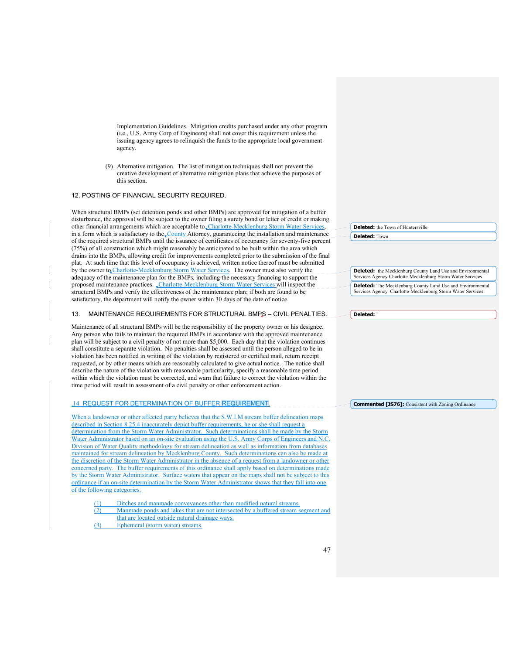Implementation Guidelines. Mitigation credits purchased under any other program (i.e., U.S. Army Corp of Engineers) shall not cover this requirement unless the issuing agency agrees to relinquish the funds to the appropriate local government agency.

(9) Alternative mitigation. The list of mitigation techniques shall not prevent the creative development of alternative mitigation plans that achieve the purposes of this section.

#### 12. POSTING OF FINANCIAL SECURITY REQUIRED.

When structural BMPs (set detention ponds and other BMPs) are approved for mitigation of a buffer disturbance, the approval will be subject to the owner filing a surety bond or letter of credit or making other financial arrangements which are acceptable to Charlotte-Mecklenburg Storm Water Service in a form which is satisfactory to the County Attorney, guaranteeing the installation and maintenance of the required structural BMPs until the issuance of certificates of occupancy for seventy-five percent (75%) of all construction which might reasonably be anticipated to be built within the area which drains into the BMPs, allowing credit for improvements completed prior to the submission of the final plat. At such time that this level of occupancy is achieved, written notice thereof must be submitted by the owner to Charlotte-Mecklenburg Storm Water Services. The owner must also verify the adequacy of the maintenance plan for the BMPs, including the necessary financing to support the proposed maintenance practices. Charlotte-Mecklenburg Storm Water Services will inspect the structural BMPs and verify the effectiveness of the maintenance plan; if both are found to be satisfactory, the department will notify the owner within 30 days of the date of notice.

#### 13. MAINTENANCE REQUIREMENTS FOR STRUCTURAL BMPS – CIVIL PENALTIES.

Maintenance of all structural BMPs will be the responsibility of the property owner or his designee. Any person who fails to maintain the required BMPs in accordance with the approved maintenance plan will be subject to a civil penalty of not more than \$5,000. Each day that the violation continues shall constitute a separate violation. No penalties shall be assessed until the person alleged to be in violation has been notified in writing of the violation by registered or certified mail, return receipt requested, or by other means which are reasonably calculated to give actual notice. The notice shall describe the nature of the violation with reasonable particularity, specify a reasonable time period within which the violation must be corrected, and warn that failure to correct the violation within the time period will result in assessment of a civil penalty or other enforcement action.

#### .14 REQUEST FOR DETERMINATION OF BUFFER REQUIREMENT.

When a landowner or other affected party believes that the S.W.I.M stream buffer delineation maps described in Section 8.25.4 inaccurately depict buffer requirements, he or she shall request a determination from the Storm Water Administrator. Such determinations shall be made by the Storm Water Administrator based on an on-site evaluation using the U.S. Army Corps of Engineers and N.C. Division of Water Quality methodology for stream delineation as well as information from databases maintained for stream delineation by Mecklenburg County. Such determinations can also be made at the discretion of the Storm Water Administrator in the absence of a request from a landowner or other concerned party. The buffer requirements of this ordinance shall apply based on determinations made by the Storm Water Administrator. Surface waters that appear on the maps shall not be subject to this ordinance if an on-site determination by the Storm Water Administrator shows that they fall into one of the following categories.

- Ditches and manmade conveyances other than modified natural streams.
- (2) Manmade ponds and lakes that are not intersected by a buffered stream segment and that are located outside natural drainage ways.
- (3) Ephemeral (storm water) streams.

**Deleted:** the Town of Huntersville **Deleted:** Town

**Deleted:** the Mecklenburg County Land Use and Environmental Services Agency Charlotte-Mecklenburg Storm Water Services **Deleted:** The Mecklenburg County Land Use and Environmental Services Agency Charlotte-Mecklenburg Storm Water Services

**Deleted:** '

**Commented [JS76]:** Consistent with Zoning Ordinance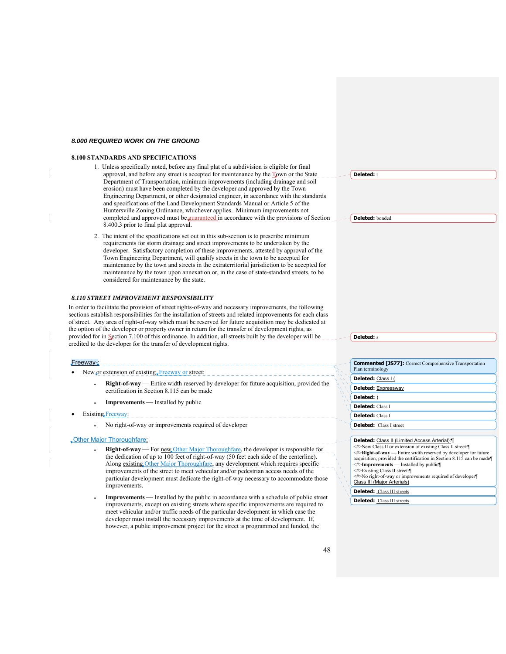#### *8.000 REQUIRED WORK ON THE GROUND*

#### **8.100 STANDARDS AND SPECIFICATIONS**

- 1. Unless specifically noted, before any final plat of a subdivision is eligible for final approval, and before any street is accepted for maintenance by the Town or the State Department of Transportation, minimum improvements (including drainage and soil erosion) must have been completed by the developer and approved by the Town Engineering Department, or other designated engineer, in accordance with the standards and specifications of the Land Development Standards Manual or Article 5 of the Huntersville Zoning Ordinance, whichever applies. Minimum improvements not completed and approved must be guaranteed in accordance with the provisions of Section 8.400.3 prior to final plat approval.
- 2. The intent of the specifications set out in this sub-section is to prescribe minimum requirements for storm drainage and street improvements to be undertaken by the developer. Satisfactory completion of these improvements, attested by approval of the Town Engineering Department, will qualify streets in the town to be accepted for maintenance by the town and streets in the extraterritorial jurisdiction to be accepted for maintenance by the town upon annexation or, in the case of state-standard streets, to be considered for maintenance by the state.

#### *8.110 STREET IMPROVEMENT RESPONSIBILITY*

In order to facilitate the provision of street rights-of-way and necessary improvements, the following sections establish responsibilities for the installation of streets and related improvements for each class of street. Any area of right-of-way which must be reserved for future acquisition may be dedicated at the option of the developer or property owner in return for the transfer of development rights, as provided for in Section 7.100 of this ordinance. In addition, all streets built by the developer will be credited to the developer for the transfer of development rights.

#### Freeway-:

- New  $or$  extension of existing, Freeway or street:
	- **Right-of-way** Entire width reserved by developer for future acquisition, provided the certification in Section 8.115 can be made
	- **Improvements** Installed by public
- Existing Freeway:
	- No right-of-way or improvements required of developer

#### Other Major Thoroughfare:

- **Right-of-way** For new Other Major Thoroughfare, the developer is responsible for the dedication of up to 100 feet of right-of-way (50 feet each side of the centerline). Along existing Other Major Thoroughfare, any development which requires specific improvements of the street to meet vehicular and/or pedestrian access needs of the particular development must dedicate the right-of-way necessary to accommodate those improvements.
- **Improvements** Installed by the public in accordance with a schedule of public street improvements, except on existing streets where specific improvements are required to meet vehicular and/or traffic needs of the particular development in which case the developer must install the necessary improvements at the time of development. If, however, a public improvement project for the street is programmed and funded, the

|  | <b>Deleted:</b> t |  |
|--|-------------------|--|
|  |                   |  |

**Deleted:** bonded

**Deleted:** s

| <b>Commented [JS77]:</b> Correct Comprehensive Transportation<br>Plan terminology |
|-----------------------------------------------------------------------------------|
| Deleted: Class I (                                                                |
| Deleted: Expressway                                                               |
| Deleted: )                                                                        |
| <b>Deleted:</b> Class I                                                           |
| <b>Deleted:</b> Class I                                                           |
| <b>Deleted:</b> Class I street                                                    |
|                                                                                   |
| <b>Deleted:</b> Class II (Limited Access Arterial):¶                              |
| <#>New Class II or extension of existing Class II street:                         |
| <#>Right-of-way — Entire width reserved by developer for future                   |
| acquisition, provided the certification in Section 8.115 can be made              |
| <#>Improvements - Installed by public¶                                            |
| <#>Existing Class II street:¶                                                     |
| <#>No right-of-way or improvements required of developer¶                         |
| Class III (Major Arterials)                                                       |
| <b>Deleted:</b> Class III streets                                                 |

**Deleted:** Class III streets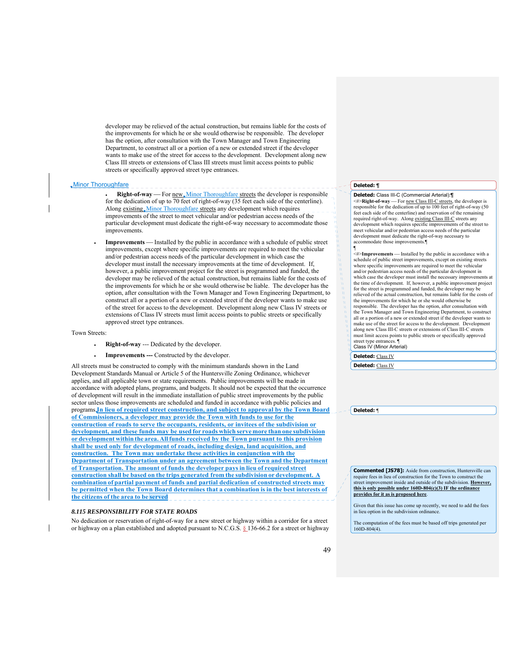developer may be relieved of the actual construction, but remains liable for the costs of the improvements for which he or she would otherwise be responsible. The developer has the option, after consultation with the Town Manager and Town Engineering Department, to construct all or a portion of a new or extended street if the developer wants to make use of the street for access to the development. Development along new Class III streets or extensions of Class III streets must limit access points to public streets or specifically approved street type entrances.

#### Minor Thoroughfare

**Right-of-way** - For new *Minor Thoroughfare streets the developer is responsible* for the dedication of up to 70 feet of right-of-way (35 feet each side of the centerline). Along existing Minor Thoroughfare streets any development which requires improvements of the street to meet vehicular and/or pedestrian access needs of the particular development must dedicate the right-of-way necessary to accommodate those improvements.

**Improvements** — Installed by the public in accordance with a schedule of public street improvements, except where specific improvements are required to meet the vehicular and/or pedestrian access needs of the particular development in which case the developer must install the necessary improvements at the time of development. If, however, a public improvement project for the street is programmed and funded, the developer may be relieved of the actual construction, but remains liable for the costs of the improvements for which he or she would otherwise be liable. The developer has the option, after consultation with the Town Manager and Town Engineering Department, to construct all or a portion of a new or extended street if the developer wants to make use of the street for access to the development. Development along new Class IV streets or extensions of Class IV streets must limit access points to public streets or specifically approved street type entrances.

#### Town Streets:

- **Right-of-way** --- Dedicated by the developer.
- **Improvements ---** Constructed by the developer.

All streets must be constructed to comply with the minimum standards shown in the Land Development Standards Manual or Article 5 of the Huntersville Zoning Ordinance, whichever applies, and all applicable town or state requirements. Public improvements will be made in accordance with adopted plans, programs, and budgets. It should not be expected that the occurrence of development will result in the immediate installation of public street improvements by the public sector unless those improvements are scheduled and funded in accordance with public policies and programs.**In lieu of required street construction, and subject to approval by the Town Board of Commissioners, a developer may provide the Town with funds to use for the construction of roads to serve the occupants, residents, or invitees of the subdivision or development, and these funds may be used for roads which serve more than one subdivision or development within the area. All funds received by the Town pursuant to this provision shall be used only for development of roads, including design, land acquisition, and construction. The Town may undertake these activities in conjunction with the Department of Transportation under an agreement between the Town and the Department of Transportation. The amount of funds the developer pays in lieu of required street construction shall be based on the trips generated from the subdivision or development combination of partial payment of funds and partial dedication of constructed streets may be permitted when the Town Board determines that a combination is in the best interests of the citizens of the area to be served**

#### *8.115 RESPONSIBILITY FOR STATE ROADS*

No dedication or reservation of right-of-way for a new street or highway within a corridor for a street or highway on a plan established and adopted pursuant to N.C.G.S. § 136-66.2 for a street or highway

## **Deleted:** ¶

#### **Deleted:** Class III-C (Commercial Arterial):¶

 $\leq$ #>**Right-of-way** — For new Class III-C streets, the developer is responsible for the dedication of up to 100 feet of right-of-way (50 feet each side of the centerline) and reservation of the remaining required right-of-way. Along existing Class III-C streets any<br>development which requires specific improvements of the street to meet vehicular and/or pedestrian access needs of the particular development must dedicate the right-of-way necessary to accommodate those improvements.¶ ¶

<#>**Improvements** Installed by the public in accordance with a schedule of public street improvements, except on existing streets where specific improvements are required to meet the vehicular and/or pedestrian access needs of the particular development in which case the developer must install the necessary improvements at the time of development. If, however, a public improvement project for the street is programmed and funded, the developer may be relieved of the actual construction, but remains liable for the costs of the improvements for which he or she would otherwise be responsible. The developer has the option, after consultation with the Town Manager and Town Engineering Department, to construct all or a portion of a new or extended street if the developer wants to make use of the street for access to the development. Development along new Class III-C streets or extensions of Class III-C streets must limit access points to public streets or specifically approved street type entrances. ¶ Class IV (Minor Arterial)

**Deleted:** Class IV

**Deleted:** Class IV

**Deleted:** ¶

**Commented [JS78]:** Aside from construction, Huntersville can require fees in lieu of construction for the Town to construct the street improvement inside and outside of the subdivision. **However, this is only possible under 160D-804(c)(3) IF the ordinance provides for it as is proposed here**.

Given that this issue has come up recently, we need to add the fees in lieu option in the subdivision ordinance.

The computation of the fees must be based off trips generated per 160D-804(4).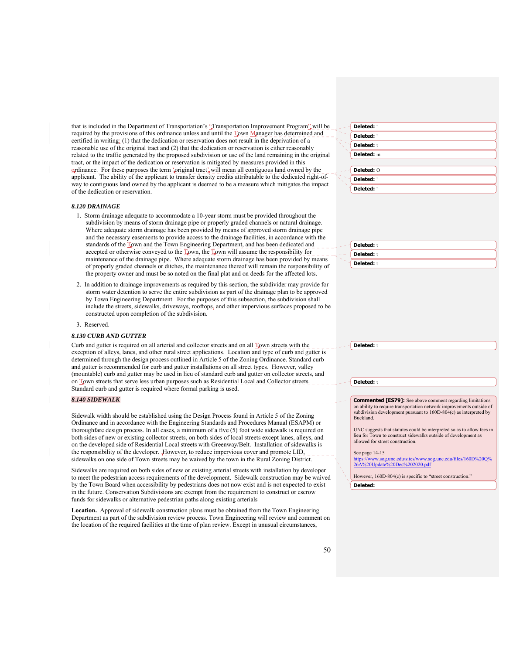that is included in the Department of Transportation's "Transportation Improvement Program", will be required by the provisions of this ordinance unless and until the Town Manager has determined and certified in writing: (1) that the dedication or reservation does not result in the deprivation of a reasonable use of the original tract and (2) that the dedication or reservation is either reasonably related to the traffic generated by the proposed subdivision or use of the land remaining in the original tract, or the impact of the dedication or reservation is mitigated by measures provided in this ordinance. For these purposes the term 'original tract' will mean all contiguous land owned by the applicant. The ability of the applicant to transfer density credits attributable to the dedicated right-ofway to contiguous land owned by the applicant is deemed to be a measure which mitigates the impact of the dedication or reservation.

#### *8.120 DRAINAGE*

- 1. Storm drainage adequate to accommodate a 10-year storm must be provided throughout the subdivision by means of storm drainage pipe or properly graded channels or natural drainage. Where adequate storm drainage has been provided by means of approved storm drainage pipe and the necessary easements to provide access to the drainage facilities, in accordance with the standards of the Town and the Town Engineering Department, and has been dedicated and accepted or otherwise conveyed to the  $\mathbb{T}_{\mathbf{Q}}$ wn, the  $\mathbb{T}_{\mathbf{Q}}$ wn will assume the responsibility for maintenance of the drainage pipe. Where adequate storm drainage has been provided by means of properly graded channels or ditches, the maintenance thereof will remain the responsibility of the property owner and must be so noted on the final plat and on deeds for the affected lots.
- 2. In addition to drainage improvements as required by this section, the subdivider may provide for storm water detention to serve the entire subdivision as part of the drainage plan to be approved by Town Engineering Department. For the purposes of this subsection, the subdivision shall include the streets, sidewalks, driveways, rooftops, and other impervious surfaces proposed to be constructed upon completion of the subdivision.

#### 3. Reserved.

#### *8.130 CURB AND GUTTER*

Curb and gutter is required on all arterial and collector streets and on all Town streets with the exception of alleys, lanes, and other rural street applications. Location and type of curb and gutter is determined through the design process outlined in Article 5 of the Zoning Ordinance. Standard curb and gutter is recommended for curb and gutter installations on all street types. However, valley (mountable) curb and gutter may be used in lieu of standard curb and gutter on collector streets, and on Town streets that serve less urban purposes such as Residential Local and Collector streets. Standard curb and gutter is required where formal parking is used.

\_\_\_\_\_\_\_\_\_\_\_\_\_\_\_\_\_\_\_\_\_\_\_\_\_\_\_\_

#### *8.140 SIDEWALK*

Sidewalk width should be established using the Design Process found in Article 5 of the Zoning Ordinance and in accordance with the Engineering Standards and Procedures Manual (ESAPM) or thoroughfare design process. In all cases, a minimum of a five (5) foot wide sidewalk is required on both sides of new or existing collector streets, on both sides of local streets except lanes, alleys, and on the developed side of Residential Local streets with Greenway/Belt. Installation of sidewalks is the responsibility of the developer. However, to reduce impervious cover and promote LID, sidewalks on one side of Town streets may be waived by the town in the Rural Zoning District.

Sidewalks are required on both sides of new or existing arterial streets with installation by developer to meet the pedestrian access requirements of the development. Sidewalk construction may be waived by the Town Board when accessibility by pedestrians does not now exist and is not expected to exist in the future. Conservation Subdivisions are exempt from the requirement to construct or escrow funds for sidewalks or alternative pedestrian paths along existing arterials

**Location.** Approval of sidewalk construction plans must be obtained from the Town Engineering Department as part of the subdivision review process. Town Engineering will review and comment on the location of the required facilities at the time of plan review. Except in unusual circumstances,

| Deleted: " |  |
|------------|--|
| Deleted: " |  |
| Deleted: t |  |
| Deleted: m |  |
|            |  |
| Deleted: O |  |
| Deleted: " |  |
| Deleted: " |  |

| <b>Deleted:</b> t |
|-------------------|
| <b>Deleted:</b> t |
| <b>Deleted:</b> t |

**Deleted:** t

**Deleted:** t

**Commented [ES79]:** See above comment regarding limitations on ability to require transportation network improvements outside of subdivision development pursuant to 160D-804(c) as interpreted by Buckland.

UNC suggests that statutes could be interpreted so as to allow fees in lieu for Town to construct sidewalks outside of development as allowed for street construction.

See page 14-15

u/sites/www.sog.unc.edu/files/160D%20Q%<br>c%202020.pdf  $26A%20$ Updat

However, 160D-804(c) is specific to "street construction."

**Deleted:**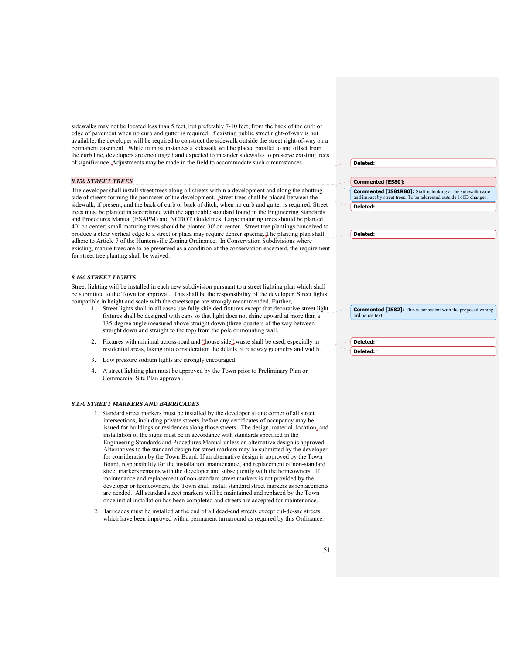sidewalks may not be located less than 5 feet, but preferably 7-10 feet, from the back of the curb or edge of pavement when no curb and gutter is required. If existing public street right-of-way is not available, the developer will be required to construct the sidewalk outside the street right-of-way on a permanent easement. While in most instances a sidewalk will be placed parallel to and offset from the curb line, developers are encouraged and expected to meander sidewalks to preserve existing trees of significance. Adjustments may be made in the field to accommodate such circumstances.

#### *8.150 STREET TREES*

The developer shall install street trees along all streets within a development and along the abutting side of streets forming the perimeter of the development. Street trees shall be placed between the sidewalk, if present, and the back of curb or back of ditch, when no curb and gutter is required. Street trees must be planted in accordance with the applicable standard found in the Engineering Standards and Procedures Manual (ESAPM) and NCDOT Guidelines. Large maturing trees should be planted 40' on center; small maturing trees should be planted 30' on center. Street tree plantings conceived to produce a clear vertical edge to a street or plaza may require denser spacing. The planting plan shall adhere to Article 7 of the Huntersville Zoning Ordinance. In Conservation Subdivisions where existing, mature trees are to be preserved as a condition of the conservation easement, the requirement for street tree planting shall be waived.

#### *8.160 STREET LIGHTS*

Street lighting will be installed in each new subdivision pursuant to a street lighting plan which shall be submitted to the Town for approval. This shall be the responsibility of the developer. Street lights compatible in height and scale with the streetscape are strongly recommended. Further,

- Street lights shall in all cases use fully shielded fixtures except that decorative street light fixtures shall be designed with caps so that light does not shine upward at more than a 135-degree angle measured above straight down (three-quarters of the way between straight down and straight to the top) from the pole or mounting wall.
- 2. Fixtures with minimal across-road and "house side" waste shall be used, especially in residential areas, taking into consideration the details of roadway geometry and width.
- 3. Low pressure sodium lights are strongly encouraged.
- 4. A street lighting plan must be approved by the Town prior to Preliminary Plan or Commercial Site Plan approval.

#### *8.170 STREET MARKERS AND BARRICADES*

- 1. Standard street markers must be installed by the developer at one corner of all street intersections, including private streets, before any certificates of occupancy may be issued for buildings or residences along those streets. The design, material, location, and installation of the signs must be in accordance with standards specified in the Engineering Standards and Procedures Manual unless an alternative design is approved. Alternatives to the standard design for street markers may be submitted by the developer for consideration by the Town Board. If an alternative design is approved by the Town Board, responsibility for the installation, maintenance, and replacement of non-standard street markers remains with the developer and subsequently with the homeowners. If maintenance and replacement of non-standard street markers is not provided by the developer or homeowners, the Town shall install standard street markers as replacements are needed. All standard street markers will be maintained and replaced by the Town once initial installation has been completed and streets are accepted for maintenance.
- 2. Barricades must be installed at the end of all dead-end streets except cul-de-sac streets which have been improved with a permanent turnaround as required by this Ordinance.

|  | Delete<br>48 T |
|--|----------------|
|  |                |

**Commented [ES80]:** 

**Commented [JS81R80]:** Staff is looking at the sidewalk issue and impact by street trees. To be addressed outside 160D changes. **Deleted:** 

**Deleted:** 

**Commented [JS82]:** This is consistent with the proposed zoning ordinance text.

**Deleted:** " **Deleted:**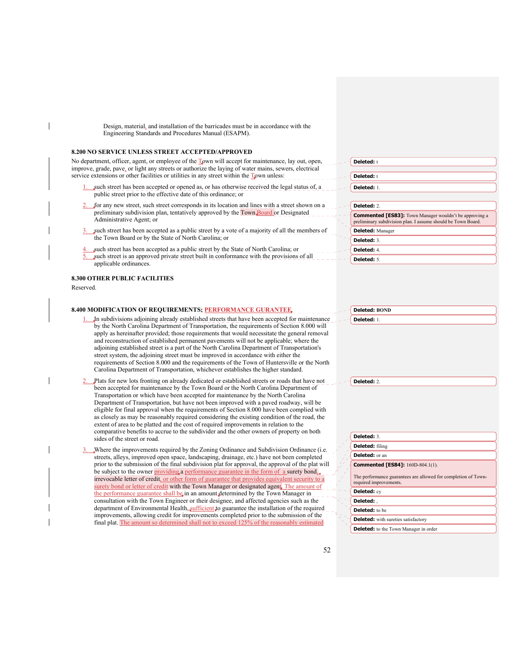Design, material, and installation of the barricades must be in accordance with the Engineering Standards and Procedures Manual (ESAPM).

#### **8.200 NO SERVICE UNLESS STREET ACCEPTED/APPROVED**

No department, officer, agent, or employee of the Town will accept for maintenance, lay out, open, improve, grade, pave, or light any streets or authorize the laying of water mains, sewers, electrical service extensions or other facilities or utilities in any street within the Town unless:

- such street has been accepted or opened as, or has otherwise received the legal status of, a public street prior to the effective date of this ordinance; or
- for any new street, such street corresponds in its location and lines with a street shown on a preliminary subdivision plan, tentatively approved by the Town Board or Designated Administrative Agent; or
- such street has been accepted as a public street by a vote of a majority of all the members of the Town Board or by the State of North Carolina; or
- such street has been accepted as a public street by the State of North Carolina; or such street is an approved private street built in conformance with the provisions of all applicable ordinances.

# **8.300 OTHER PUBLIC FACILITIES**

Reserved.

#### **8.400 MODIFICATION OF REQUIREMENTS; PERFORMANCE GURANTEE**

- In subdivisions adjoining already established streets that have been accepted for maintenance by the North Carolina Department of Transportation, the requirements of Section 8.000 will apply as hereinafter provided; those requirements that would necessitate the general removal and reconstruction of established permanent pavements will not be applicable; where the adjoining established street is a part of the North Carolina Department of Transportation's street system, the adjoining street must be improved in accordance with either the requirements of Section 8.000 and the requirements of the Town of Huntersville or the North Carolina Department of Transportation, whichever establishes the higher standard.
- 2. Plats for new lots fronting on already dedicated or established streets or roads that have not been accepted for maintenance by the Town Board or the North Carolina Department of Transportation or which have been accepted for maintenance by the North Carolina Department of Transportation, but have not been improved with a paved roadway, will be eligible for final approval when the requirements of Section 8.000 have been complied with as closely as may be reasonably required considering the existing condition of the road, the extent of area to be platted and the cost of required improvements in relation to the comparative benefits to accrue to the subdivider and the other owners of property on both sides of the street or road.
- Where the improvements required by the Zoning Ordinance and Subdivision Ordinance (i.e. streets, alleys, improved open space, landscaping, drainage, etc.) have not been completed prior to the submission of the final subdivision plat for approval, the approval of the plat will be subject to the owner providing a performance guarantee in the form of a surety bond, irrevocable letter of credit, or other form of guarantee that provides equivalent security to a surety bond or letter of credit with the Town Manager or designated agent. The amount of the performance guarantee shall be in an amount determined by the Town Manager in consultation with the Town Engineer or their designee, and affected agencies such as the department of Environmental Health, sufficient to guarantee the installation of the required improvements, allowing credit for improvements completed prior to the submission of the final plat. The amount so determined shall not to exceed 125% of the reasonably estimated

| Deleted: t                                                                                                                    |
|-------------------------------------------------------------------------------------------------------------------------------|
|                                                                                                                               |
| Deleted: t                                                                                                                    |
| Deleted: 1.                                                                                                                   |
|                                                                                                                               |
| Deleted: 2.                                                                                                                   |
| <b>Commented [ES83]:</b> Town Manager wouldn't be approving a<br>preliminary subdivision plan. I assume should be Town Board. |
| <b>Deleted:</b> Manager                                                                                                       |
| Deleted: 3.                                                                                                                   |
| Deleted: 4.                                                                                                                   |
| Deleted: 5.                                                                                                                   |

| elete<br>d:<br>D |  |
|------------------|--|
|                  |  |
|                  |  |
|                  |  |

**Deleted: BOND**

**Deleted:** 2.

| Deleted: 3.                                                                              |
|------------------------------------------------------------------------------------------|
| <b>Deleted:</b> filing                                                                   |
| Deleted: or an                                                                           |
| <b>Commented [ES84]:</b> 160D-804.1(1).                                                  |
| The performance guarantees are allowed for completion of Town-<br>required improvements. |
| Deleted: cy                                                                              |
| Deleted: .                                                                               |
| <b>Deleted:</b> to be                                                                    |
| <b>Deleted:</b> with sureties satisfactory                                               |

|  |  |  | <b>Deleted:</b> to the Town Manager in order |
|--|--|--|----------------------------------------------|
|--|--|--|----------------------------------------------|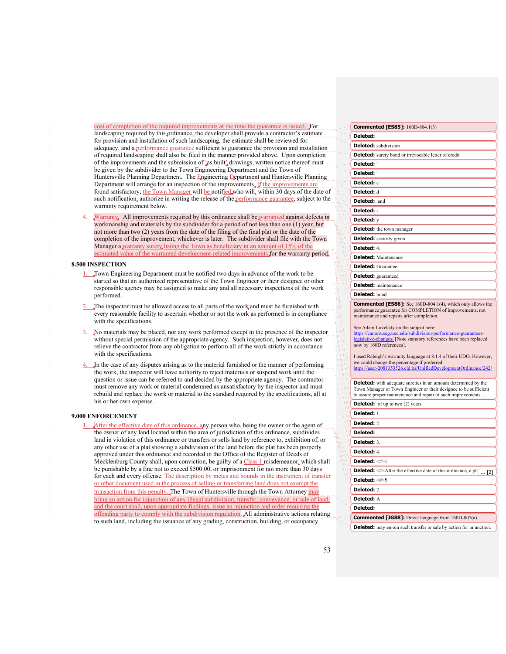cost of completion of the required improvements at the time the guarantee is issued. For landscaping required by this ordinance, the developer shall provide a contractor's estimate for provision and installation of such landscaping, the estimate shall be reviewed for adequacy, and a performance guarantee sufficient to guarantee the provision and installation of required landscaping shall also be filed in the manner provided above. Upon completion of the improvements and the submission of 'as built' drawings, written notice thereof must be given by the subdivider to the Town Engineering Department and the Town of Huntersville Planning Department. The Engineering Department and Huntersville Planning Department will arrange for an inspection of the improvements. If the improvements are found satisfactory, the Town Manager will be notified who will, within 30 days of the date of such notification, authorize in writing the release of the performance guarantee, subject to the warranty requirement below.

Warranty. All improvements required by this ordinance shall be warranted against defects in workmanship and materials by the subdivider for a period of not less than one (1) year, but not more than two (2) years from the date of the filing of the final plat or the date of the completion of the improvement, whichever is later. The subdivider shall file with the Town Manager a warranty surety listing the Town as beneficiary in an amount of 15% of the estimated value of the warranted development-related improvements for the warranty period.

## **8.500 INSPECTION**

- 1. Town Engineering Department must be notified two days in advance of the work to be started so that an authorized representative of the Town Engineer or their designee or other responsible agency may be assigned to make any and all necessary inspections of the work performed.
- The inspector must be allowed access to all parts of the work, and must be furnished with every reasonable facility to ascertain whether or not the work as performed is in compliance with the specifications.
- 3. No materials may be placed, nor any work performed except in the presence of the inspector without special permission of the appropriate agency. Such inspection, however, does not relieve the contractor from any obligation to perform all of the work strictly in accordance with the specifications.
- 4. In the case of any disputes arising as to the material furnished or the manner of performing the work, the inspector will have authority to reject materials or suspend work until the question or issue can be referred to and decided by the appropriate agency. The contractor must remove any work or material condemned as unsatisfactory by the inspector and must rebuild and replace the work or material to the standard required by the specifications, all at his or her own expense.

#### **9.000 ENFORCEMENT**

After the effective date of this ordinance, any person who, being the owner or the agent of the owner of any land located within the area of jurisdiction of this ordinance, subdivides land in violation of this ordinance or transfers or sells land by reference to, exhibition of, or any other use of a plat showing a subdivision of the land before the plat has been properly approved under this ordinance and recorded in the Office of the Register of Deeds of Mecklenburg County shall, upon conviction, be guilty of a Class 1 misdemeanor, which shall be punishable by a fine not to exceed \$500.00, or imprisonment for not more than 30 days for each and every offense. The description by metes and bounds in the instrument of transfer or other document used in the process of selling or transferring land does not exempt the transaction from this penalty. The Town of Huntersville through the Town Attorney may bring an action for injunction of any illegal subdivision, transfer, conveyance, or sale of land, and the court shall, upon appropriate findings, issue an injunction and order requiring the offending party to comply with the subdivision regulation. All administrative actions relating to such land, including the issuance of any grading, construction, building, or occupancy

| <b>Commented [ES85]:</b> 160D-804.1(3)                                                                 |
|--------------------------------------------------------------------------------------------------------|
| Deleted:                                                                                               |
| <b>Deleted:</b> subdivision                                                                            |
| <b>Deleted:</b> surety bond or irrevocable letter of credit                                            |
| Deleted: "                                                                                             |
| Deleted: "                                                                                             |
| Deleted: e                                                                                             |
| Deleted: d                                                                                             |
| Deleted: and                                                                                           |
| Deleted: i                                                                                             |
| Deleted: y                                                                                             |
| <b>Deleted:</b> the town manager                                                                       |
| <b>Deleted:</b> security given                                                                         |
| Deleted: 4.                                                                                            |
| <b>Deleted:</b> Maintenance                                                                            |
| <b>Deleted:</b> Guarantee                                                                              |
| <b>Deleted:</b> guaranteed                                                                             |
| <b>Deleted:</b> maintenance                                                                            |
| Deleted: bond                                                                                          |
| <b>Commented [ES86]:</b> See 160D-804.1(4), which only allows the                                      |
| performance guarantee for COMPLETION of improvements, not<br>maintenance and repairs after completion. |
| See Adam Lovelady on the subject here:                                                                 |
| https://canons.sog.unc.edu/subdivision-performance-guarantees-                                         |
| legislative-changes/ [Note statutory references have been replaced<br>now by 160D references].         |
| I used Raleigh's warranty language at 8.1.4 of their UDO. However,                                     |
| we could change the percentage if preferred.                                                           |
| https://user-2081353526.cld.bz/UnifiedDevelopmentOrdinance/242/                                        |
| <b>Deleted:</b> with adequate sureties in an amount determined by the                                  |
| Town Manager or Town Engineer or their designee to be sufficient                                       |
| to assure proper maintenance and repair of such improvements<br><b>Deleted:</b> of up to two (2) years |
| Deleted: 1.                                                                                            |
| Deleted: 2.                                                                                            |
| Deleted:,                                                                                              |
| Deleted: 3.                                                                                            |
| Deleted: 4.                                                                                            |
| Deleted: <#>1.                                                                                         |
| <b>Deleted:</b> $\leq$ #>After the effective date of this ordinance, a pl{ $\boxed{ [2]}$              |
| Deleted: <#>¶                                                                                          |
| Deleted: 2.                                                                                            |
| Deleted: A                                                                                             |
| Deleted:                                                                                               |
|                                                                                                        |
| <b>Commented [JG88]:</b> Direct language from 160D-807(a)                                              |
| <b>Deleted:</b> may enjoin such transfer or sale by action for injunction.                             |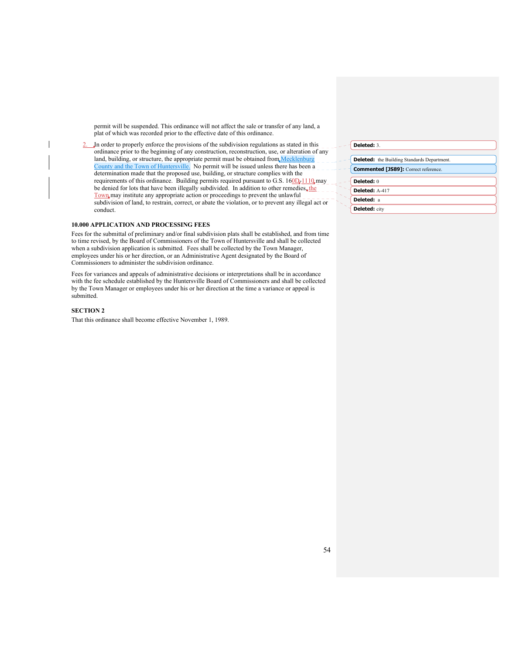permit will be suspended. This ordinance will not affect the sale or transfer of any land, a plat of which was recorded prior to the effective date of this ordinance.

2. In order to properly enforce the provisions of the subdivision regulations as stated in this ordinance prior to the beginning of any construction, reconstruction, use, or alteration of any land, building, or structure, the appropriate permit must be obtained from Mecklenburg County and the Town of Huntersville. No permit will be issued unless there has been a determination made that the proposed use, building, or structure complies with the requirements of this ordinance. Building permits required pursuant to G.S.  $160D<sub>e</sub> 1110$  may be denied for lots that have been illegally subdivided. In addition to other remedies, the Town may institute any appropriate action or proceedings to prevent the unlawful subdivision of land, to restrain, correct, or abate the violation, or to prevent any illegal act or conduct.

#### **10.000 APPLICATION AND PROCESSING FEES**

Fees for the submittal of preliminary and/or final subdivision plats shall be established, and from time to time revised, by the Board of Commissioners of the Town of Huntersville and shall be collected when a subdivision application is submitted. Fees shall be collected by the Town Manager, employees under his or her direction, or an Administrative Agent designated by the Board of Commissioners to administer the subdivision ordinance.

Fees for variances and appeals of administrative decisions or interpretations shall be in accordance with the fee schedule established by the Huntersville Board of Commissioners and shall be collected by the Town Manager or employees under his or her direction at the time a variance or appeal is submitted.

# **SECTION 2**

That this ordinance shall become effective November 1, 1989.

| Deleted: |
|----------|
|----------|

|  | <b>Deleted:</b> the Building Standards Department.<br><b>Commented [JS89]:</b> Correct reference. |  |  |  |
|--|---------------------------------------------------------------------------------------------------|--|--|--|
|  |                                                                                                   |  |  |  |
|  |                                                                                                   |  |  |  |
|  | Deleted: 0                                                                                        |  |  |  |
|  | Deleted: A-417                                                                                    |  |  |  |
|  | Deleted: a                                                                                        |  |  |  |
|  | <b>Deleted:</b> city                                                                              |  |  |  |